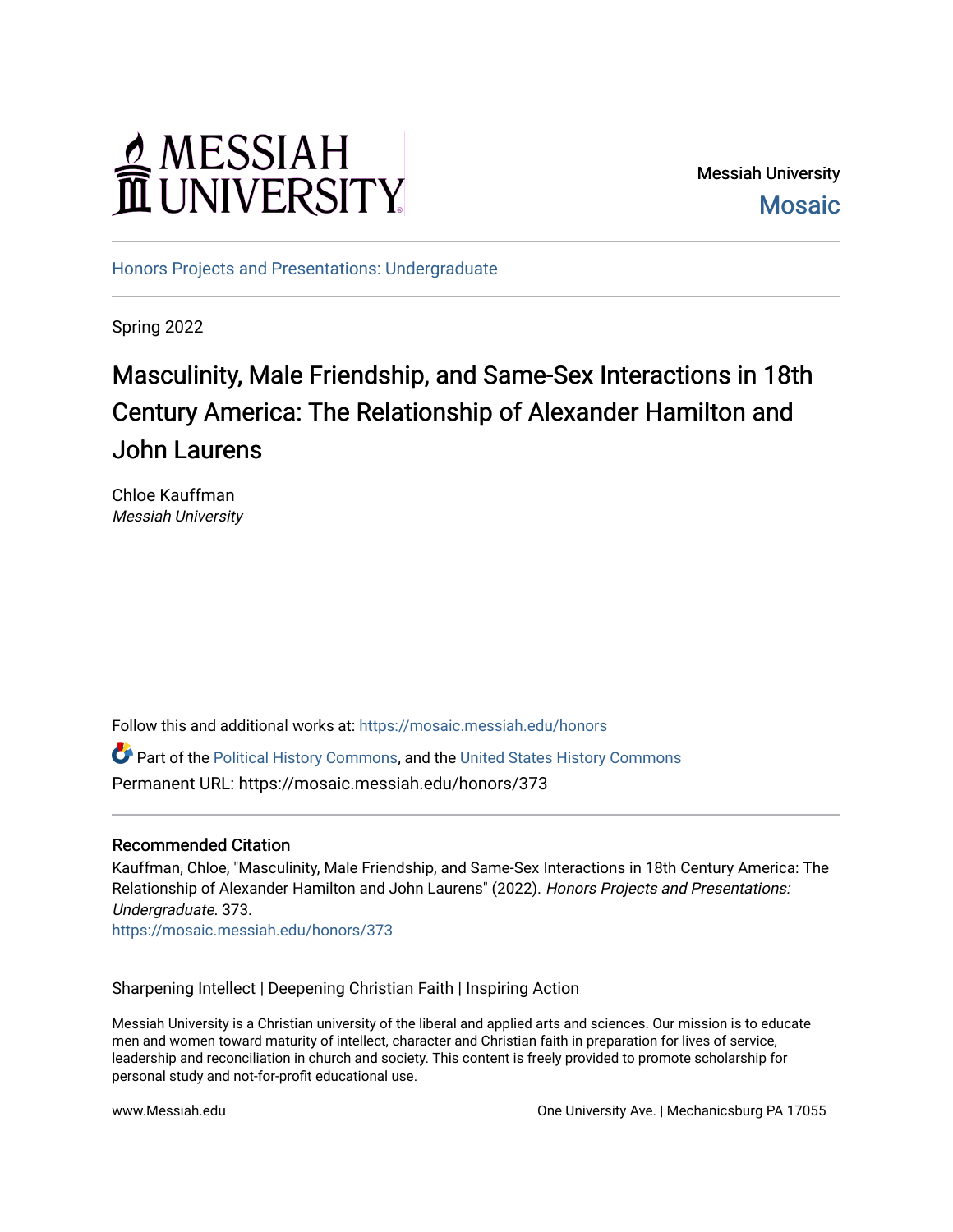# MESSIAH

Messiah University **Mosaic** 

[Honors Projects and Presentations: Undergraduate](https://mosaic.messiah.edu/honors) 

Spring 2022

## Masculinity, Male Friendship, and Same-Sex Interactions in 18th Century America: The Relationship of Alexander Hamilton and John Laurens

Chloe Kauffman Messiah University

Follow this and additional works at: [https://mosaic.messiah.edu/honors](https://mosaic.messiah.edu/honors?utm_source=mosaic.messiah.edu%2Fhonors%2F373&utm_medium=PDF&utm_campaign=PDFCoverPages) 

Part of the [Political History Commons,](http://network.bepress.com/hgg/discipline/505?utm_source=mosaic.messiah.edu%2Fhonors%2F373&utm_medium=PDF&utm_campaign=PDFCoverPages) and the [United States History Commons](http://network.bepress.com/hgg/discipline/495?utm_source=mosaic.messiah.edu%2Fhonors%2F373&utm_medium=PDF&utm_campaign=PDFCoverPages) Permanent URL: https://mosaic.messiah.edu/honors/373

### Recommended Citation

Kauffman, Chloe, "Masculinity, Male Friendship, and Same-Sex Interactions in 18th Century America: The Relationship of Alexander Hamilton and John Laurens" (2022). Honors Projects and Presentations: Undergraduate. 373.

[https://mosaic.messiah.edu/honors/373](https://mosaic.messiah.edu/honors/373?utm_source=mosaic.messiah.edu%2Fhonors%2F373&utm_medium=PDF&utm_campaign=PDFCoverPages) 

Sharpening Intellect | Deepening Christian Faith | Inspiring Action

Messiah University is a Christian university of the liberal and applied arts and sciences. Our mission is to educate men and women toward maturity of intellect, character and Christian faith in preparation for lives of service, leadership and reconciliation in church and society. This content is freely provided to promote scholarship for personal study and not-for-profit educational use.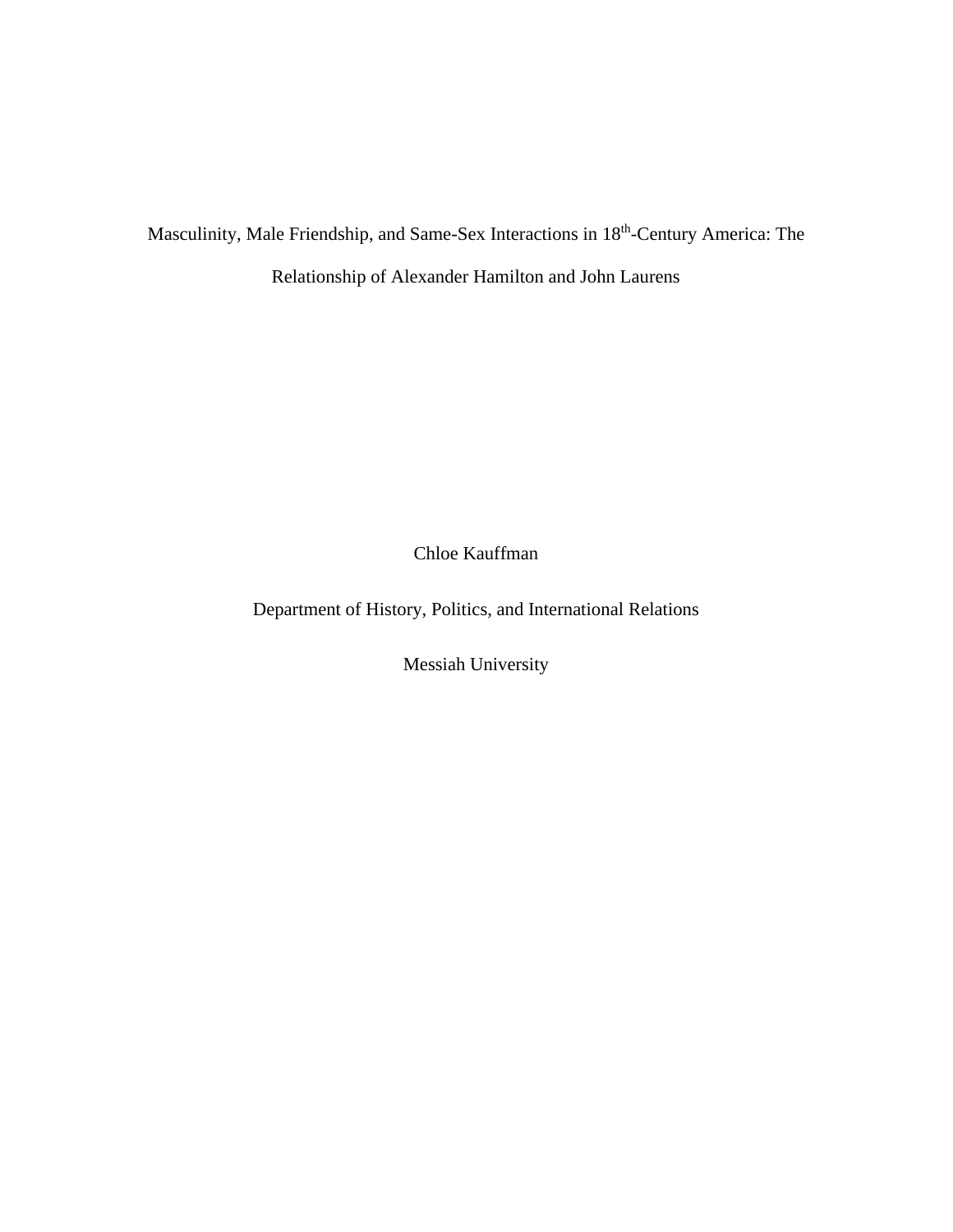Masculinity, Male Friendship, and Same-Sex Interactions in 18<sup>th</sup>-Century America: The

Relationship of Alexander Hamilton and John Laurens

Chloe Kauffman

Department of History, Politics, and International Relations

Messiah University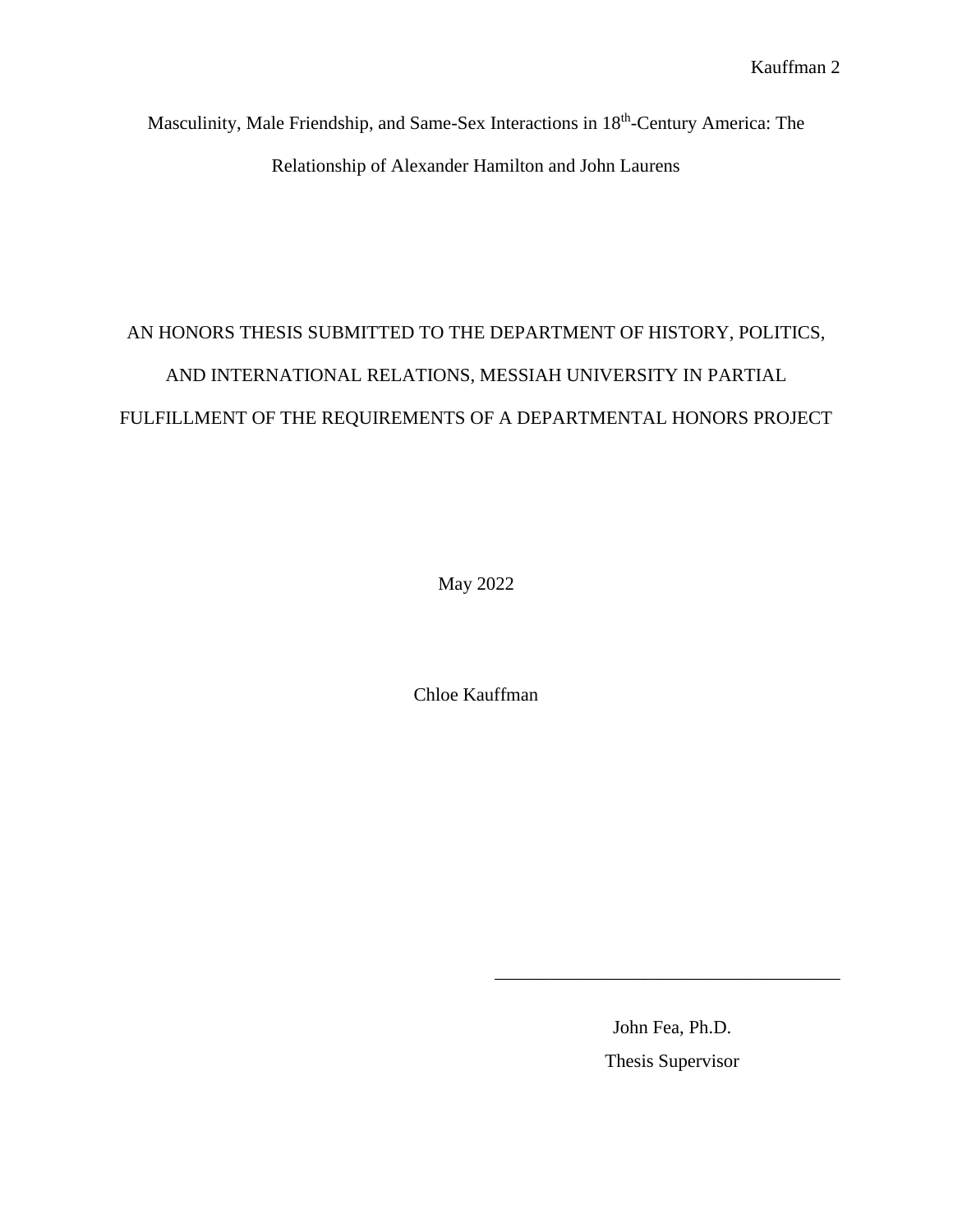Masculinity, Male Friendship, and Same-Sex Interactions in 18<sup>th</sup>-Century America: The Relationship of Alexander Hamilton and John Laurens

## AN HONORS THESIS SUBMITTED TO THE DEPARTMENT OF HISTORY, POLITICS, AND INTERNATIONAL RELATIONS, MESSIAH UNIVERSITY IN PARTIAL FULFILLMENT OF THE REQUIREMENTS OF A DEPARTMENTAL HONORS PROJECT

May 2022

Chloe Kauffman

John Fea, Ph.D. Thesis Supervisor

\_\_\_\_\_\_\_\_\_\_\_\_\_\_\_\_\_\_\_\_\_\_\_\_\_\_\_\_\_\_\_\_\_\_\_\_\_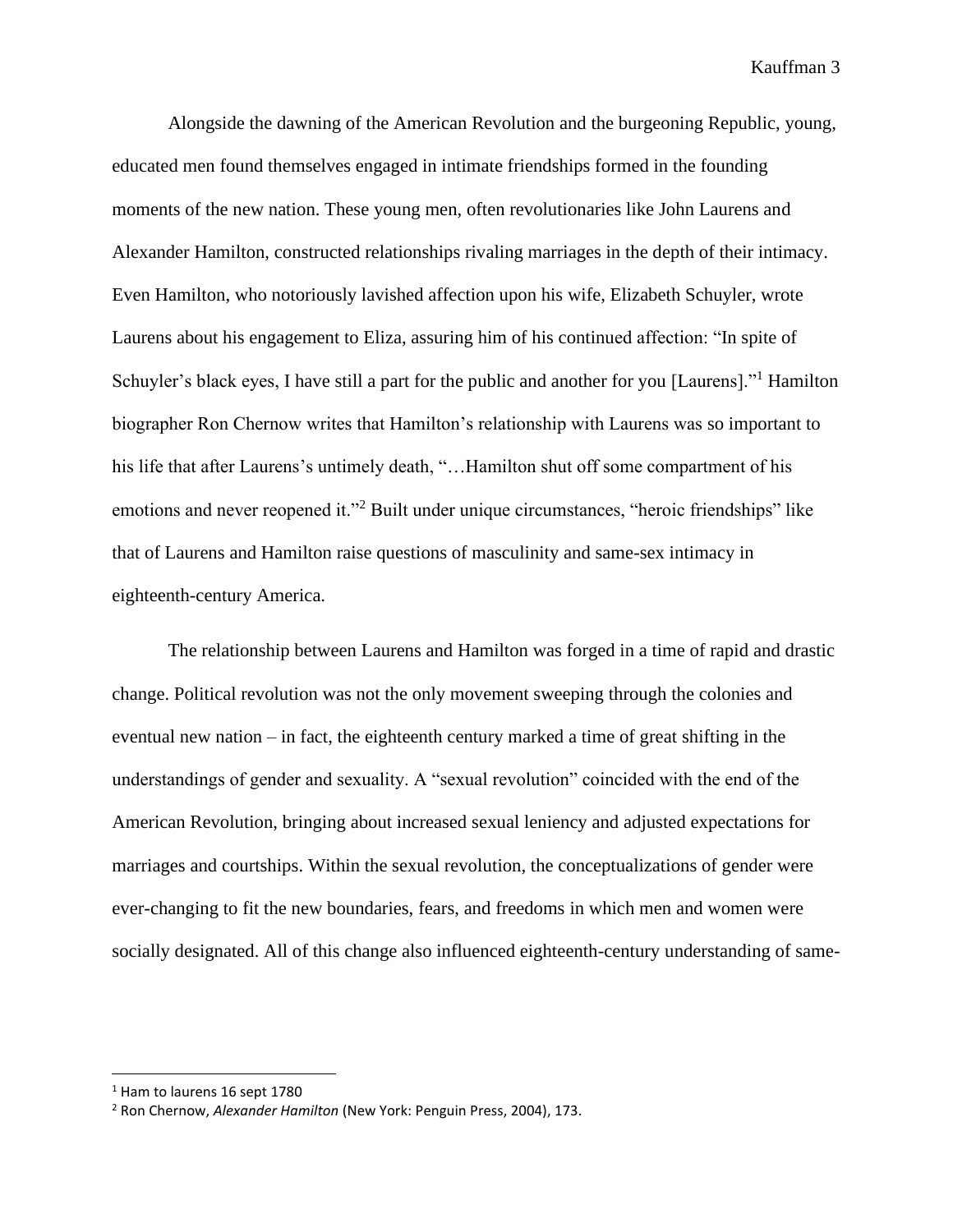Alongside the dawning of the American Revolution and the burgeoning Republic, young, educated men found themselves engaged in intimate friendships formed in the founding moments of the new nation. These young men, often revolutionaries like John Laurens and Alexander Hamilton, constructed relationships rivaling marriages in the depth of their intimacy. Even Hamilton, who notoriously lavished affection upon his wife, Elizabeth Schuyler, wrote Laurens about his engagement to Eliza, assuring him of his continued affection: "In spite of Schuyler's black eyes, I have still a part for the public and another for you [Laurens]."<sup>1</sup> Hamilton biographer Ron Chernow writes that Hamilton's relationship with Laurens was so important to his life that after Laurens's untimely death, "...Hamilton shut off some compartment of his emotions and never reopened it."<sup>2</sup> Built under unique circumstances, "heroic friendships" like that of Laurens and Hamilton raise questions of masculinity and same-sex intimacy in eighteenth-century America.

The relationship between Laurens and Hamilton was forged in a time of rapid and drastic change. Political revolution was not the only movement sweeping through the colonies and eventual new nation – in fact, the eighteenth century marked a time of great shifting in the understandings of gender and sexuality. A "sexual revolution" coincided with the end of the American Revolution, bringing about increased sexual leniency and adjusted expectations for marriages and courtships. Within the sexual revolution, the conceptualizations of gender were ever-changing to fit the new boundaries, fears, and freedoms in which men and women were socially designated. All of this change also influenced eighteenth-century understanding of same-

<sup>&</sup>lt;sup>1</sup> Ham to laurens 16 sept 1780

<sup>2</sup> Ron Chernow, *Alexander Hamilton* (New York: Penguin Press, 2004), 173.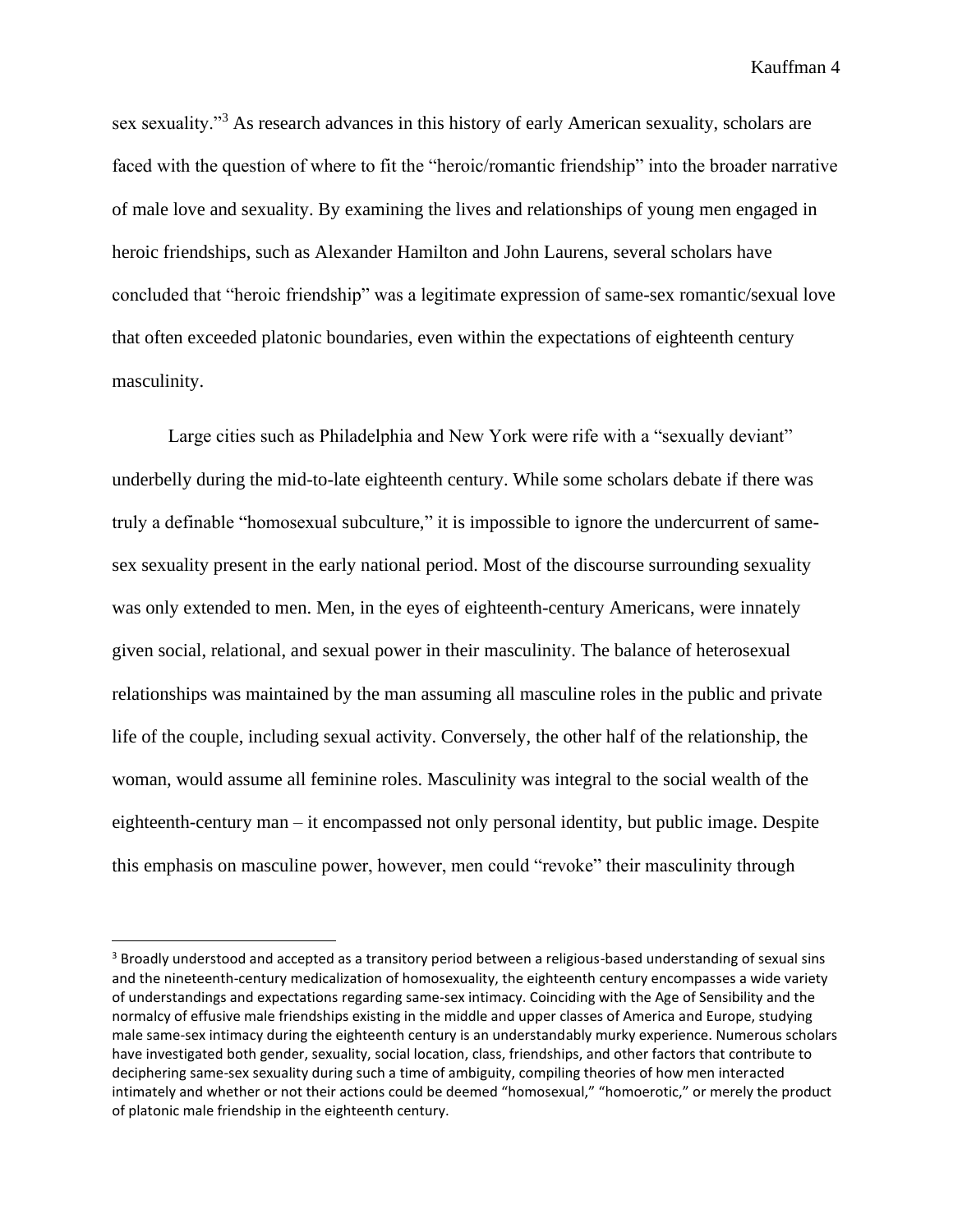sex sexuality."<sup>3</sup> As research advances in this history of early American sexuality, scholars are faced with the question of where to fit the "heroic/romantic friendship" into the broader narrative of male love and sexuality. By examining the lives and relationships of young men engaged in heroic friendships, such as Alexander Hamilton and John Laurens, several scholars have concluded that "heroic friendship" was a legitimate expression of same-sex romantic/sexual love that often exceeded platonic boundaries, even within the expectations of eighteenth century masculinity.

Large cities such as Philadelphia and New York were rife with a "sexually deviant" underbelly during the mid-to-late eighteenth century. While some scholars debate if there was truly a definable "homosexual subculture," it is impossible to ignore the undercurrent of samesex sexuality present in the early national period. Most of the discourse surrounding sexuality was only extended to men. Men, in the eyes of eighteenth-century Americans, were innately given social, relational, and sexual power in their masculinity. The balance of heterosexual relationships was maintained by the man assuming all masculine roles in the public and private life of the couple, including sexual activity. Conversely, the other half of the relationship, the woman, would assume all feminine roles. Masculinity was integral to the social wealth of the eighteenth-century man – it encompassed not only personal identity, but public image. Despite this emphasis on masculine power, however, men could "revoke" their masculinity through

<sup>&</sup>lt;sup>3</sup> Broadly understood and accepted as a transitory period between a religious-based understanding of sexual sins and the nineteenth-century medicalization of homosexuality, the eighteenth century encompasses a wide variety of understandings and expectations regarding same-sex intimacy. Coinciding with the Age of Sensibility and the normalcy of effusive male friendships existing in the middle and upper classes of America and Europe, studying male same-sex intimacy during the eighteenth century is an understandably murky experience. Numerous scholars have investigated both gender, sexuality, social location, class, friendships, and other factors that contribute to deciphering same-sex sexuality during such a time of ambiguity, compiling theories of how men interacted intimately and whether or not their actions could be deemed "homosexual," "homoerotic," or merely the product of platonic male friendship in the eighteenth century.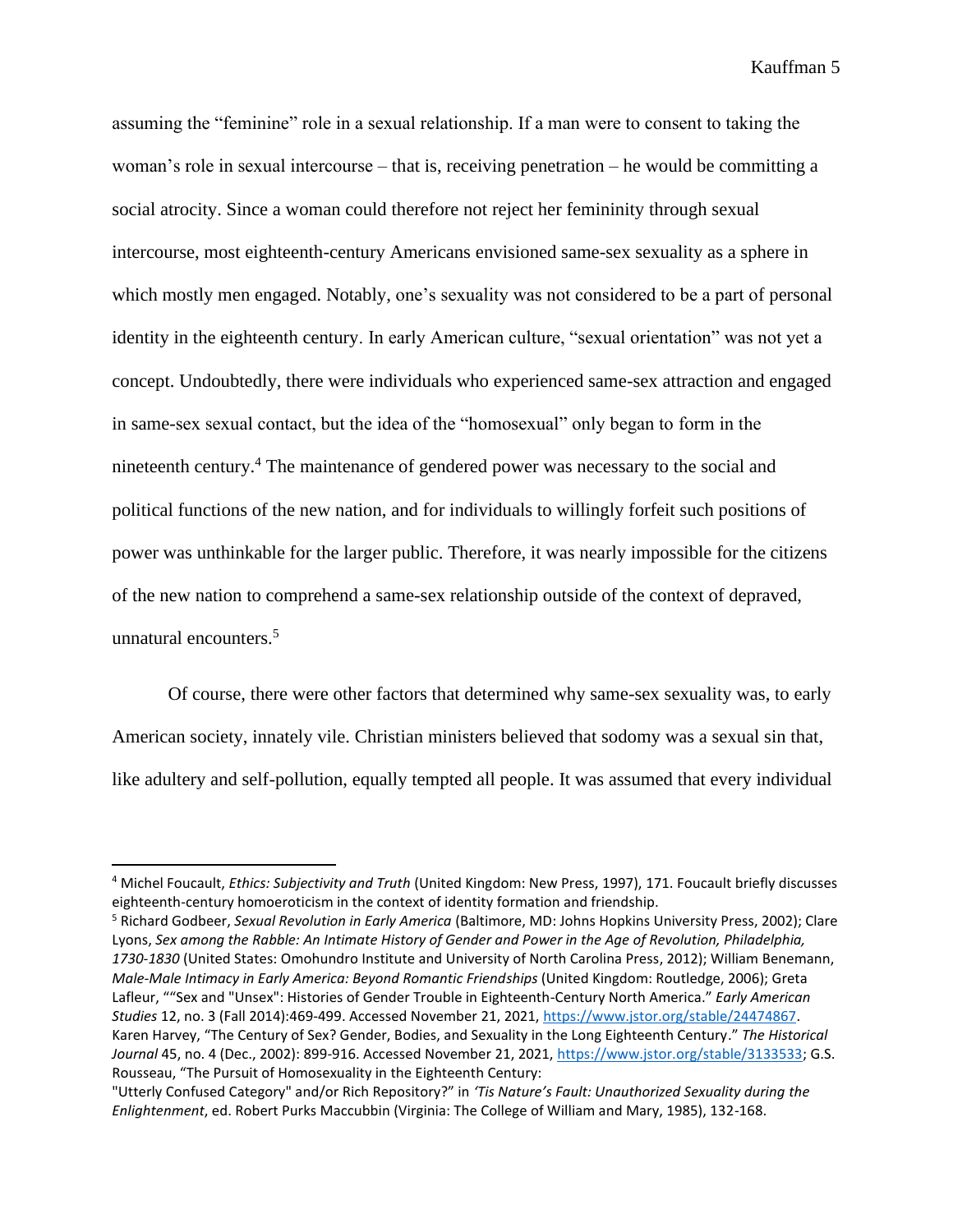assuming the "feminine" role in a sexual relationship. If a man were to consent to taking the woman's role in sexual intercourse – that is, receiving penetration – he would be committing a social atrocity. Since a woman could therefore not reject her femininity through sexual intercourse, most eighteenth-century Americans envisioned same-sex sexuality as a sphere in which mostly men engaged. Notably, one's sexuality was not considered to be a part of personal identity in the eighteenth century. In early American culture, "sexual orientation" was not yet a concept. Undoubtedly, there were individuals who experienced same-sex attraction and engaged in same-sex sexual contact, but the idea of the "homosexual" only began to form in the nineteenth century.<sup>4</sup> The maintenance of gendered power was necessary to the social and political functions of the new nation, and for individuals to willingly forfeit such positions of power was unthinkable for the larger public. Therefore, it was nearly impossible for the citizens of the new nation to comprehend a same-sex relationship outside of the context of depraved, unnatural encounters. 5

Of course, there were other factors that determined why same-sex sexuality was, to early American society, innately vile. Christian ministers believed that sodomy was a sexual sin that, like adultery and self-pollution, equally tempted all people. It was assumed that every individual

<sup>4</sup> Michel Foucault, *Ethics: Subjectivity and Truth* (United Kingdom: New Press, 1997), 171. Foucault briefly discusses eighteenth-century homoeroticism in the context of identity formation and friendship.

<sup>5</sup> Richard Godbeer, *Sexual Revolution in Early America* (Baltimore, MD: Johns Hopkins University Press, 2002); Clare Lyons, *Sex among the Rabble: An Intimate History of Gender and Power in the Age of Revolution, Philadelphia, 1730-1830* (United States: Omohundro Institute and University of North Carolina Press, 2012); William Benemann, *Male-Male Intimacy in Early America: Beyond Romantic Friendships* (United Kingdom: Routledge, 2006); Greta Lafleur, ""Sex and "Unsex": Histories of Gender Trouble in Eighteenth-Century North America." *Early American Studies* 12, no. 3 (Fall 2014):469-499. Accessed November 21, 2021, [https://www.jstor.org/stable/24474867.](https://www.jstor.org/stable/24474867) Karen Harvey, "The Century of Sex? Gender, Bodies, and Sexuality in the Long Eighteenth Century." *The Historical Journal* 45, no. 4 (Dec., 2002): 899-916. Accessed November 21, 2021, [https://www.jstor.org/stable/3133533;](https://www.jstor.org/stable/3133533) G.S. Rousseau, "The Pursuit of Homosexuality in the Eighteenth Century:

<sup>&</sup>quot;Utterly Confused Category" and/or Rich Repository?" in *'Tis Nature's Fault: Unauthorized Sexuality during the Enlightenment*, ed. Robert Purks Maccubbin (Virginia: The College of William and Mary, 1985), 132-168.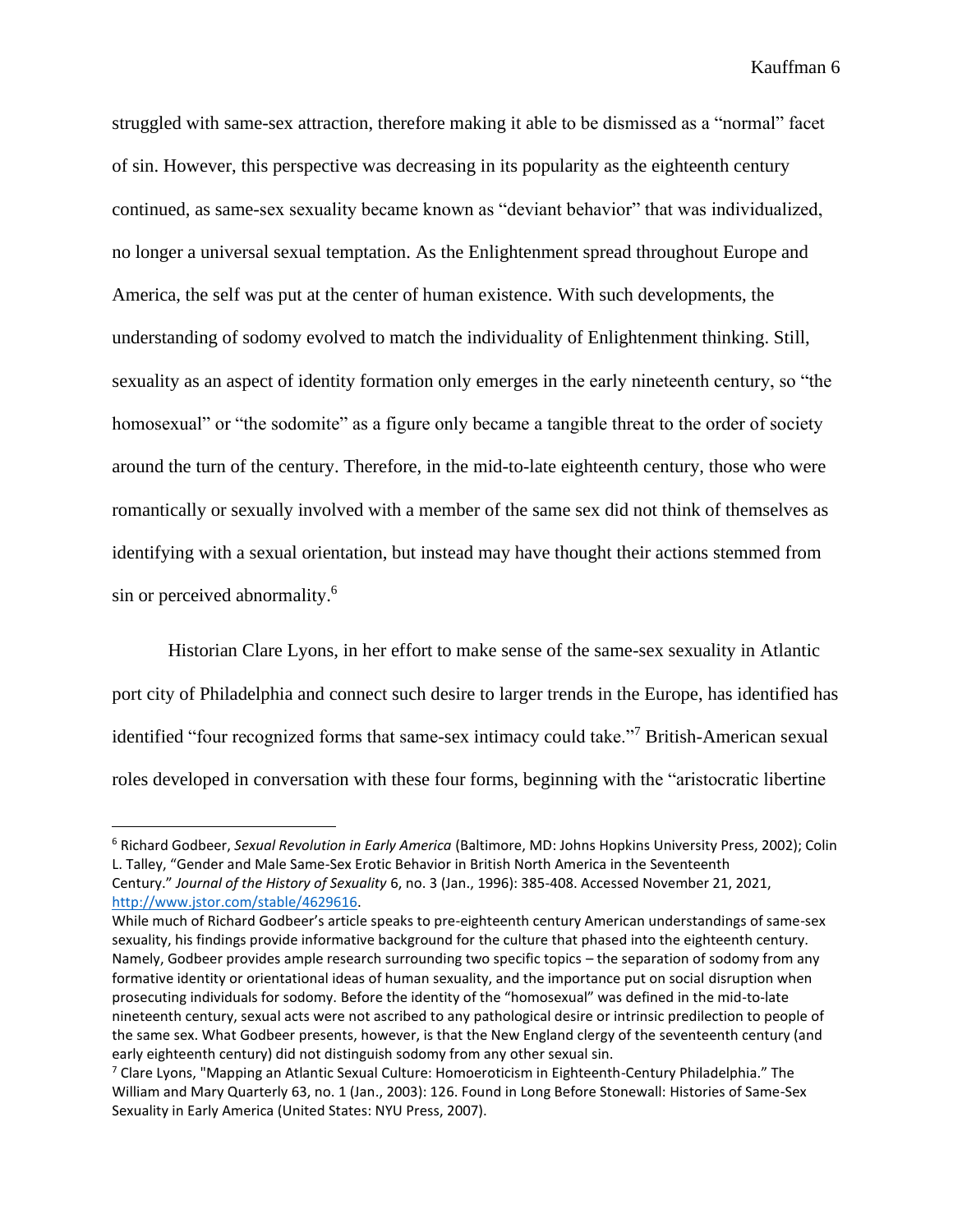struggled with same-sex attraction, therefore making it able to be dismissed as a "normal" facet of sin. However, this perspective was decreasing in its popularity as the eighteenth century continued, as same-sex sexuality became known as "deviant behavior" that was individualized, no longer a universal sexual temptation. As the Enlightenment spread throughout Europe and America, the self was put at the center of human existence. With such developments, the understanding of sodomy evolved to match the individuality of Enlightenment thinking. Still, sexuality as an aspect of identity formation only emerges in the early nineteenth century, so "the homosexual" or "the sodomite" as a figure only became a tangible threat to the order of society around the turn of the century. Therefore, in the mid-to-late eighteenth century, those who were romantically or sexually involved with a member of the same sex did not think of themselves as identifying with a sexual orientation, but instead may have thought their actions stemmed from sin or perceived abnormality.<sup>6</sup>

Historian Clare Lyons, in her effort to make sense of the same-sex sexuality in Atlantic port city of Philadelphia and connect such desire to larger trends in the Europe, has identified has identified "four recognized forms that same-sex intimacy could take."<sup>7</sup> British-American sexual roles developed in conversation with these four forms, beginning with the "aristocratic libertine

<sup>6</sup> Richard Godbeer, *Sexual Revolution in Early America* (Baltimore, MD: Johns Hopkins University Press, 2002); Colin L. Talley, "Gender and Male Same-Sex Erotic Behavior in British North America in the Seventeenth Century." *Journal of the History of Sexuality* 6, no. 3 (Jan., 1996): 385-408. Accessed November 21, 2021, [http://www.jstor.com/stable/4629616.](http://www.jstor.com/stable/4629616)

While much of Richard Godbeer's article speaks to pre-eighteenth century American understandings of same-sex sexuality, his findings provide informative background for the culture that phased into the eighteenth century. Namely, Godbeer provides ample research surrounding two specific topics – the separation of sodomy from any formative identity or orientational ideas of human sexuality, and the importance put on social disruption when prosecuting individuals for sodomy. Before the identity of the "homosexual" was defined in the mid-to-late nineteenth century, sexual acts were not ascribed to any pathological desire or intrinsic predilection to people of the same sex. What Godbeer presents, however, is that the New England clergy of the seventeenth century (and early eighteenth century) did not distinguish sodomy from any other sexual sin.

 $7$  Clare Lyons, "Mapping an Atlantic Sexual Culture: Homoeroticism in Eighteenth-Century Philadelphia." The William and Mary Quarterly 63, no. 1 (Jan., 2003): 126. Found in Long Before Stonewall: Histories of Same-Sex Sexuality in Early America (United States: NYU Press, 2007).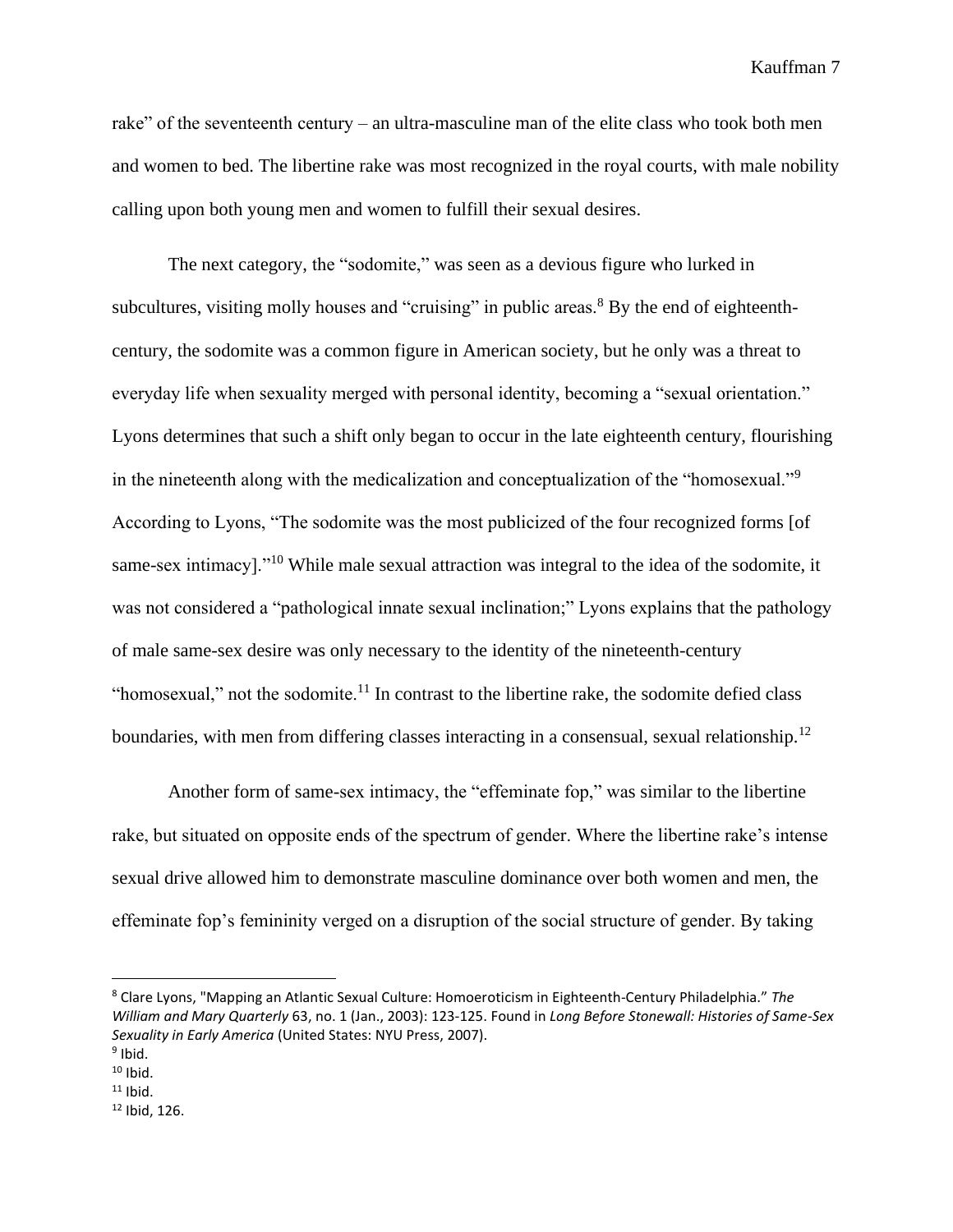rake" of the seventeenth century – an ultra-masculine man of the elite class who took both men and women to bed. The libertine rake was most recognized in the royal courts, with male nobility calling upon both young men and women to fulfill their sexual desires.

The next category, the "sodomite," was seen as a devious figure who lurked in subcultures, visiting molly houses and "cruising" in public areas.<sup>8</sup> By the end of eighteenthcentury, the sodomite was a common figure in American society, but he only was a threat to everyday life when sexuality merged with personal identity, becoming a "sexual orientation." Lyons determines that such a shift only began to occur in the late eighteenth century, flourishing in the nineteenth along with the medicalization and conceptualization of the "homosexual."<sup>9</sup> According to Lyons, "The sodomite was the most publicized of the four recognized forms [of same-sex intimacy]."<sup>10</sup> While male sexual attraction was integral to the idea of the sodomite, it was not considered a "pathological innate sexual inclination;" Lyons explains that the pathology of male same-sex desire was only necessary to the identity of the nineteenth-century "homosexual," not the sodomite.<sup>11</sup> In contrast to the libertine rake, the sodomite defied class boundaries, with men from differing classes interacting in a consensual, sexual relationship.<sup>12</sup>

Another form of same-sex intimacy, the "effeminate fop," was similar to the libertine rake, but situated on opposite ends of the spectrum of gender. Where the libertine rake's intense sexual drive allowed him to demonstrate masculine dominance over both women and men, the effeminate fop's femininity verged on a disruption of the social structure of gender. By taking

<sup>8</sup> Clare Lyons, "Mapping an Atlantic Sexual Culture: Homoeroticism in Eighteenth-Century Philadelphia." *The William and Mary Quarterly* 63, no. 1 (Jan., 2003): 123-125. Found in *Long Before Stonewall: Histories of Same-Sex Sexuality in Early America* (United States: NYU Press, 2007).

<sup>&</sup>lt;sup>9</sup> Ibid.

 $10$  Ibid.  $11$  Ibid.

 $12$  Ibid, 126.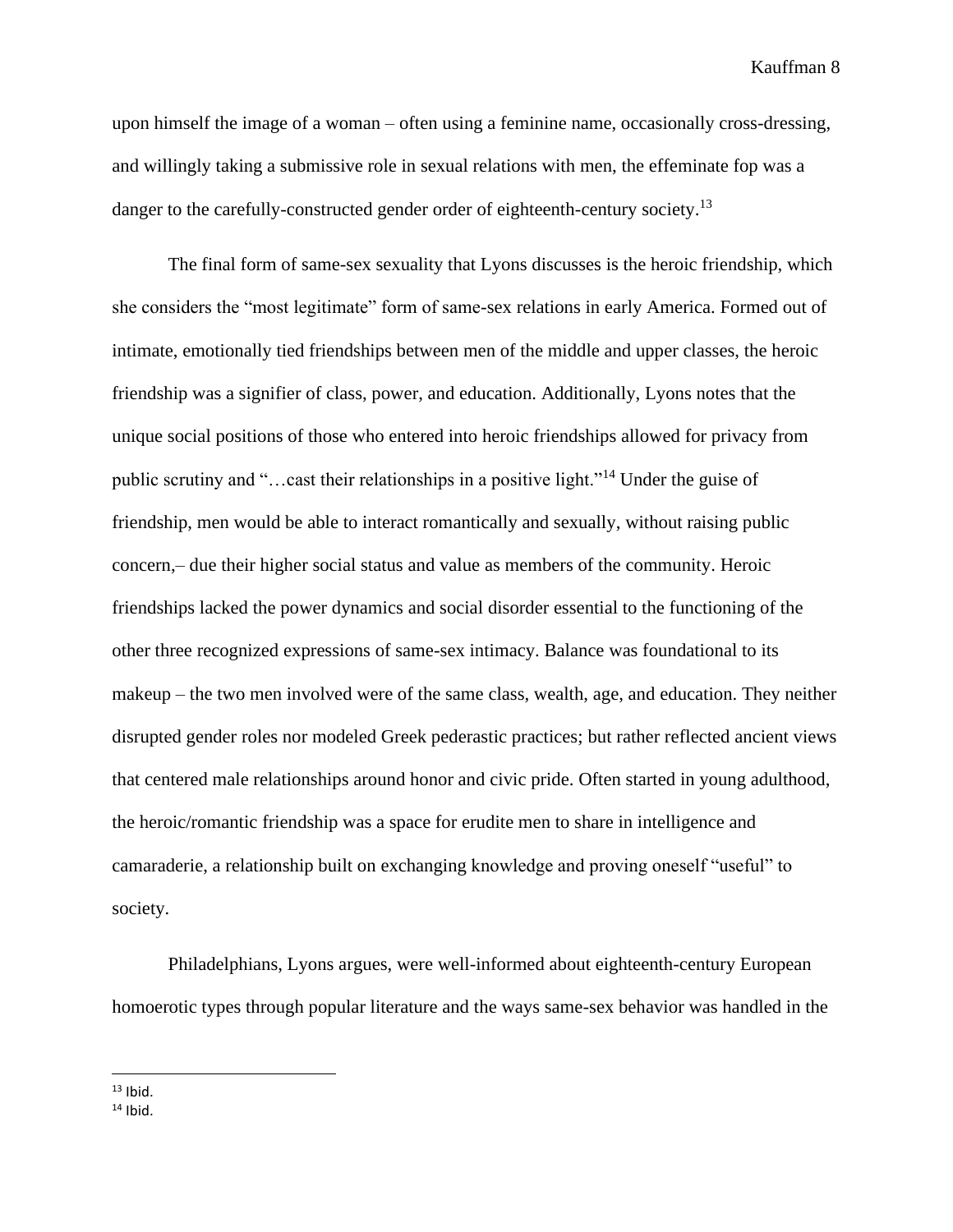upon himself the image of a woman – often using a feminine name, occasionally cross-dressing, and willingly taking a submissive role in sexual relations with men, the effeminate fop was a danger to the carefully-constructed gender order of eighteenth-century society.<sup>13</sup>

The final form of same-sex sexuality that Lyons discusses is the heroic friendship, which she considers the "most legitimate" form of same-sex relations in early America. Formed out of intimate, emotionally tied friendships between men of the middle and upper classes, the heroic friendship was a signifier of class, power, and education. Additionally, Lyons notes that the unique social positions of those who entered into heroic friendships allowed for privacy from public scrutiny and "…cast their relationships in a positive light."<sup>14</sup> Under the guise of friendship, men would be able to interact romantically and sexually, without raising public concern,– due their higher social status and value as members of the community. Heroic friendships lacked the power dynamics and social disorder essential to the functioning of the other three recognized expressions of same-sex intimacy. Balance was foundational to its makeup – the two men involved were of the same class, wealth, age, and education. They neither disrupted gender roles nor modeled Greek pederastic practices; but rather reflected ancient views that centered male relationships around honor and civic pride. Often started in young adulthood, the heroic/romantic friendship was a space for erudite men to share in intelligence and camaraderie, a relationship built on exchanging knowledge and proving oneself "useful" to society.

Philadelphians, Lyons argues, were well-informed about eighteenth-century European homoerotic types through popular literature and the ways same-sex behavior was handled in the

 $13$  Ibid.

 $14$  Ibid.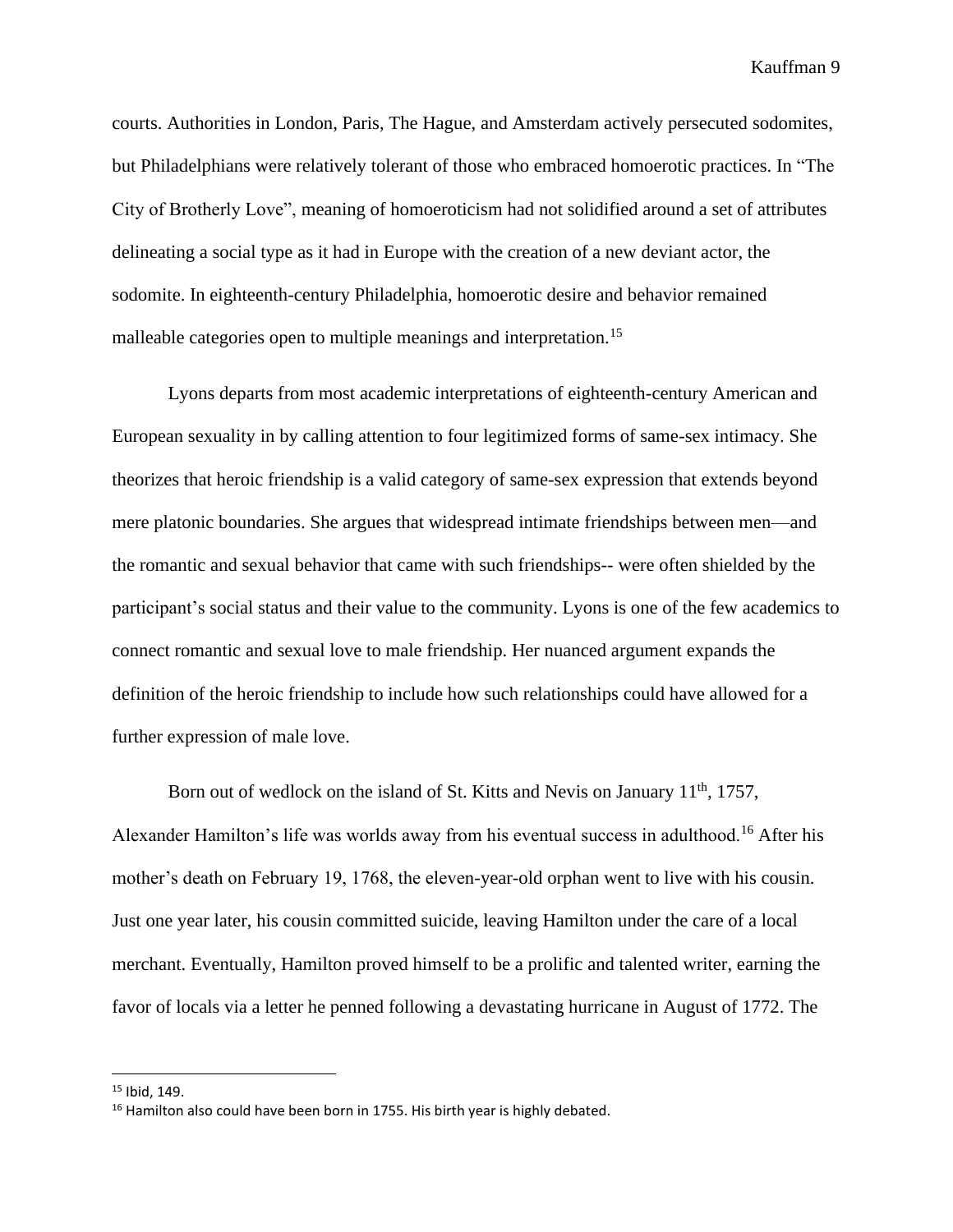courts. Authorities in London, Paris, The Hague, and Amsterdam actively persecuted sodomites, but Philadelphians were relatively tolerant of those who embraced homoerotic practices. In "The City of Brotherly Love", meaning of homoeroticism had not solidified around a set of attributes delineating a social type as it had in Europe with the creation of a new deviant actor, the sodomite. In eighteenth-century Philadelphia, homoerotic desire and behavior remained malleable categories open to multiple meanings and interpretation.<sup>15</sup>

Lyons departs from most academic interpretations of eighteenth-century American and European sexuality in by calling attention to four legitimized forms of same-sex intimacy. She theorizes that heroic friendship is a valid category of same-sex expression that extends beyond mere platonic boundaries. She argues that widespread intimate friendships between men—and the romantic and sexual behavior that came with such friendships-- were often shielded by the participant's social status and their value to the community. Lyons is one of the few academics to connect romantic and sexual love to male friendship. Her nuanced argument expands the definition of the heroic friendship to include how such relationships could have allowed for a further expression of male love.

Born out of wedlock on the island of St. Kitts and Nevis on January  $11<sup>th</sup>$ , 1757, Alexander Hamilton's life was worlds away from his eventual success in adulthood.<sup>16</sup> After his mother's death on February 19, 1768, the eleven-year-old orphan went to live with his cousin. Just one year later, his cousin committed suicide, leaving Hamilton under the care of a local merchant. Eventually, Hamilton proved himself to be a prolific and talented writer, earning the favor of locals via a letter he penned following a devastating hurricane in August of 1772. The

<sup>15</sup> Ibid, 149.

<sup>&</sup>lt;sup>16</sup> Hamilton also could have been born in 1755. His birth year is highly debated.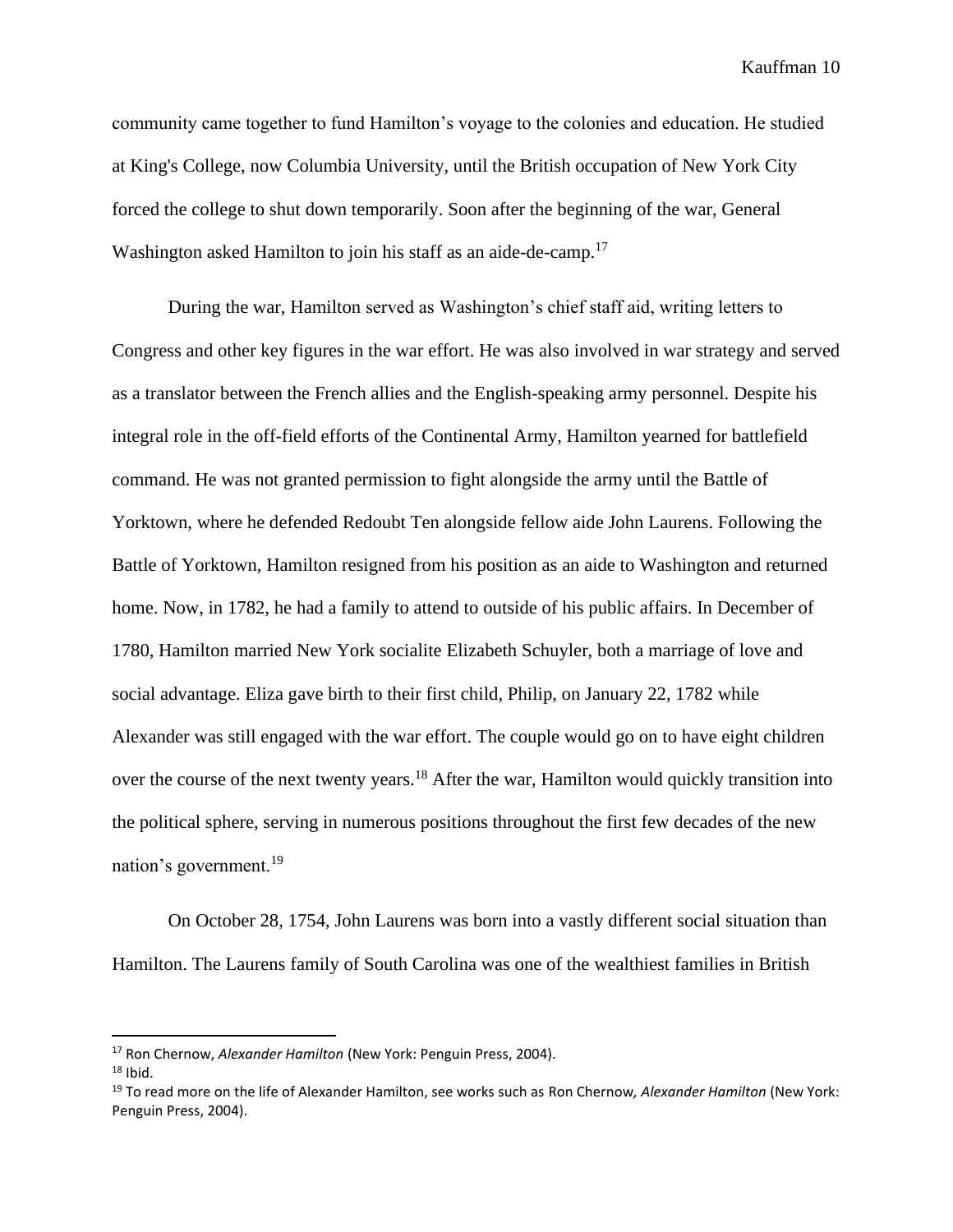community came together to fund Hamilton's voyage to the colonies and education. He studied at King's College, now Columbia University, until the British occupation of New York City forced the college to shut down temporarily. Soon after the beginning of the war, General Washington asked Hamilton to join his staff as an aide-de-camp.<sup>17</sup>

During the war, Hamilton served as Washington's chief staff aid, writing letters to Congress and other key figures in the war effort. He was also involved in war strategy and served as a translator between the French allies and the English-speaking army personnel. Despite his integral role in the off-field efforts of the Continental Army, Hamilton yearned for battlefield command. He was not granted permission to fight alongside the army until the Battle of Yorktown, where he defended Redoubt Ten alongside fellow aide John Laurens. Following the Battle of Yorktown, Hamilton resigned from his position as an aide to Washington and returned home. Now, in 1782, he had a family to attend to outside of his public affairs. In December of 1780, Hamilton married New York socialite Elizabeth Schuyler, both a marriage of love and social advantage. Eliza gave birth to their first child, Philip, on January 22, 1782 while Alexander was still engaged with the war effort. The couple would go on to have eight children over the course of the next twenty years.<sup>18</sup> After the war, Hamilton would quickly transition into the political sphere, serving in numerous positions throughout the first few decades of the new nation's government.<sup>19</sup>

On October 28, 1754, John Laurens was born into a vastly different social situation than Hamilton. The Laurens family of South Carolina was one of the wealthiest families in British

<sup>17</sup> Ron Chernow, *Alexander Hamilton* (New York: Penguin Press, 2004).

 $18$  Ibid.

<sup>19</sup> To read more on the life of Alexander Hamilton, see works such as Ron Chernow*, Alexander Hamilton* (New York: Penguin Press, 2004).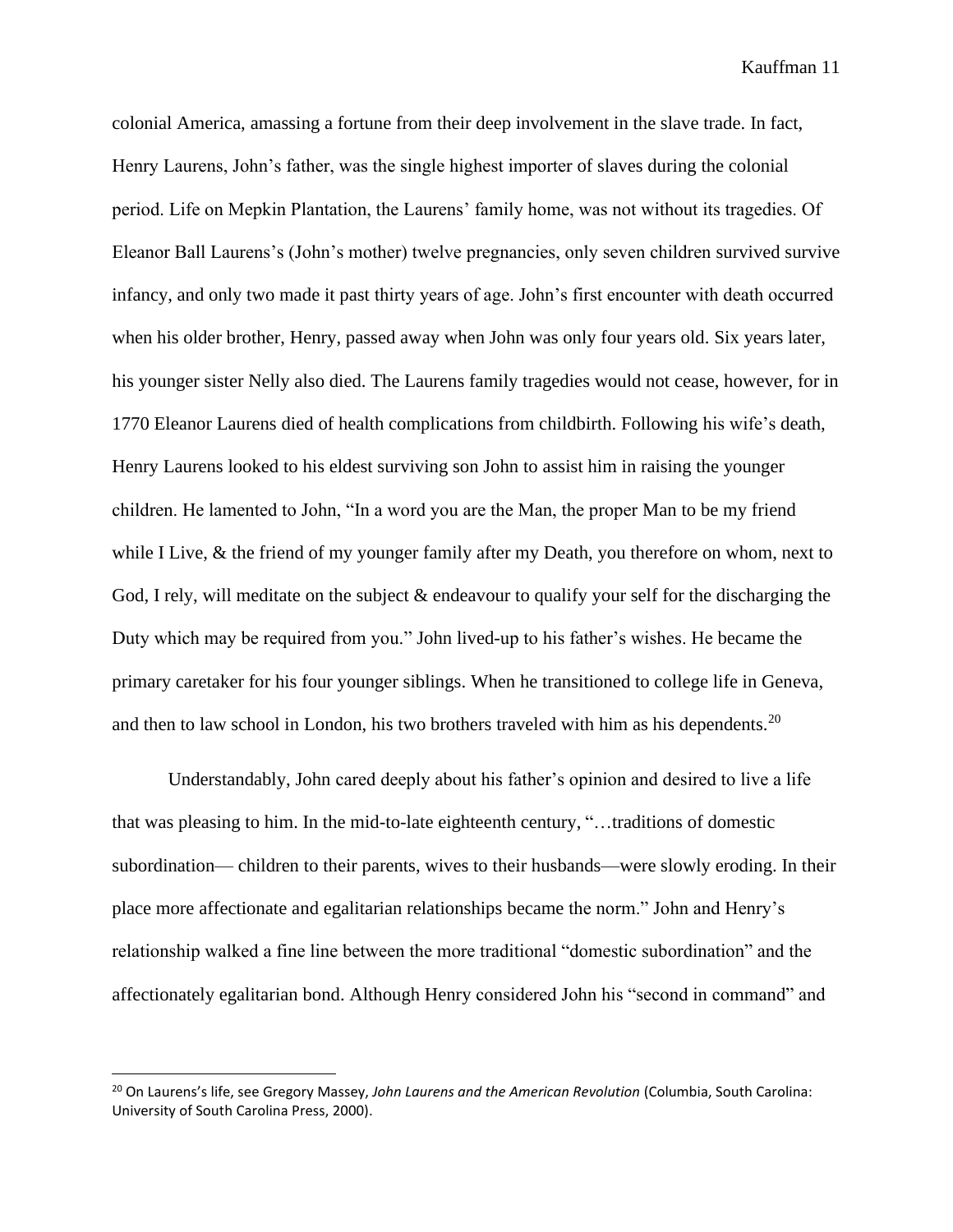colonial America, amassing a fortune from their deep involvement in the slave trade. In fact, Henry Laurens, John's father, was the single highest importer of slaves during the colonial period. Life on Mepkin Plantation, the Laurens' family home, was not without its tragedies. Of Eleanor Ball Laurens's (John's mother) twelve pregnancies, only seven children survived survive infancy, and only two made it past thirty years of age. John's first encounter with death occurred when his older brother, Henry, passed away when John was only four years old. Six years later, his younger sister Nelly also died. The Laurens family tragedies would not cease, however, for in 1770 Eleanor Laurens died of health complications from childbirth. Following his wife's death, Henry Laurens looked to his eldest surviving son John to assist him in raising the younger children. He lamented to John, "In a word you are the Man, the proper Man to be my friend while I Live, & the friend of my younger family after my Death, you therefore on whom, next to God, I rely, will meditate on the subject  $\&$  endeavour to qualify your self for the discharging the Duty which may be required from you." John lived-up to his father's wishes. He became the primary caretaker for his four younger siblings. When he transitioned to college life in Geneva, and then to law school in London, his two brothers traveled with him as his dependents.<sup>20</sup>

Understandably, John cared deeply about his father's opinion and desired to live a life that was pleasing to him. In the mid-to-late eighteenth century, "…traditions of domestic subordination— children to their parents, wives to their husbands—were slowly eroding. In their place more affectionate and egalitarian relationships became the norm." John and Henry's relationship walked a fine line between the more traditional "domestic subordination" and the affectionately egalitarian bond. Although Henry considered John his "second in command" and

<sup>20</sup> On Laurens's life, see Gregory Massey, *John Laurens and the American Revolution* (Columbia, South Carolina: University of South Carolina Press, 2000).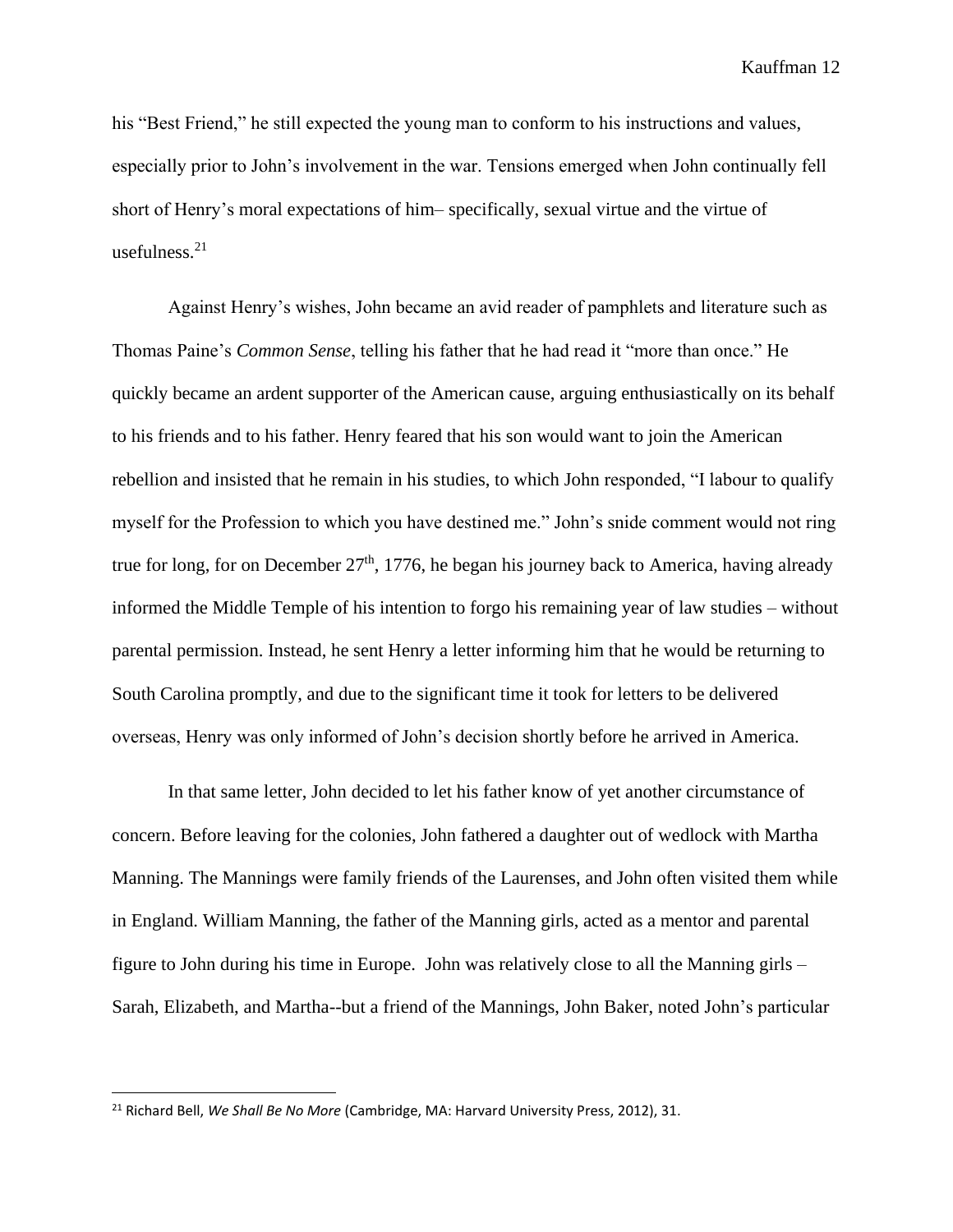his "Best Friend," he still expected the young man to conform to his instructions and values, especially prior to John's involvement in the war. Tensions emerged when John continually fell short of Henry's moral expectations of him– specifically, sexual virtue and the virtue of usefulness.<sup>21</sup>

Against Henry's wishes, John became an avid reader of pamphlets and literature such as Thomas Paine's *Common Sense*, telling his father that he had read it "more than once." He quickly became an ardent supporter of the American cause, arguing enthusiastically on its behalf to his friends and to his father. Henry feared that his son would want to join the American rebellion and insisted that he remain in his studies, to which John responded, "I labour to qualify myself for the Profession to which you have destined me." John's snide comment would not ring true for long, for on December  $27<sup>th</sup>$ , 1776, he began his journey back to America, having already informed the Middle Temple of his intention to forgo his remaining year of law studies – without parental permission. Instead, he sent Henry a letter informing him that he would be returning to South Carolina promptly, and due to the significant time it took for letters to be delivered overseas, Henry was only informed of John's decision shortly before he arrived in America.

In that same letter, John decided to let his father know of yet another circumstance of concern. Before leaving for the colonies, John fathered a daughter out of wedlock with Martha Manning. The Mannings were family friends of the Laurenses, and John often visited them while in England. William Manning, the father of the Manning girls, acted as a mentor and parental figure to John during his time in Europe. John was relatively close to all the Manning girls – Sarah, Elizabeth, and Martha--but a friend of the Mannings, John Baker, noted John's particular

<sup>21</sup> Richard Bell, *We Shall Be No More* (Cambridge, MA: Harvard University Press, 2012), 31.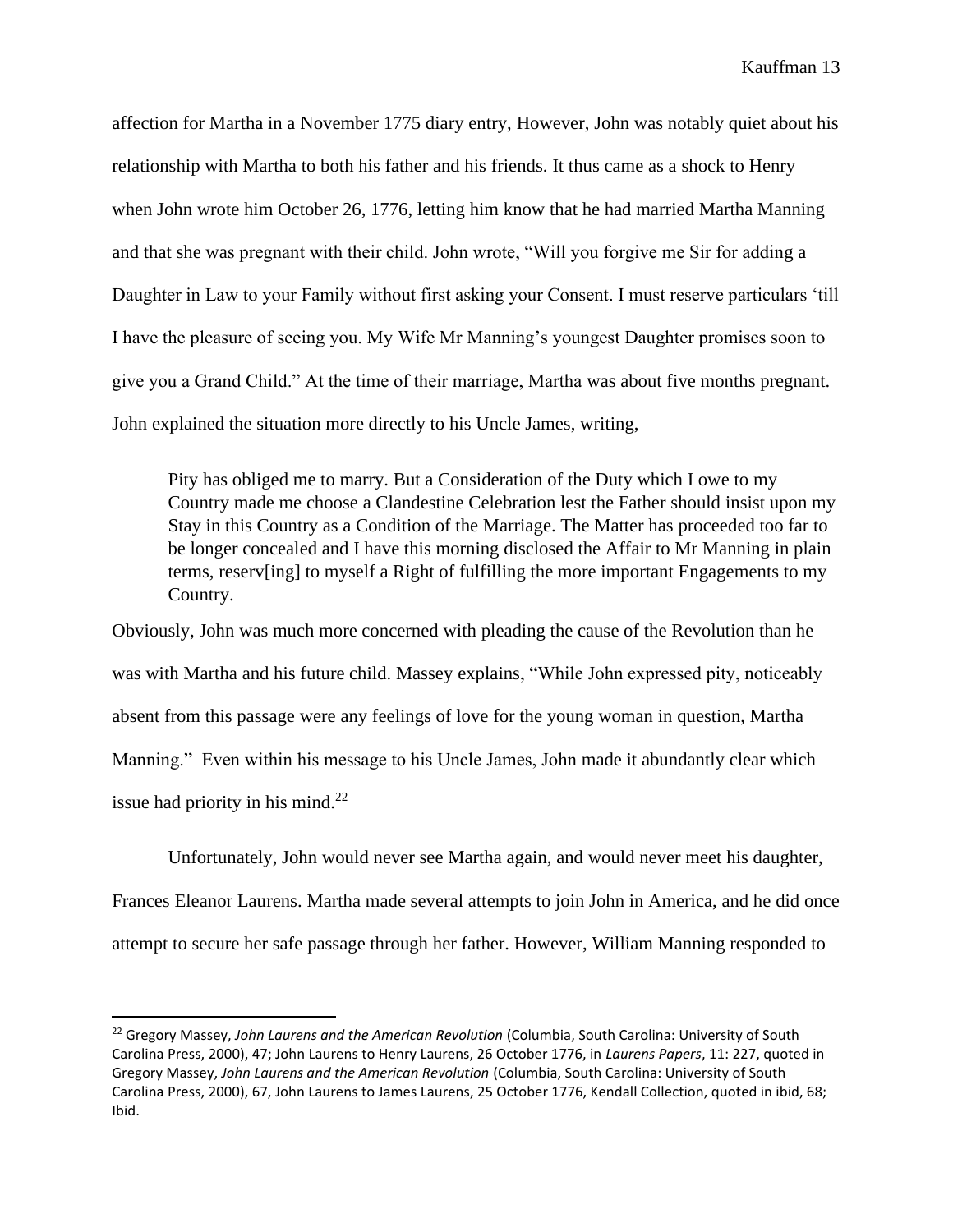affection for Martha in a November 1775 diary entry, However, John was notably quiet about his relationship with Martha to both his father and his friends. It thus came as a shock to Henry when John wrote him October 26, 1776, letting him know that he had married Martha Manning and that she was pregnant with their child. John wrote, "Will you forgive me Sir for adding a Daughter in Law to your Family without first asking your Consent. I must reserve particulars 'till I have the pleasure of seeing you. My Wife Mr Manning's youngest Daughter promises soon to give you a Grand Child." At the time of their marriage, Martha was about five months pregnant. John explained the situation more directly to his Uncle James, writing,

Pity has obliged me to marry. But a Consideration of the Duty which I owe to my Country made me choose a Clandestine Celebration lest the Father should insist upon my Stay in this Country as a Condition of the Marriage. The Matter has proceeded too far to be longer concealed and I have this morning disclosed the Affair to Mr Manning in plain terms, reserv[ing] to myself a Right of fulfilling the more important Engagements to my Country.

Obviously, John was much more concerned with pleading the cause of the Revolution than he was with Martha and his future child. Massey explains, "While John expressed pity, noticeably absent from this passage were any feelings of love for the young woman in question, Martha Manning." Even within his message to his Uncle James, John made it abundantly clear which issue had priority in his mind.<sup>22</sup>

Unfortunately, John would never see Martha again, and would never meet his daughter,

Frances Eleanor Laurens. Martha made several attempts to join John in America, and he did once attempt to secure her safe passage through her father. However, William Manning responded to

<sup>22</sup> Gregory Massey, *John Laurens and the American Revolution* (Columbia, South Carolina: University of South Carolina Press, 2000), 47; John Laurens to Henry Laurens, 26 October 1776, in *Laurens Papers*, 11: 227, quoted in Gregory Massey, *John Laurens and the American Revolution* (Columbia, South Carolina: University of South Carolina Press, 2000), 67, John Laurens to James Laurens, 25 October 1776, Kendall Collection, quoted in ibid, 68; Ibid.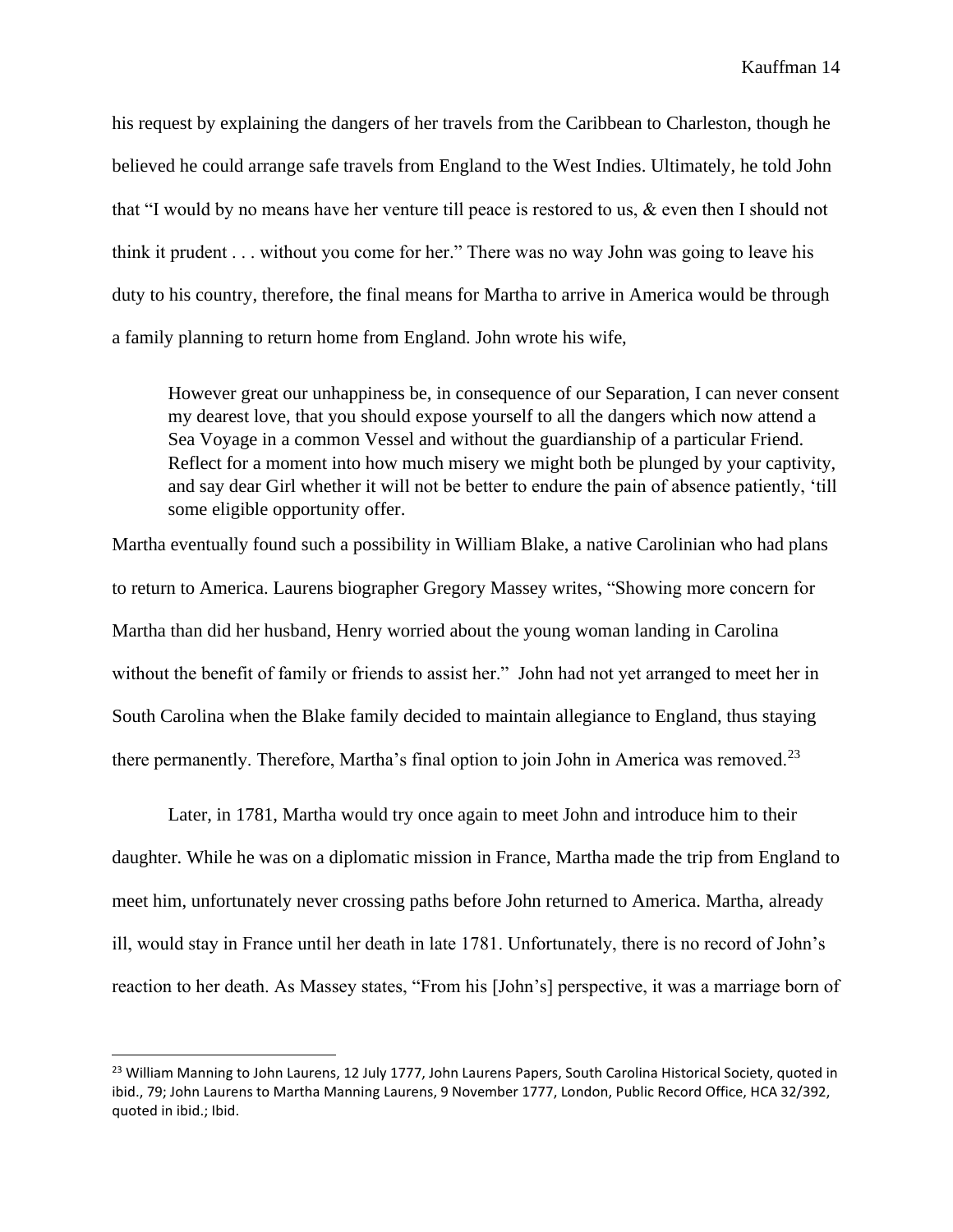his request by explaining the dangers of her travels from the Caribbean to Charleston, though he believed he could arrange safe travels from England to the West Indies. Ultimately, he told John that "I would by no means have her venture till peace is restored to us, & even then I should not think it prudent . . . without you come for her." There was no way John was going to leave his duty to his country, therefore, the final means for Martha to arrive in America would be through a family planning to return home from England. John wrote his wife,

However great our unhappiness be, in consequence of our Separation, I can never consent my dearest love, that you should expose yourself to all the dangers which now attend a Sea Voyage in a common Vessel and without the guardianship of a particular Friend. Reflect for a moment into how much misery we might both be plunged by your captivity, and say dear Girl whether it will not be better to endure the pain of absence patiently, 'till some eligible opportunity offer.

Martha eventually found such a possibility in William Blake, a native Carolinian who had plans to return to America. Laurens biographer Gregory Massey writes, "Showing more concern for Martha than did her husband, Henry worried about the young woman landing in Carolina without the benefit of family or friends to assist her." John had not yet arranged to meet her in South Carolina when the Blake family decided to maintain allegiance to England, thus staying there permanently. Therefore, Martha's final option to join John in America was removed.<sup>23</sup>

Later, in 1781, Martha would try once again to meet John and introduce him to their daughter. While he was on a diplomatic mission in France, Martha made the trip from England to meet him, unfortunately never crossing paths before John returned to America. Martha, already ill, would stay in France until her death in late 1781. Unfortunately, there is no record of John's reaction to her death. As Massey states, "From his [John's] perspective, it was a marriage born of

<sup>&</sup>lt;sup>23</sup> William Manning to John Laurens, 12 July 1777, John Laurens Papers, South Carolina Historical Society, quoted in ibid., 79; John Laurens to Martha Manning Laurens, 9 November 1777, London, Public Record Office, HCA 32/392, quoted in ibid.; Ibid.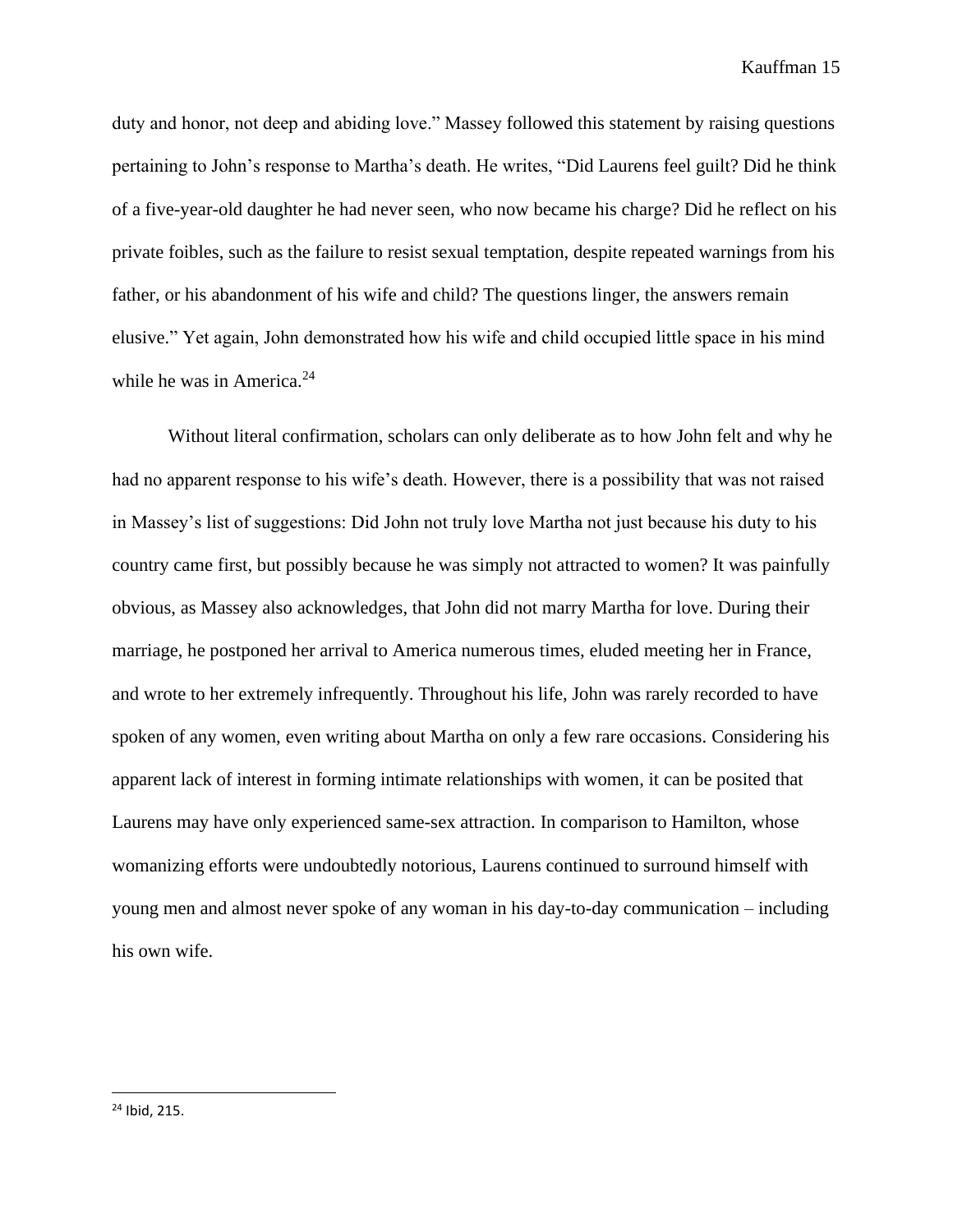duty and honor, not deep and abiding love." Massey followed this statement by raising questions pertaining to John's response to Martha's death. He writes, "Did Laurens feel guilt? Did he think of a five-year-old daughter he had never seen, who now became his charge? Did he reflect on his private foibles, such as the failure to resist sexual temptation, despite repeated warnings from his father, or his abandonment of his wife and child? The questions linger, the answers remain elusive." Yet again, John demonstrated how his wife and child occupied little space in his mind while he was in America.<sup>24</sup>

Without literal confirmation, scholars can only deliberate as to how John felt and why he had no apparent response to his wife's death. However, there is a possibility that was not raised in Massey's list of suggestions: Did John not truly love Martha not just because his duty to his country came first, but possibly because he was simply not attracted to women? It was painfully obvious, as Massey also acknowledges, that John did not marry Martha for love. During their marriage, he postponed her arrival to America numerous times, eluded meeting her in France, and wrote to her extremely infrequently. Throughout his life, John was rarely recorded to have spoken of any women, even writing about Martha on only a few rare occasions. Considering his apparent lack of interest in forming intimate relationships with women, it can be posited that Laurens may have only experienced same-sex attraction. In comparison to Hamilton, whose womanizing efforts were undoubtedly notorious, Laurens continued to surround himself with young men and almost never spoke of any woman in his day-to-day communication – including his own wife.

<sup>24</sup> Ibid, 215.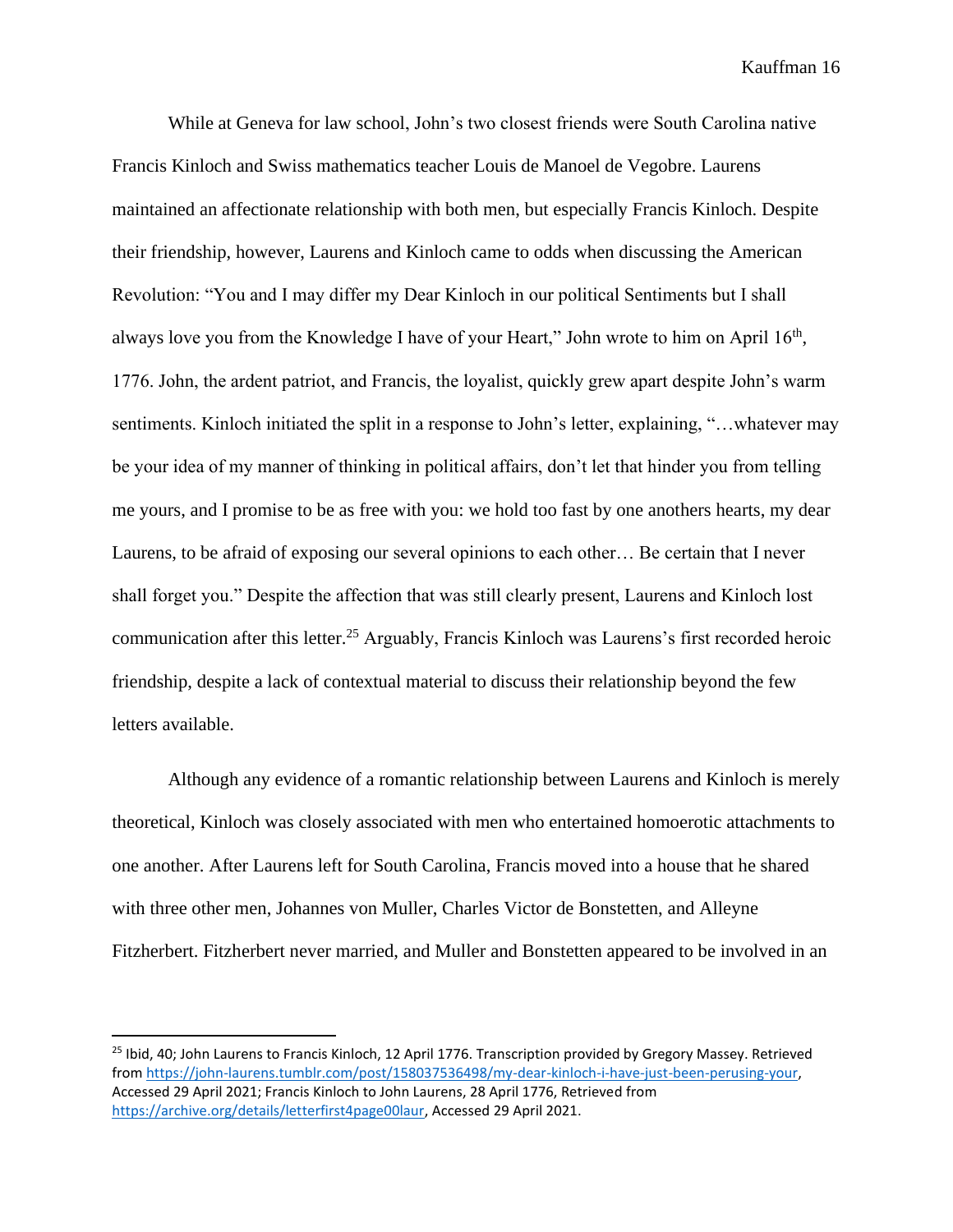While at Geneva for law school, John's two closest friends were South Carolina native Francis Kinloch and Swiss mathematics teacher Louis de Manoel de Vegobre. Laurens maintained an affectionate relationship with both men, but especially Francis Kinloch. Despite their friendship, however, Laurens and Kinloch came to odds when discussing the American Revolution: "You and I may differ my Dear Kinloch in our political Sentiments but I shall always love you from the Knowledge I have of your Heart," John wrote to him on April 16<sup>th</sup>, 1776. John, the ardent patriot, and Francis, the loyalist, quickly grew apart despite John's warm sentiments. Kinloch initiated the split in a response to John's letter, explaining, "…whatever may be your idea of my manner of thinking in political affairs, don't let that hinder you from telling me yours, and I promise to be as free with you: we hold too fast by one anothers hearts, my dear Laurens, to be afraid of exposing our several opinions to each other… Be certain that I never shall forget you." Despite the affection that was still clearly present, Laurens and Kinloch lost communication after this letter.<sup>25</sup> Arguably, Francis Kinloch was Laurens's first recorded heroic friendship, despite a lack of contextual material to discuss their relationship beyond the few letters available.

Although any evidence of a romantic relationship between Laurens and Kinloch is merely theoretical, Kinloch was closely associated with men who entertained homoerotic attachments to one another. After Laurens left for South Carolina, Francis moved into a house that he shared with three other men, Johannes von Muller, Charles Victor de Bonstetten, and Alleyne Fitzherbert. Fitzherbert never married, and Muller and Bonstetten appeared to be involved in an

<sup>&</sup>lt;sup>25</sup> Ibid, 40; John Laurens to Francis Kinloch, 12 April 1776. Transcription provided by Gregory Massey. Retrieved from [https://john-laurens.tumblr.com/post/158037536498/my-dear-kinloch-i-have-just-been-perusing-your,](https://john-laurens.tumblr.com/post/158037536498/my-dear-kinloch-i-have-just-been-perusing-your) Accessed 29 April 2021; Francis Kinloch to John Laurens, 28 April 1776, Retrieved from [https://archive.org/details/letterfirst4page00laur,](https://archive.org/details/letterfirst4page00laur) Accessed 29 April 2021.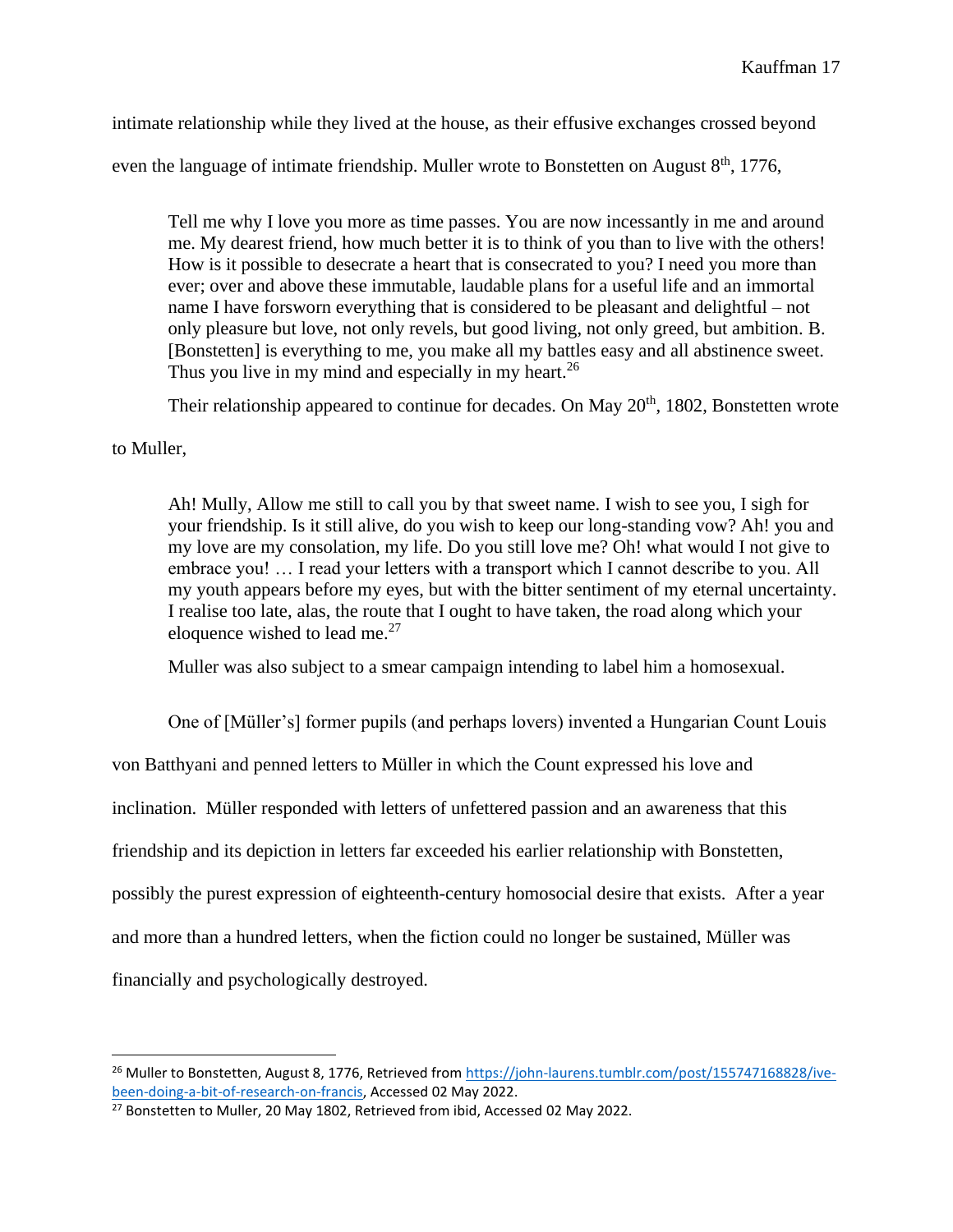intimate relationship while they lived at the house, as their effusive exchanges crossed beyond

even the language of intimate friendship. Muller wrote to Bonstetten on August  $8<sup>th</sup>$ , 1776,

Tell me why I love you more as time passes. You are now incessantly in me and around me. My dearest friend, how much better it is to think of you than to live with the others! How is it possible to desecrate a heart that is consecrated to you? I need you more than ever; over and above these immutable, laudable plans for a useful life and an immortal name I have forsworn everything that is considered to be pleasant and delightful – not only pleasure but love, not only revels, but good living, not only greed, but ambition. B. [Bonstetten] is everything to me, you make all my battles easy and all abstinence sweet. Thus you live in my mind and especially in my heart.<sup>26</sup>

Their relationship appeared to continue for decades. On May 20<sup>th</sup>, 1802, Bonstetten wrote

## to Muller,

Ah! Mully, Allow me still to call you by that sweet name. I wish to see you, I sigh for your friendship. Is it still alive, do you wish to keep our long-standing vow? Ah! you and my love are my consolation, my life. Do you still love me? Oh! what would I not give to embrace you! … I read your letters with a transport which I cannot describe to you. All my youth appears before my eyes, but with the bitter sentiment of my eternal uncertainty. I realise too late, alas, the route that I ought to have taken, the road along which your eloquence wished to lead me. $27$ 

Muller was also subject to a smear campaign intending to label him a homosexual.

One of [Müller's] former pupils (and perhaps lovers) invented a Hungarian Count Louis

von Batthyani and penned letters to Müller in which the Count expressed his love and

inclination. Müller responded with letters of unfettered passion and an awareness that this

friendship and its depiction in letters far exceeded his earlier relationship with Bonstetten,

possibly the purest expression of eighteenth-century homosocial desire that exists. After a year

and more than a hundred letters, when the fiction could no longer be sustained, Müller was

financially and psychologically destroyed.

<sup>&</sup>lt;sup>26</sup> Muller to Bonstetten, August 8, 1776, Retrieved from https://john-laurens.tumblr.com/post/155747168828/jve[been-doing-a-bit-of-research-on-francis,](https://john-laurens.tumblr.com/post/155747168828/ive-been-doing-a-bit-of-research-on-francis) Accessed 02 May 2022.

<sup>&</sup>lt;sup>27</sup> Bonstetten to Muller, 20 May 1802, Retrieved from ibid, Accessed 02 May 2022.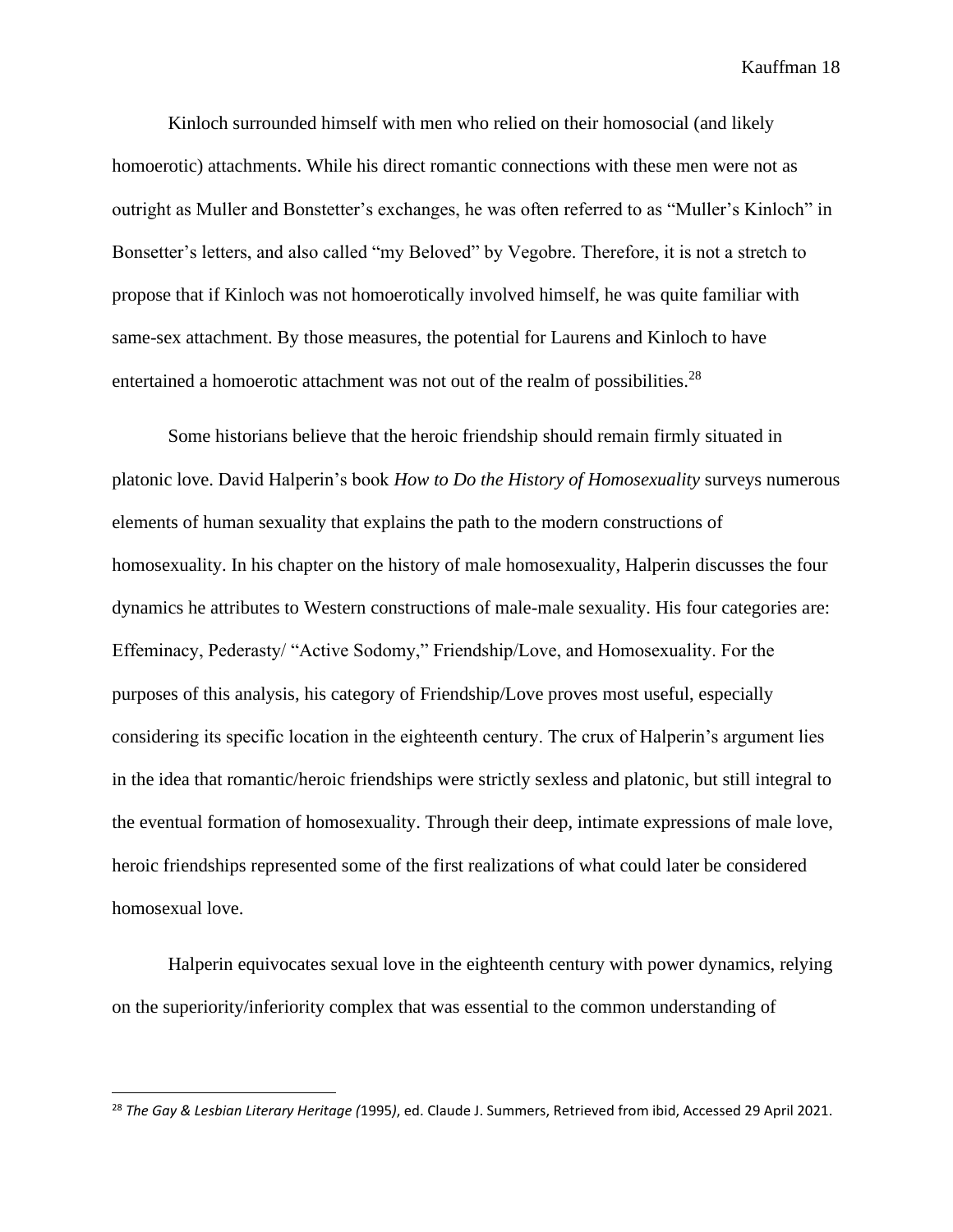Kinloch surrounded himself with men who relied on their homosocial (and likely homoerotic) attachments. While his direct romantic connections with these men were not as outright as Muller and Bonstetter's exchanges, he was often referred to as "Muller's Kinloch" in Bonsetter's letters, and also called "my Beloved" by Vegobre. Therefore, it is not a stretch to propose that if Kinloch was not homoerotically involved himself, he was quite familiar with same-sex attachment. By those measures, the potential for Laurens and Kinloch to have entertained a homoerotic attachment was not out of the realm of possibilities.<sup>28</sup>

Some historians believe that the heroic friendship should remain firmly situated in platonic love. David Halperin's book *How to Do the History of Homosexuality* surveys numerous elements of human sexuality that explains the path to the modern constructions of homosexuality. In his chapter on the history of male homosexuality, Halperin discusses the four dynamics he attributes to Western constructions of male-male sexuality. His four categories are: Effeminacy, Pederasty/ "Active Sodomy," Friendship/Love, and Homosexuality. For the purposes of this analysis, his category of Friendship/Love proves most useful, especially considering its specific location in the eighteenth century. The crux of Halperin's argument lies in the idea that romantic/heroic friendships were strictly sexless and platonic, but still integral to the eventual formation of homosexuality. Through their deep, intimate expressions of male love, heroic friendships represented some of the first realizations of what could later be considered homosexual love.

Halperin equivocates sexual love in the eighteenth century with power dynamics, relying on the superiority/inferiority complex that was essential to the common understanding of

<sup>28</sup> *The Gay & Lesbian Literary Heritage (*1995*)*, ed. Claude J. Summers, Retrieved from ibid, Accessed 29 April 2021.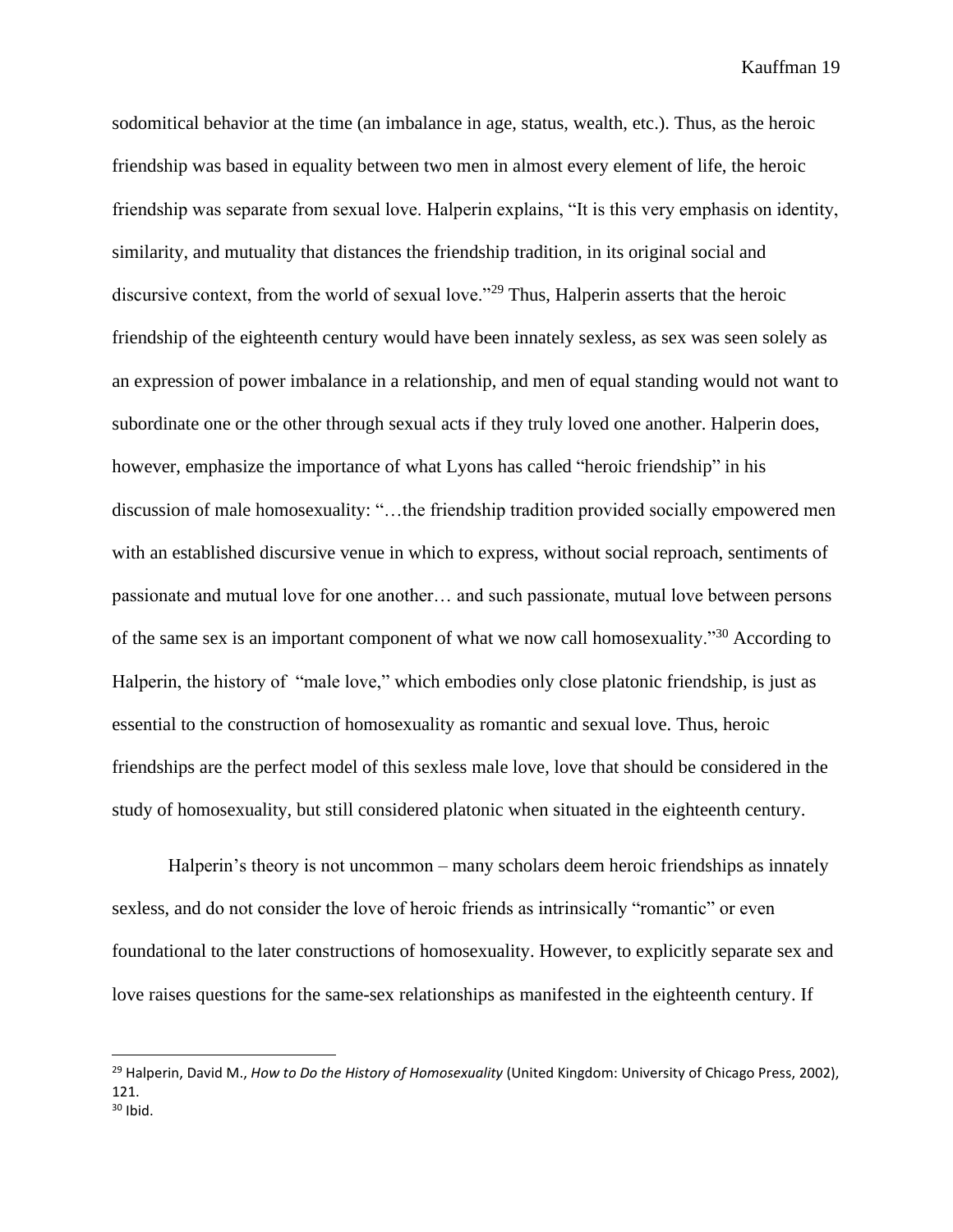sodomitical behavior at the time (an imbalance in age, status, wealth, etc.). Thus, as the heroic friendship was based in equality between two men in almost every element of life, the heroic friendship was separate from sexual love. Halperin explains, "It is this very emphasis on identity, similarity, and mutuality that distances the friendship tradition, in its original social and discursive context, from the world of sexual love."<sup>29</sup> Thus, Halperin asserts that the heroic friendship of the eighteenth century would have been innately sexless, as sex was seen solely as an expression of power imbalance in a relationship, and men of equal standing would not want to subordinate one or the other through sexual acts if they truly loved one another. Halperin does, however, emphasize the importance of what Lyons has called "heroic friendship" in his discussion of male homosexuality: "…the friendship tradition provided socially empowered men with an established discursive venue in which to express, without social reproach, sentiments of passionate and mutual love for one another… and such passionate, mutual love between persons of the same sex is an important component of what we now call homosexuality."<sup>30</sup> According to Halperin, the history of "male love," which embodies only close platonic friendship, is just as essential to the construction of homosexuality as romantic and sexual love. Thus, heroic friendships are the perfect model of this sexless male love, love that should be considered in the study of homosexuality, but still considered platonic when situated in the eighteenth century.

Halperin's theory is not uncommon – many scholars deem heroic friendships as innately sexless, and do not consider the love of heroic friends as intrinsically "romantic" or even foundational to the later constructions of homosexuality. However, to explicitly separate sex and love raises questions for the same-sex relationships as manifested in the eighteenth century. If

<sup>29</sup> Halperin, David M., *How to Do the History of Homosexuality* (United Kingdom: University of Chicago Press, 2002), 121.  $30$  Ibid.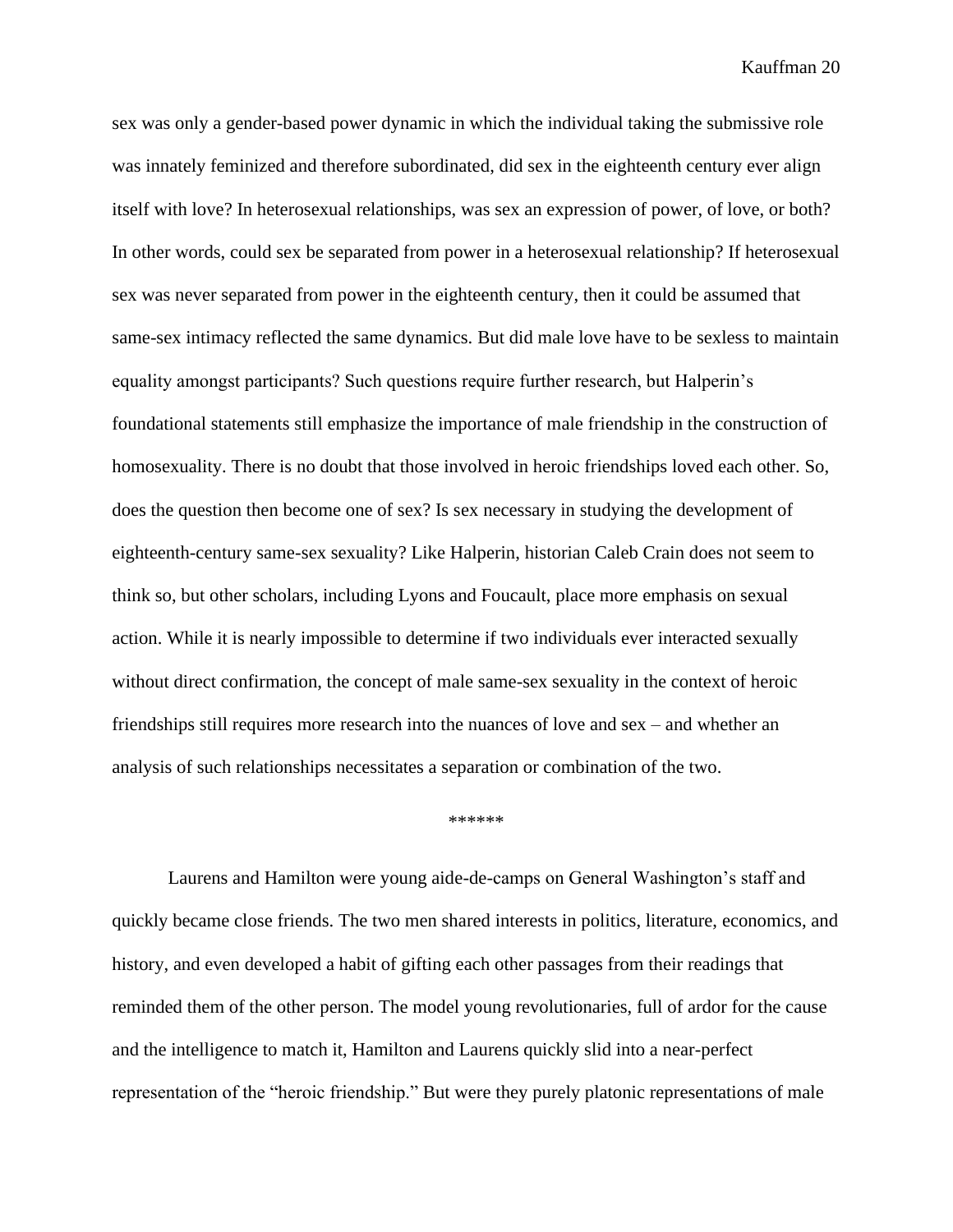sex was only a gender-based power dynamic in which the individual taking the submissive role was innately feminized and therefore subordinated, did sex in the eighteenth century ever align itself with love? In heterosexual relationships, was sex an expression of power, of love, or both? In other words, could sex be separated from power in a heterosexual relationship? If heterosexual sex was never separated from power in the eighteenth century, then it could be assumed that same-sex intimacy reflected the same dynamics. But did male love have to be sexless to maintain equality amongst participants? Such questions require further research, but Halperin's foundational statements still emphasize the importance of male friendship in the construction of homosexuality. There is no doubt that those involved in heroic friendships loved each other. So, does the question then become one of sex? Is sex necessary in studying the development of eighteenth-century same-sex sexuality? Like Halperin, historian Caleb Crain does not seem to think so, but other scholars, including Lyons and Foucault, place more emphasis on sexual action. While it is nearly impossible to determine if two individuals ever interacted sexually without direct confirmation, the concept of male same-sex sexuality in the context of heroic friendships still requires more research into the nuances of love and sex – and whether an analysis of such relationships necessitates a separation or combination of the two.

\*\*\*\*\*\*

Laurens and Hamilton were young aide-de-camps on General Washington's staff and quickly became close friends. The two men shared interests in politics, literature, economics, and history, and even developed a habit of gifting each other passages from their readings that reminded them of the other person. The model young revolutionaries, full of ardor for the cause and the intelligence to match it, Hamilton and Laurens quickly slid into a near-perfect representation of the "heroic friendship." But were they purely platonic representations of male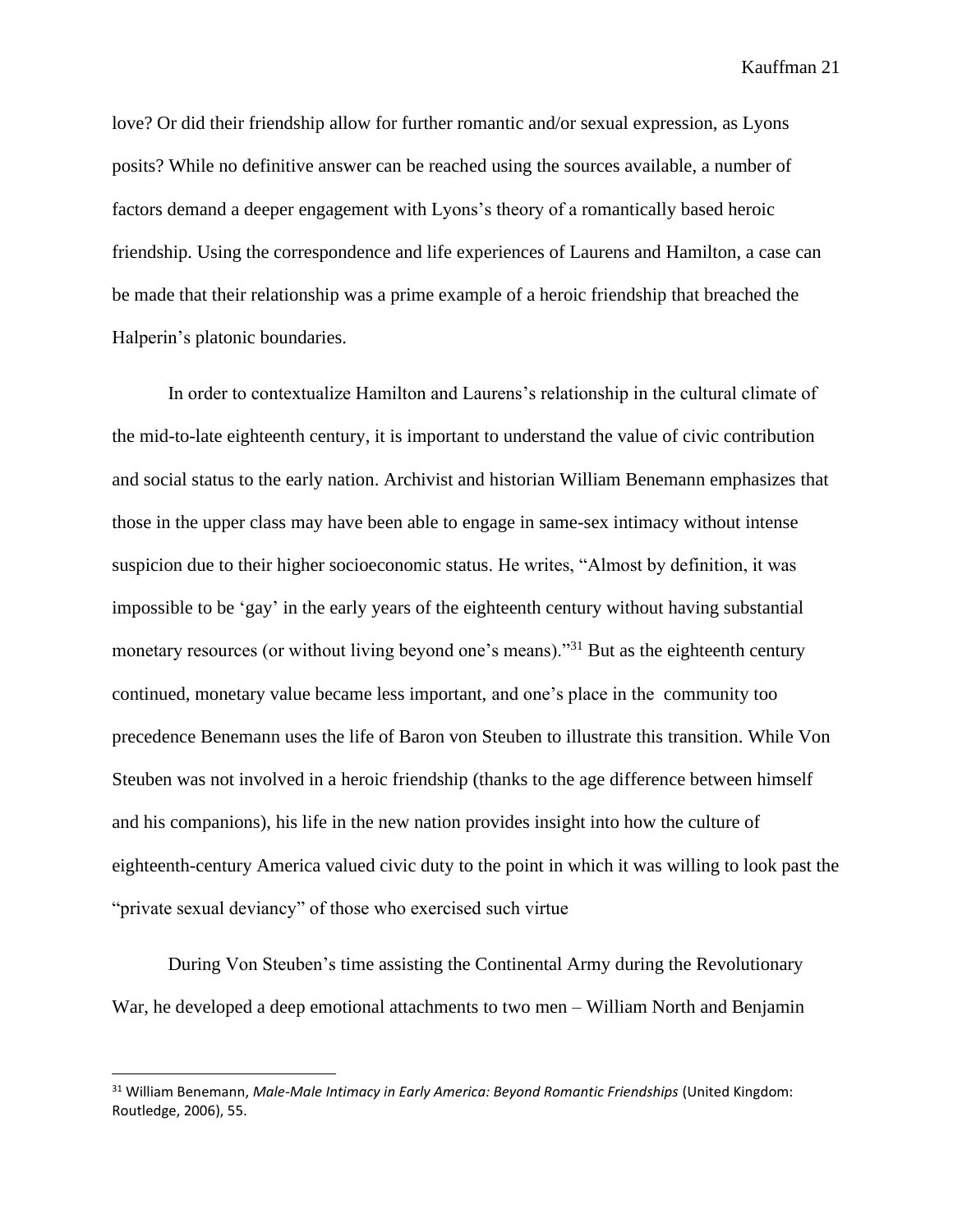love? Or did their friendship allow for further romantic and/or sexual expression, as Lyons posits? While no definitive answer can be reached using the sources available, a number of factors demand a deeper engagement with Lyons's theory of a romantically based heroic friendship. Using the correspondence and life experiences of Laurens and Hamilton, a case can be made that their relationship was a prime example of a heroic friendship that breached the Halperin's platonic boundaries.

In order to contextualize Hamilton and Laurens's relationship in the cultural climate of the mid-to-late eighteenth century, it is important to understand the value of civic contribution and social status to the early nation. Archivist and historian William Benemann emphasizes that those in the upper class may have been able to engage in same-sex intimacy without intense suspicion due to their higher socioeconomic status. He writes, "Almost by definition, it was impossible to be 'gay' in the early years of the eighteenth century without having substantial monetary resources (or without living beyond one's means)."<sup>31</sup> But as the eighteenth century continued, monetary value became less important, and one's place in the community too precedence Benemann uses the life of Baron von Steuben to illustrate this transition. While Von Steuben was not involved in a heroic friendship (thanks to the age difference between himself and his companions), his life in the new nation provides insight into how the culture of eighteenth-century America valued civic duty to the point in which it was willing to look past the "private sexual deviancy" of those who exercised such virtue

During Von Steuben's time assisting the Continental Army during the Revolutionary War, he developed a deep emotional attachments to two men – William North and Benjamin

<sup>31</sup> William Benemann, *Male-Male Intimacy in Early America: Beyond Romantic Friendships* (United Kingdom: Routledge, 2006), 55.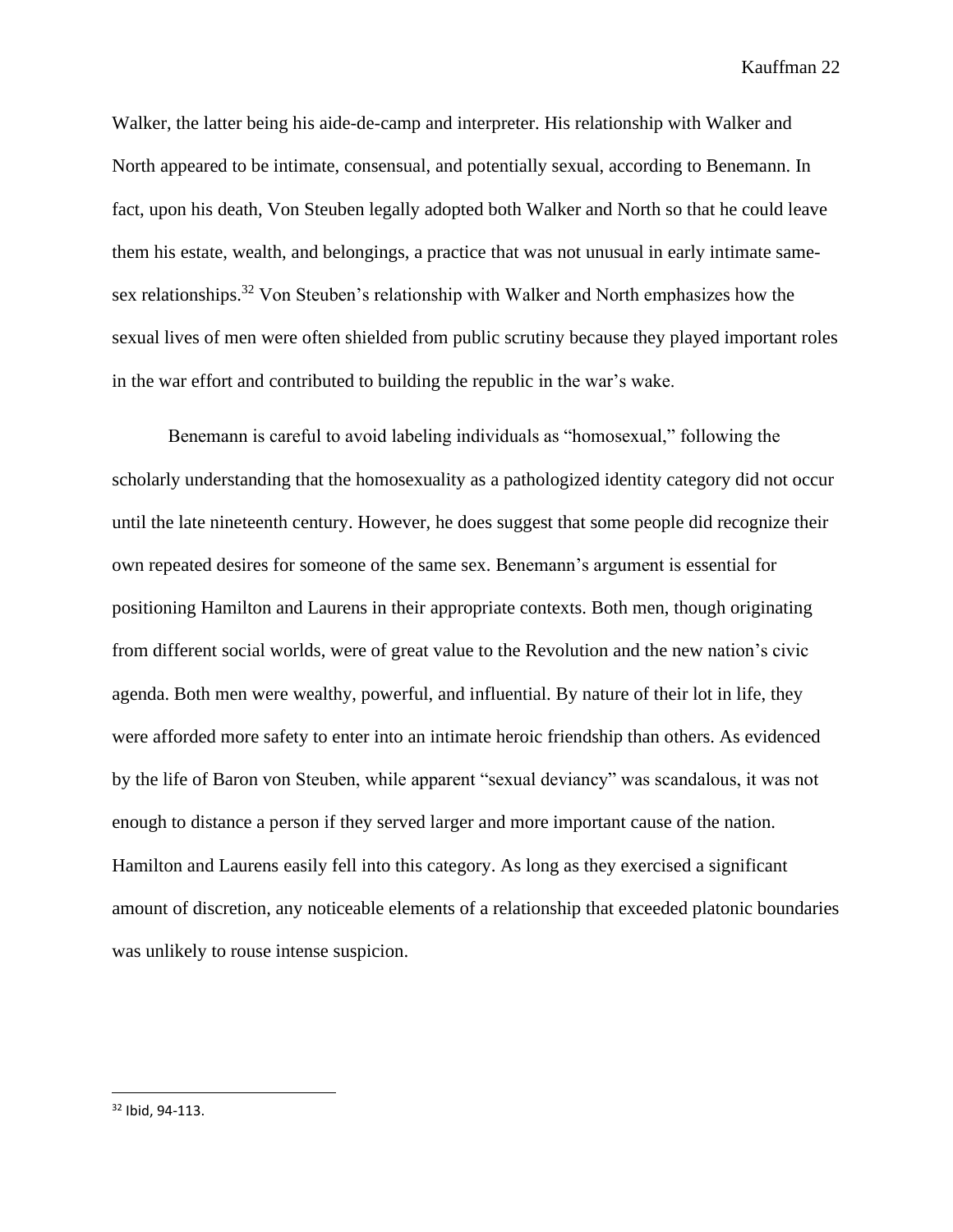Walker, the latter being his aide-de-camp and interpreter. His relationship with Walker and North appeared to be intimate, consensual, and potentially sexual, according to Benemann. In fact, upon his death, Von Steuben legally adopted both Walker and North so that he could leave them his estate, wealth, and belongings, a practice that was not unusual in early intimate samesex relationships.<sup>32</sup> Von Steuben's relationship with Walker and North emphasizes how the sexual lives of men were often shielded from public scrutiny because they played important roles in the war effort and contributed to building the republic in the war's wake.

Benemann is careful to avoid labeling individuals as "homosexual," following the scholarly understanding that the homosexuality as a pathologized identity category did not occur until the late nineteenth century. However, he does suggest that some people did recognize their own repeated desires for someone of the same sex. Benemann's argument is essential for positioning Hamilton and Laurens in their appropriate contexts. Both men, though originating from different social worlds, were of great value to the Revolution and the new nation's civic agenda. Both men were wealthy, powerful, and influential. By nature of their lot in life, they were afforded more safety to enter into an intimate heroic friendship than others. As evidenced by the life of Baron von Steuben, while apparent "sexual deviancy" was scandalous, it was not enough to distance a person if they served larger and more important cause of the nation. Hamilton and Laurens easily fell into this category. As long as they exercised a significant amount of discretion, any noticeable elements of a relationship that exceeded platonic boundaries was unlikely to rouse intense suspicion.

<sup>32</sup> Ibid, 94-113.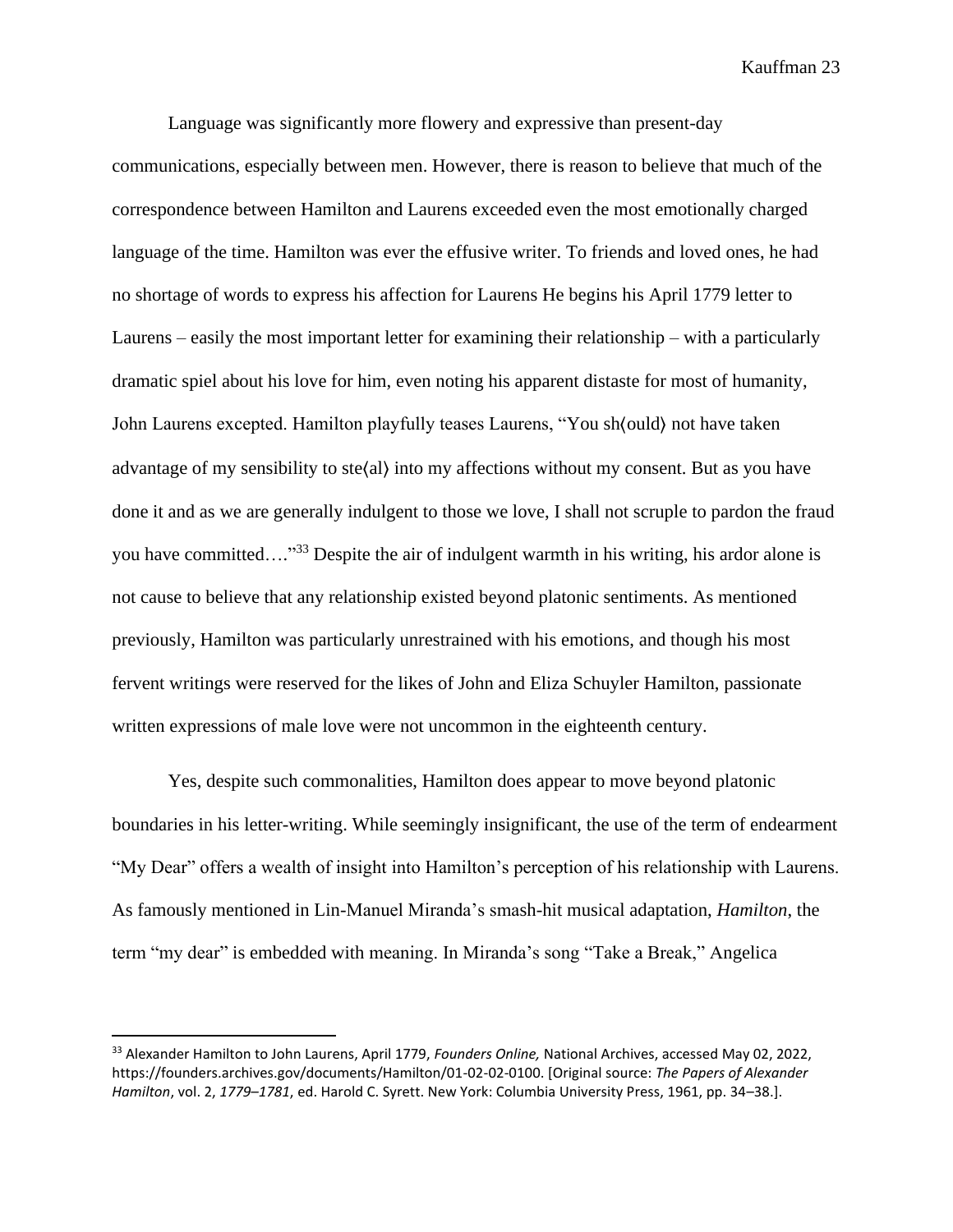Language was significantly more flowery and expressive than present-day communications, especially between men. However, there is reason to believe that much of the correspondence between Hamilton and Laurens exceeded even the most emotionally charged language of the time. Hamilton was ever the effusive writer. To friends and loved ones, he had no shortage of words to express his affection for Laurens He begins his April 1779 letter to Laurens – easily the most important letter for examining their relationship – with a particularly dramatic spiel about his love for him, even noting his apparent distaste for most of humanity, John Laurens excepted. Hamilton playfully teases Laurens, "You sh⟨ould⟩ not have taken advantage of my sensibility to ste⟨al⟩ into my affections without my consent. But as you have done it and as we are generally indulgent to those we love, I shall not scruple to pardon the fraud you have committed…." <sup>33</sup> Despite the air of indulgent warmth in his writing, his ardor alone is not cause to believe that any relationship existed beyond platonic sentiments. As mentioned previously, Hamilton was particularly unrestrained with his emotions, and though his most fervent writings were reserved for the likes of John and Eliza Schuyler Hamilton, passionate written expressions of male love were not uncommon in the eighteenth century.

Yes, despite such commonalities, Hamilton does appear to move beyond platonic boundaries in his letter-writing. While seemingly insignificant, the use of the term of endearment "My Dear" offers a wealth of insight into Hamilton's perception of his relationship with Laurens. As famously mentioned in Lin-Manuel Miranda's smash-hit musical adaptation, *Hamilton*, the term "my dear" is embedded with meaning. In Miranda's song "Take a Break," Angelica

<sup>33</sup> Alexander Hamilton to John Laurens, April 1779, *Founders Online,* National Archives, accessed May 02, 2022, https://founders.archives.gov/documents/Hamilton/01-02-02-0100. [Original source: *The Papers of Alexander Hamilton*, vol. 2, *1779–1781*, ed. Harold C. Syrett. New York: Columbia University Press, 1961, pp. 34–38.].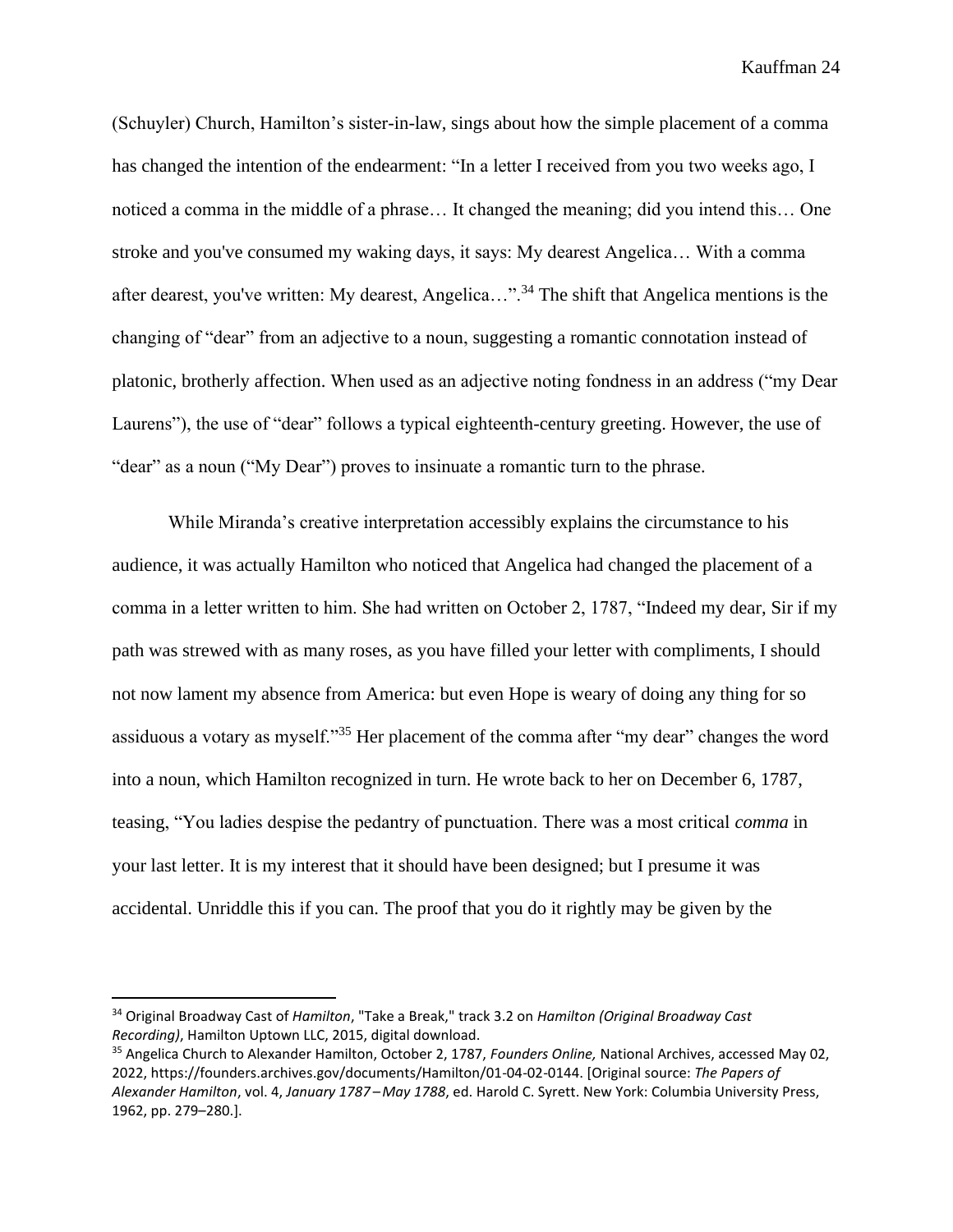(Schuyler) Church, Hamilton's sister-in-law, sings about how the simple placement of a comma has changed the intention of the endearment: "In a letter I received from you two weeks ago, I noticed a comma in the middle of a phrase… It changed the meaning; did you intend this… One stroke and you've consumed my waking days, it says: My dearest Angelica… With a comma after dearest, you've written: My dearest, Angelica…".<sup>34</sup> The shift that Angelica mentions is the changing of "dear" from an adjective to a noun, suggesting a romantic connotation instead of platonic, brotherly affection. When used as an adjective noting fondness in an address ("my Dear Laurens"), the use of "dear" follows a typical eighteenth-century greeting. However, the use of "dear" as a noun ("My Dear") proves to insinuate a romantic turn to the phrase.

While Miranda's creative interpretation accessibly explains the circumstance to his audience, it was actually Hamilton who noticed that Angelica had changed the placement of a comma in a letter written to him. She had written on October 2, 1787, "Indeed my dear, Sir if my path was strewed with as many roses, as you have filled your letter with compliments, I should not now lament my absence from America: but even Hope is weary of doing any thing for so assiduous a votary as myself."<sup>35</sup> Her placement of the comma after "my dear" changes the word into a noun, which Hamilton recognized in turn. He wrote back to her on December 6, 1787, teasing, "You ladies despise the pedantry of punctuation. There was a most critical *comma* in your last letter. It is my interest that it should have been designed; but I presume it was accidental. Unriddle this if you can. The proof that you do it rightly may be given by the

<sup>34</sup> Original Broadway Cast of *Hamilton*, "Take a Break," track 3.2 on *Hamilton (Original Broadway Cast Recording)*, Hamilton Uptown LLC, 2015, digital download.

<sup>35</sup> Angelica Church to Alexander Hamilton, October 2, 1787, *Founders Online,* National Archives, accessed May 02, 2022, https://founders.archives.gov/documents/Hamilton/01-04-02-0144. [Original source: *The Papers of Alexander Hamilton*, vol. 4, *January 1787 – May 1788*, ed. Harold C. Syrett. New York: Columbia University Press, 1962, pp. 279–280.].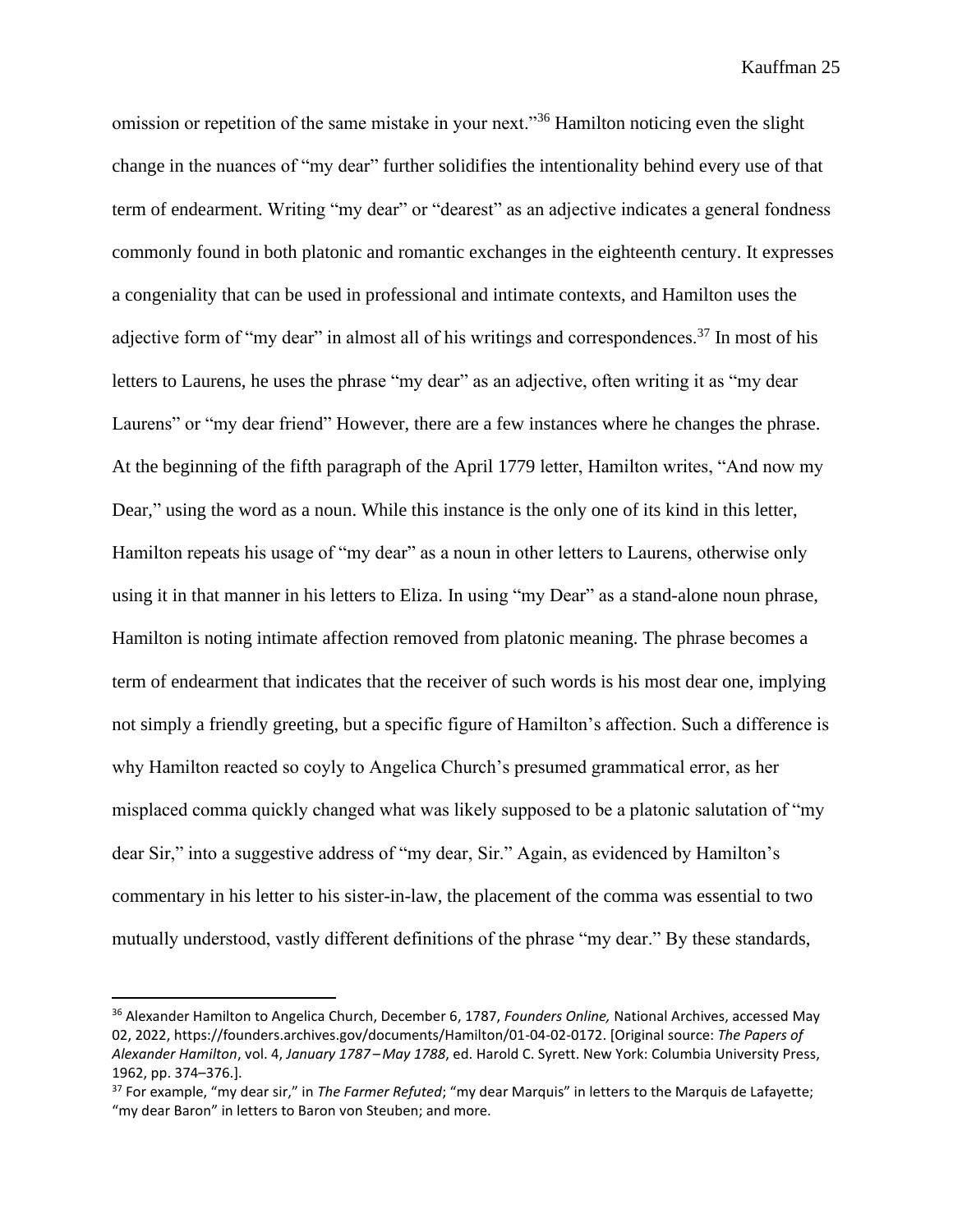omission or repetition of the same mistake in your next."<sup>36</sup> Hamilton noticing even the slight change in the nuances of "my dear" further solidifies the intentionality behind every use of that term of endearment. Writing "my dear" or "dearest" as an adjective indicates a general fondness commonly found in both platonic and romantic exchanges in the eighteenth century. It expresses a congeniality that can be used in professional and intimate contexts, and Hamilton uses the adjective form of "my dear" in almost all of his writings and correspondences.<sup>37</sup> In most of his letters to Laurens, he uses the phrase "my dear" as an adjective, often writing it as "my dear Laurens" or "my dear friend" However, there are a few instances where he changes the phrase. At the beginning of the fifth paragraph of the April 1779 letter, Hamilton writes, "And now my Dear," using the word as a noun. While this instance is the only one of its kind in this letter, Hamilton repeats his usage of "my dear" as a noun in other letters to Laurens, otherwise only using it in that manner in his letters to Eliza. In using "my Dear" as a stand-alone noun phrase, Hamilton is noting intimate affection removed from platonic meaning. The phrase becomes a term of endearment that indicates that the receiver of such words is his most dear one, implying not simply a friendly greeting, but a specific figure of Hamilton's affection. Such a difference is why Hamilton reacted so coyly to Angelica Church's presumed grammatical error, as her misplaced comma quickly changed what was likely supposed to be a platonic salutation of "my dear Sir," into a suggestive address of "my dear, Sir." Again, as evidenced by Hamilton's commentary in his letter to his sister-in-law, the placement of the comma was essential to two mutually understood, vastly different definitions of the phrase "my dear." By these standards,

<sup>36</sup> Alexander Hamilton to Angelica Church, December 6, 1787, *Founders Online,* National Archives, accessed May 02, 2022, https://founders.archives.gov/documents/Hamilton/01-04-02-0172. [Original source: *The Papers of Alexander Hamilton*, vol. 4, *January 1787 – May 1788*, ed. Harold C. Syrett. New York: Columbia University Press, 1962, pp. 374–376.].

<sup>37</sup> For example, "my dear sir," in *The Farmer Refuted*; "my dear Marquis" in letters to the Marquis de Lafayette; "my dear Baron" in letters to Baron von Steuben; and more.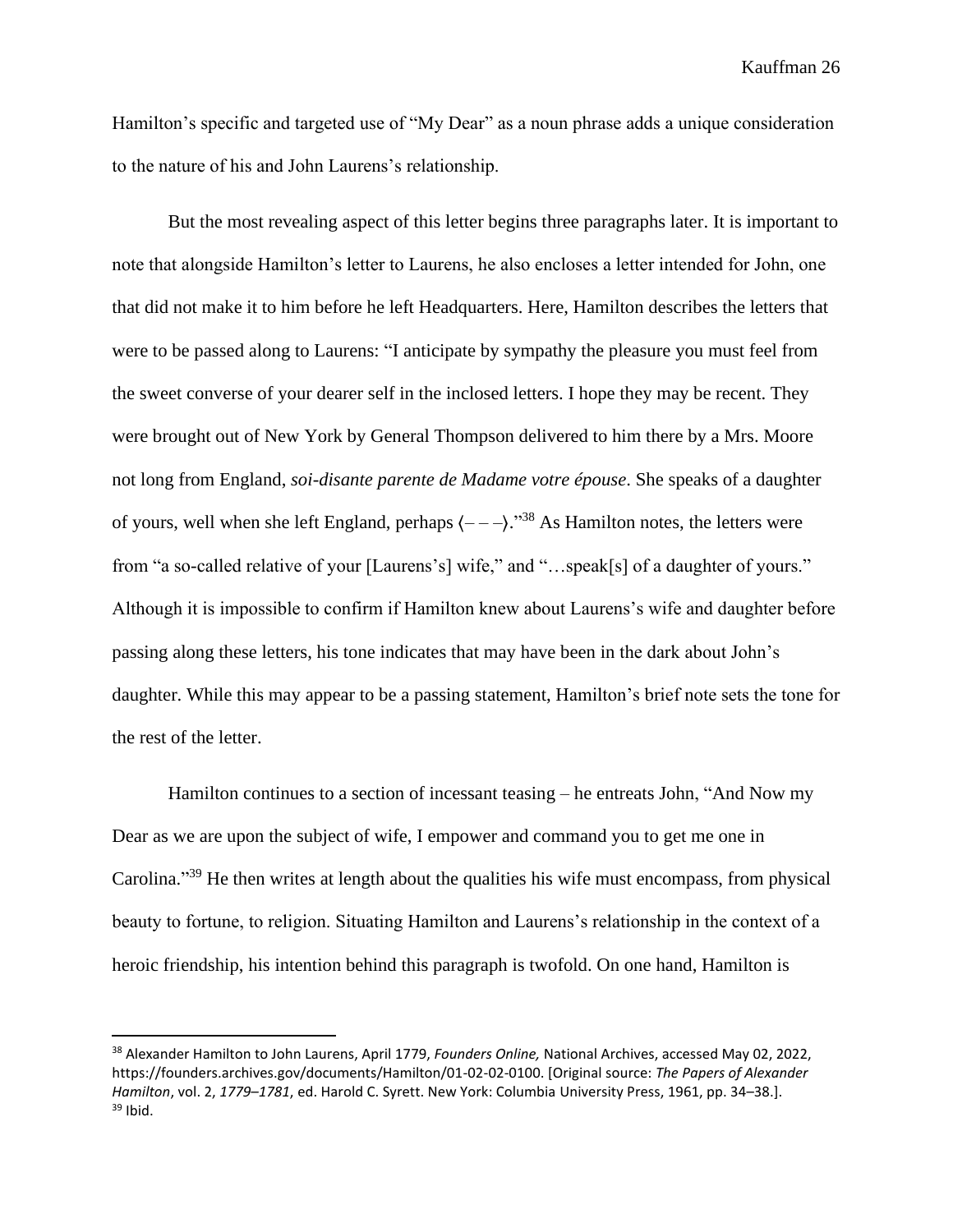Hamilton's specific and targeted use of "My Dear" as a noun phrase adds a unique consideration to the nature of his and John Laurens's relationship.

But the most revealing aspect of this letter begins three paragraphs later. It is important to note that alongside Hamilton's letter to Laurens, he also encloses a letter intended for John, one that did not make it to him before he left Headquarters. Here, Hamilton describes the letters that were to be passed along to Laurens: "I anticipate by sympathy the pleasure you must feel from the sweet converse of your dearer self in the inclosed letters. I hope they may be recent. They were brought out of New York by General Thompson delivered to him there by a Mrs. Moore not long from England, *soi-disante parente de Madame votre épouse*. She speaks of a daughter of yours, well when she left England, perhaps  $\langle --- \rangle$ ."<sup>38</sup> As Hamilton notes, the letters were from "a so-called relative of your [Laurens's] wife," and "…speak[s] of a daughter of yours." Although it is impossible to confirm if Hamilton knew about Laurens's wife and daughter before passing along these letters, his tone indicates that may have been in the dark about John's daughter. While this may appear to be a passing statement, Hamilton's brief note sets the tone for the rest of the letter.

Hamilton continues to a section of incessant teasing – he entreats John, "And Now my Dear as we are upon the subject of wife, I empower and command you to get me one in Carolina."<sup>39</sup> He then writes at length about the qualities his wife must encompass, from physical beauty to fortune, to religion. Situating Hamilton and Laurens's relationship in the context of a heroic friendship, his intention behind this paragraph is twofold. On one hand, Hamilton is

<sup>38</sup> Alexander Hamilton to John Laurens, April 1779, *Founders Online,* National Archives, accessed May 02, 2022, https://founders.archives.gov/documents/Hamilton/01-02-02-0100. [Original source: *The Papers of Alexander Hamilton*, vol. 2, *1779–1781*, ed. Harold C. Syrett. New York: Columbia University Press, 1961, pp. 34–38.].  $39$  Ibid.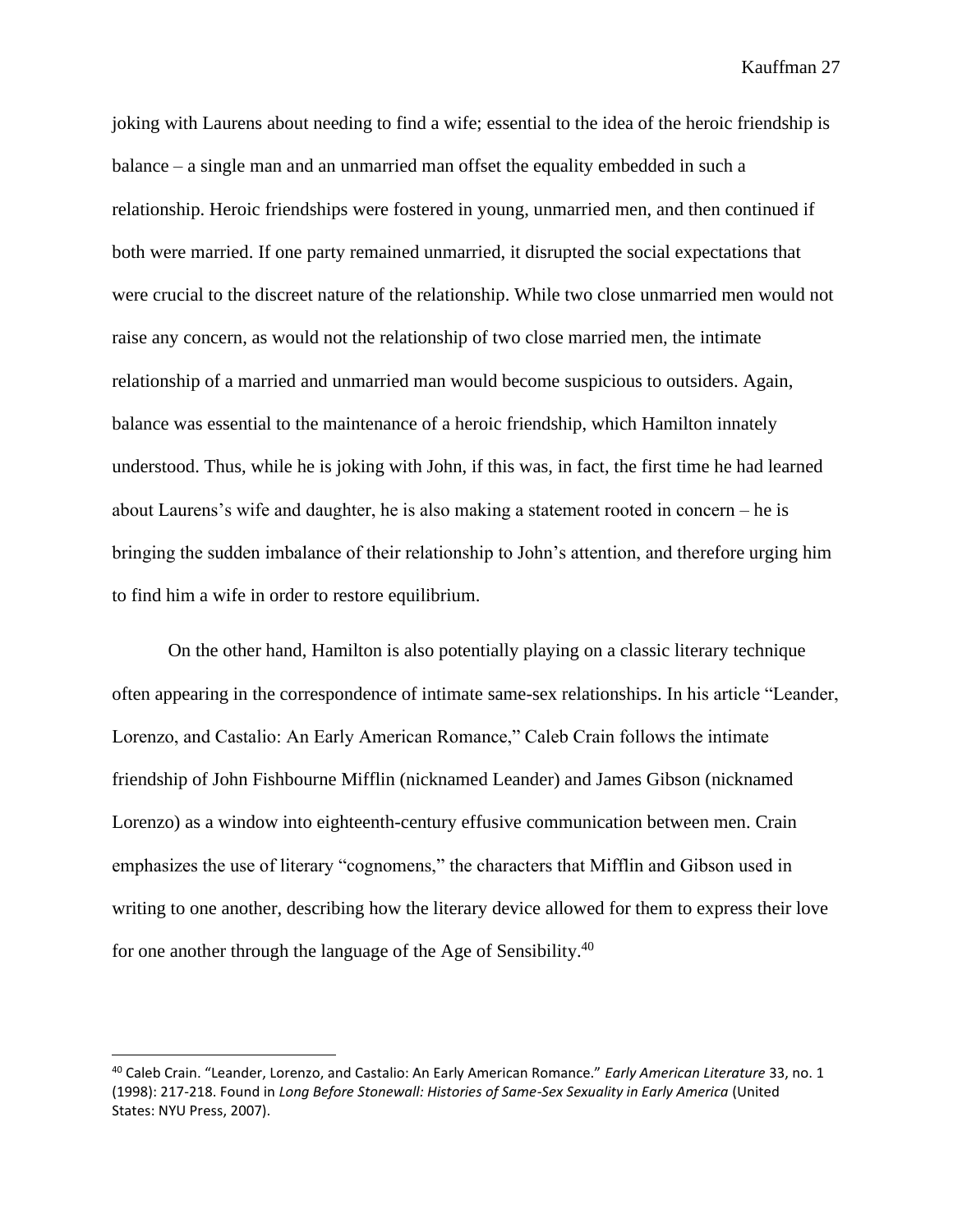joking with Laurens about needing to find a wife; essential to the idea of the heroic friendship is balance – a single man and an unmarried man offset the equality embedded in such a relationship. Heroic friendships were fostered in young, unmarried men, and then continued if both were married. If one party remained unmarried, it disrupted the social expectations that were crucial to the discreet nature of the relationship. While two close unmarried men would not raise any concern, as would not the relationship of two close married men, the intimate relationship of a married and unmarried man would become suspicious to outsiders. Again, balance was essential to the maintenance of a heroic friendship, which Hamilton innately understood. Thus, while he is joking with John, if this was, in fact, the first time he had learned about Laurens's wife and daughter, he is also making a statement rooted in concern – he is bringing the sudden imbalance of their relationship to John's attention, and therefore urging him to find him a wife in order to restore equilibrium.

On the other hand, Hamilton is also potentially playing on a classic literary technique often appearing in the correspondence of intimate same-sex relationships. In his article "Leander, Lorenzo, and Castalio: An Early American Romance," Caleb Crain follows the intimate friendship of John Fishbourne Mifflin (nicknamed Leander) and James Gibson (nicknamed Lorenzo) as a window into eighteenth-century effusive communication between men. Crain emphasizes the use of literary "cognomens," the characters that Mifflin and Gibson used in writing to one another, describing how the literary device allowed for them to express their love for one another through the language of the Age of Sensibility.<sup>40</sup>

<sup>40</sup> Caleb Crain. "Leander, Lorenzo, and Castalio: An Early American Romance." *Early American Literature* 33, no. 1 (1998): 217-218. Found in *Long Before Stonewall: Histories of Same-Sex Sexuality in Early America* (United States: NYU Press, 2007).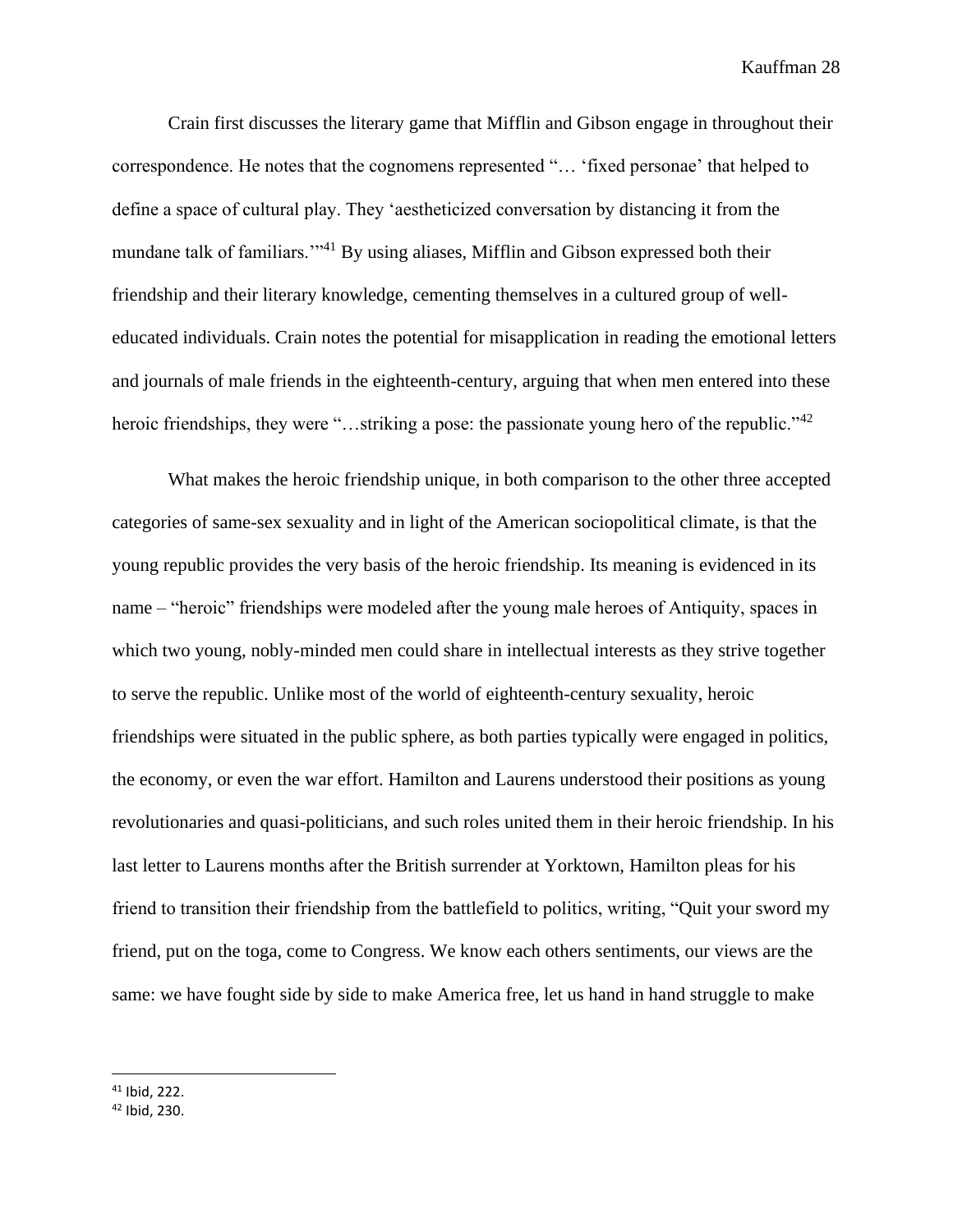Crain first discusses the literary game that Mifflin and Gibson engage in throughout their correspondence. He notes that the cognomens represented "… 'fixed personae' that helped to define a space of cultural play. They 'aestheticized conversation by distancing it from the mundane talk of familiars."<sup>41</sup> By using aliases, Mifflin and Gibson expressed both their friendship and their literary knowledge, cementing themselves in a cultured group of welleducated individuals. Crain notes the potential for misapplication in reading the emotional letters and journals of male friends in the eighteenth-century, arguing that when men entered into these heroic friendships, they were "...striking a pose: the passionate young hero of the republic."<sup>42</sup>

What makes the heroic friendship unique, in both comparison to the other three accepted categories of same-sex sexuality and in light of the American sociopolitical climate, is that the young republic provides the very basis of the heroic friendship. Its meaning is evidenced in its name – "heroic" friendships were modeled after the young male heroes of Antiquity, spaces in which two young, nobly-minded men could share in intellectual interests as they strive together to serve the republic. Unlike most of the world of eighteenth-century sexuality, heroic friendships were situated in the public sphere, as both parties typically were engaged in politics, the economy, or even the war effort. Hamilton and Laurens understood their positions as young revolutionaries and quasi-politicians, and such roles united them in their heroic friendship. In his last letter to Laurens months after the British surrender at Yorktown, Hamilton pleas for his friend to transition their friendship from the battlefield to politics, writing, "Quit your sword my friend, put on the toga, come to Congress. We know each others sentiments, our views are the same: we have fought side by side to make America free, let us hand in hand struggle to make

<sup>41</sup> Ibid, 222.

<sup>42</sup> Ibid, 230.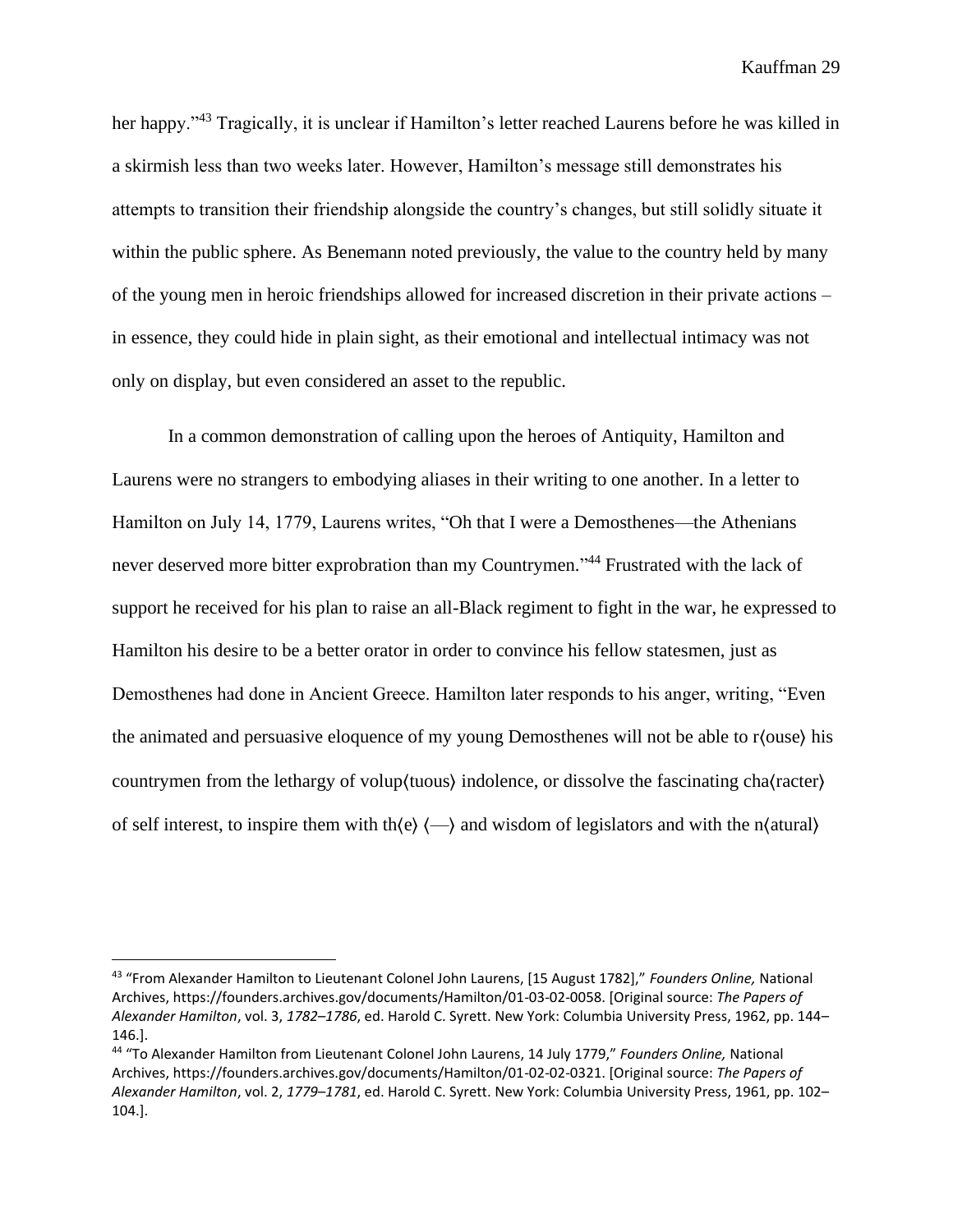her happy."<sup>43</sup> Tragically, it is unclear if Hamilton's letter reached Laurens before he was killed in a skirmish less than two weeks later. However, Hamilton's message still demonstrates his attempts to transition their friendship alongside the country's changes, but still solidly situate it within the public sphere. As Benemann noted previously, the value to the country held by many of the young men in heroic friendships allowed for increased discretion in their private actions – in essence, they could hide in plain sight, as their emotional and intellectual intimacy was not only on display, but even considered an asset to the republic.

In a common demonstration of calling upon the heroes of Antiquity, Hamilton and Laurens were no strangers to embodying aliases in their writing to one another. In a letter to Hamilton on July 14, 1779, Laurens writes, "Oh that I were a Demosthenes—the Athenians never deserved more bitter exprobration than my Countrymen."<sup>44</sup> Frustrated with the lack of support he received for his plan to raise an all-Black regiment to fight in the war, he expressed to Hamilton his desire to be a better orator in order to convince his fellow statesmen, just as Demosthenes had done in Ancient Greece. Hamilton later responds to his anger, writing, "Even the animated and persuasive eloquence of my young Demosthenes will not be able to r⟨ouse⟩ his countrymen from the lethargy of volup⟨tuous⟩ indolence, or dissolve the fascinating cha⟨racter⟩ of self interest, to inspire them with th $\langle e \rangle$   $\langle \rangle$  and wisdom of legislators and with the n $\langle$ atural $\rangle$ 

<sup>43</sup> "From Alexander Hamilton to Lieutenant Colonel John Laurens, [15 August 1782]," *Founders Online,* National Archives, https://founders.archives.gov/documents/Hamilton/01-03-02-0058. [Original source: *The Papers of Alexander Hamilton*, vol. 3, *1782–1786*, ed. Harold C. Syrett. New York: Columbia University Press, 1962, pp. 144– 146.].

<sup>44</sup> "To Alexander Hamilton from Lieutenant Colonel John Laurens, 14 July 1779," *Founders Online,* National Archives, https://founders.archives.gov/documents/Hamilton/01-02-02-0321. [Original source: *The Papers of Alexander Hamilton*, vol. 2, *1779–1781*, ed. Harold C. Syrett. New York: Columbia University Press, 1961, pp. 102– 104.].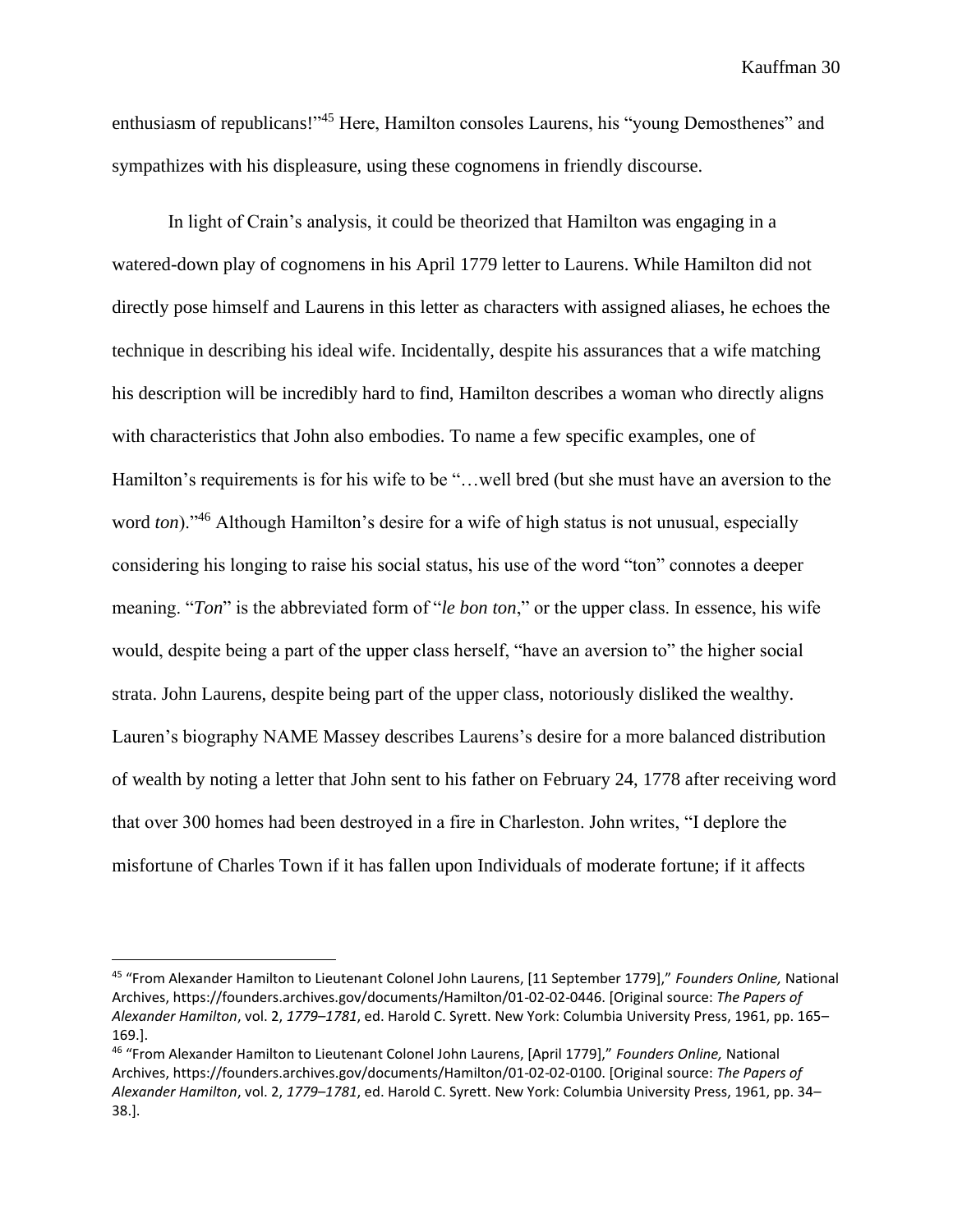enthusiasm of republicans!"<sup>45</sup> Here, Hamilton consoles Laurens, his "young Demosthenes" and sympathizes with his displeasure, using these cognomens in friendly discourse.

In light of Crain's analysis, it could be theorized that Hamilton was engaging in a watered-down play of cognomens in his April 1779 letter to Laurens. While Hamilton did not directly pose himself and Laurens in this letter as characters with assigned aliases, he echoes the technique in describing his ideal wife. Incidentally, despite his assurances that a wife matching his description will be incredibly hard to find, Hamilton describes a woman who directly aligns with characteristics that John also embodies. To name a few specific examples, one of Hamilton's requirements is for his wife to be "…well bred (but she must have an aversion to the word *ton*)."<sup>46</sup> Although Hamilton's desire for a wife of high status is not unusual, especially considering his longing to raise his social status, his use of the word "ton" connotes a deeper meaning. "*Ton*" is the abbreviated form of "*le bon ton*," or the upper class. In essence, his wife would, despite being a part of the upper class herself, "have an aversion to" the higher social strata. John Laurens, despite being part of the upper class, notoriously disliked the wealthy. Lauren's biography NAME Massey describes Laurens's desire for a more balanced distribution of wealth by noting a letter that John sent to his father on February 24, 1778 after receiving word that over 300 homes had been destroyed in a fire in Charleston. John writes, "I deplore the misfortune of Charles Town if it has fallen upon Individuals of moderate fortune; if it affects

<sup>45</sup> "From Alexander Hamilton to Lieutenant Colonel John Laurens, [11 September 1779]," *Founders Online,* National Archives, https://founders.archives.gov/documents/Hamilton/01-02-02-0446. [Original source: *The Papers of Alexander Hamilton*, vol. 2, *1779–1781*, ed. Harold C. Syrett. New York: Columbia University Press, 1961, pp. 165– 169.].

<sup>46</sup> "From Alexander Hamilton to Lieutenant Colonel John Laurens, [April 1779]," *Founders Online,* National Archives, https://founders.archives.gov/documents/Hamilton/01-02-02-0100. [Original source: *The Papers of Alexander Hamilton*, vol. 2, *1779–1781*, ed. Harold C. Syrett. New York: Columbia University Press, 1961, pp. 34– 38.].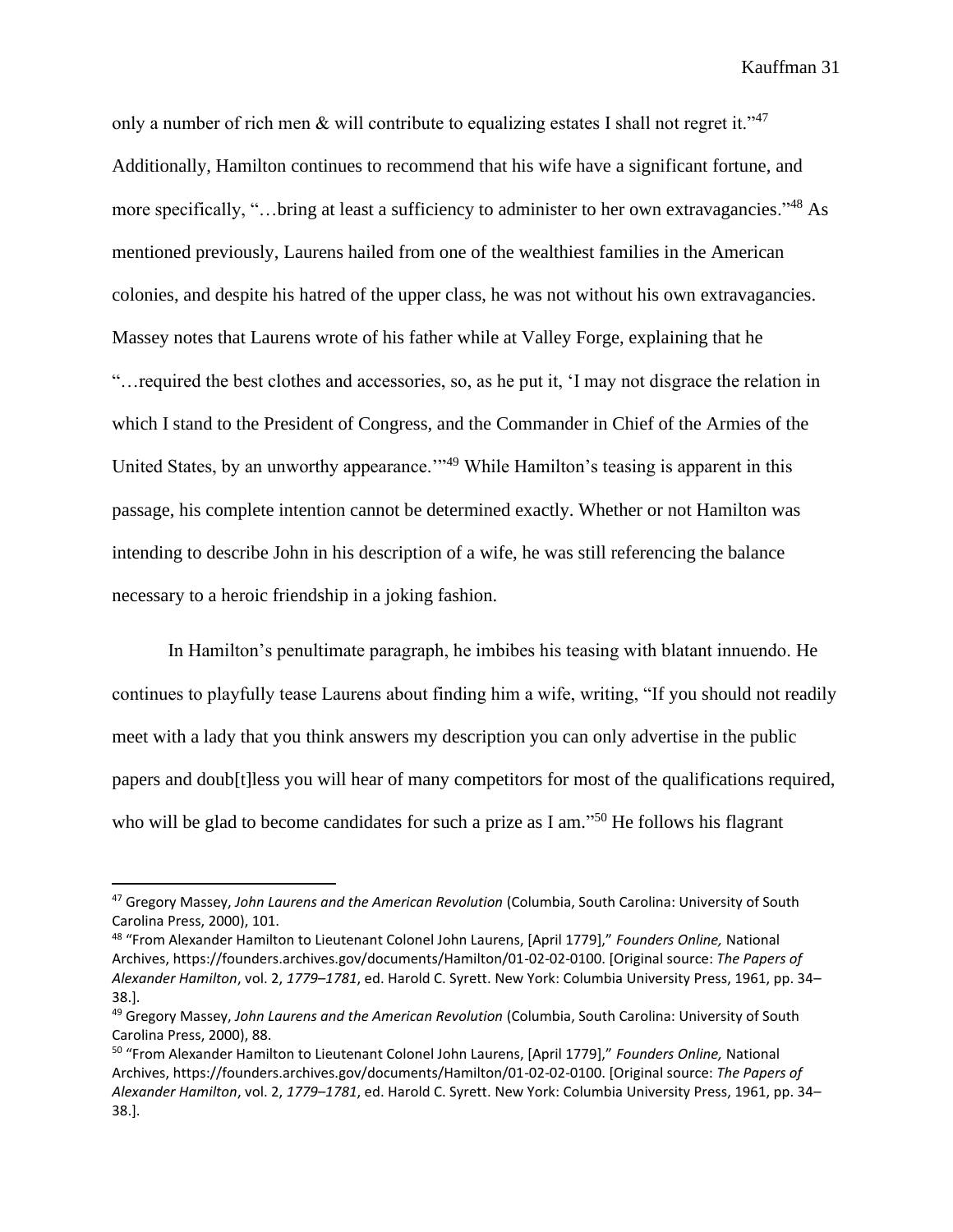only a number of rich men & will contribute to equalizing estates I shall not regret it."<sup>47</sup> Additionally, Hamilton continues to recommend that his wife have a significant fortune, and more specifically, "…bring at least a sufficiency to administer to her own extravagancies."<sup>48</sup> As mentioned previously, Laurens hailed from one of the wealthiest families in the American colonies, and despite his hatred of the upper class, he was not without his own extravagancies. Massey notes that Laurens wrote of his father while at Valley Forge, explaining that he "…required the best clothes and accessories, so, as he put it, 'I may not disgrace the relation in which I stand to the President of Congress, and the Commander in Chief of the Armies of the United States, by an unworthy appearance.<sup>'"49</sup> While Hamilton's teasing is apparent in this passage, his complete intention cannot be determined exactly. Whether or not Hamilton was intending to describe John in his description of a wife, he was still referencing the balance necessary to a heroic friendship in a joking fashion.

In Hamilton's penultimate paragraph, he imbibes his teasing with blatant innuendo. He continues to playfully tease Laurens about finding him a wife, writing, "If you should not readily meet with a lady that you think answers my description you can only advertise in the public papers and doub[t]less you will hear of many competitors for most of the qualifications required, who will be glad to become candidates for such a prize as I am."<sup>50</sup> He follows his flagrant

<sup>47</sup> Gregory Massey, *John Laurens and the American Revolution* (Columbia, South Carolina: University of South Carolina Press, 2000), 101.

<sup>48</sup> "From Alexander Hamilton to Lieutenant Colonel John Laurens, [April 1779]," *Founders Online,* National Archives, https://founders.archives.gov/documents/Hamilton/01-02-02-0100. [Original source: *The Papers of Alexander Hamilton*, vol. 2, *1779–1781*, ed. Harold C. Syrett. New York: Columbia University Press, 1961, pp. 34– 38.].

<sup>49</sup> Gregory Massey, *John Laurens and the American Revolution* (Columbia, South Carolina: University of South Carolina Press, 2000), 88.

<sup>50</sup> "From Alexander Hamilton to Lieutenant Colonel John Laurens, [April 1779]," *Founders Online,* National Archives, https://founders.archives.gov/documents/Hamilton/01-02-02-0100. [Original source: *The Papers of Alexander Hamilton*, vol. 2, *1779–1781*, ed. Harold C. Syrett. New York: Columbia University Press, 1961, pp. 34– 38.].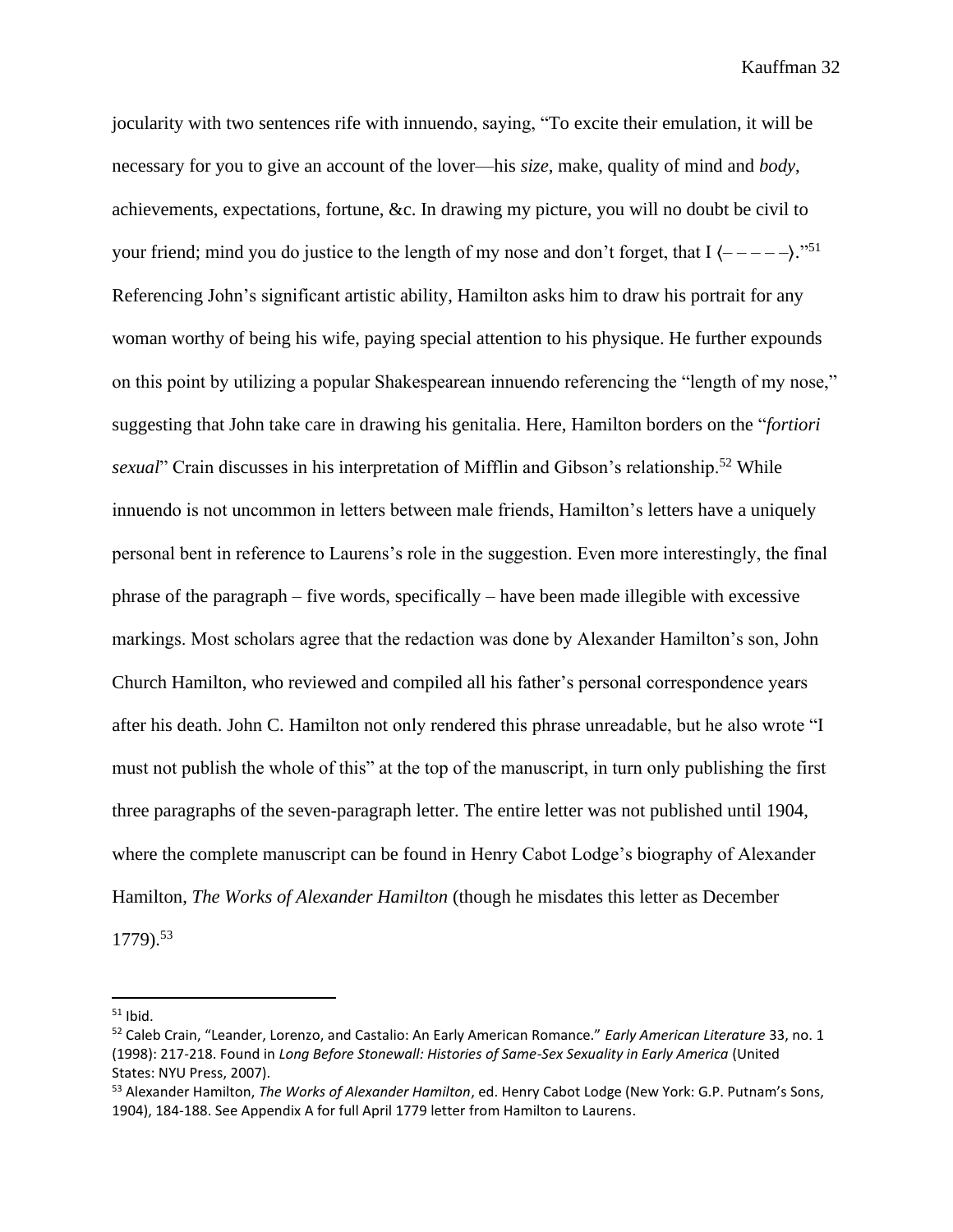jocularity with two sentences rife with innuendo, saying, "To excite their emulation, it will be necessary for you to give an account of the lover—his *size*, make, quality of mind and *body*, achievements, expectations, fortune, &c. In drawing my picture, you will no doubt be civil to your friend; mind you do justice to the length of my nose and don't forget, that I  $\langle --- \rangle$ ."<sup>51</sup> Referencing John's significant artistic ability, Hamilton asks him to draw his portrait for any woman worthy of being his wife, paying special attention to his physique. He further expounds on this point by utilizing a popular Shakespearean innuendo referencing the "length of my nose," suggesting that John take care in drawing his genitalia. Here, Hamilton borders on the "*fortiori sexual*" Crain discusses in his interpretation of Mifflin and Gibson's relationship.<sup>52</sup> While innuendo is not uncommon in letters between male friends, Hamilton's letters have a uniquely personal bent in reference to Laurens's role in the suggestion. Even more interestingly, the final phrase of the paragraph – five words, specifically – have been made illegible with excessive markings. Most scholars agree that the redaction was done by Alexander Hamilton's son, John Church Hamilton, who reviewed and compiled all his father's personal correspondence years after his death. John C. Hamilton not only rendered this phrase unreadable, but he also wrote "I must not publish the whole of this" at the top of the manuscript, in turn only publishing the first three paragraphs of the seven-paragraph letter. The entire letter was not published until 1904, where the complete manuscript can be found in Henry Cabot Lodge's biography of Alexander Hamilton, *The Works of Alexander Hamilton* (though he misdates this letter as December 1779).<sup>53</sup>

 $51$  Ibid.

<sup>52</sup> Caleb Crain, "Leander, Lorenzo, and Castalio: An Early American Romance." *Early American Literature* 33, no. 1 (1998): 217-218. Found in *Long Before Stonewall: Histories of Same-Sex Sexuality in Early America* (United States: NYU Press, 2007).

<sup>53</sup> Alexander Hamilton, *The Works of Alexander Hamilton*, ed. Henry Cabot Lodge (New York: G.P. Putnam's Sons, 1904), 184-188. See Appendix A for full April 1779 letter from Hamilton to Laurens.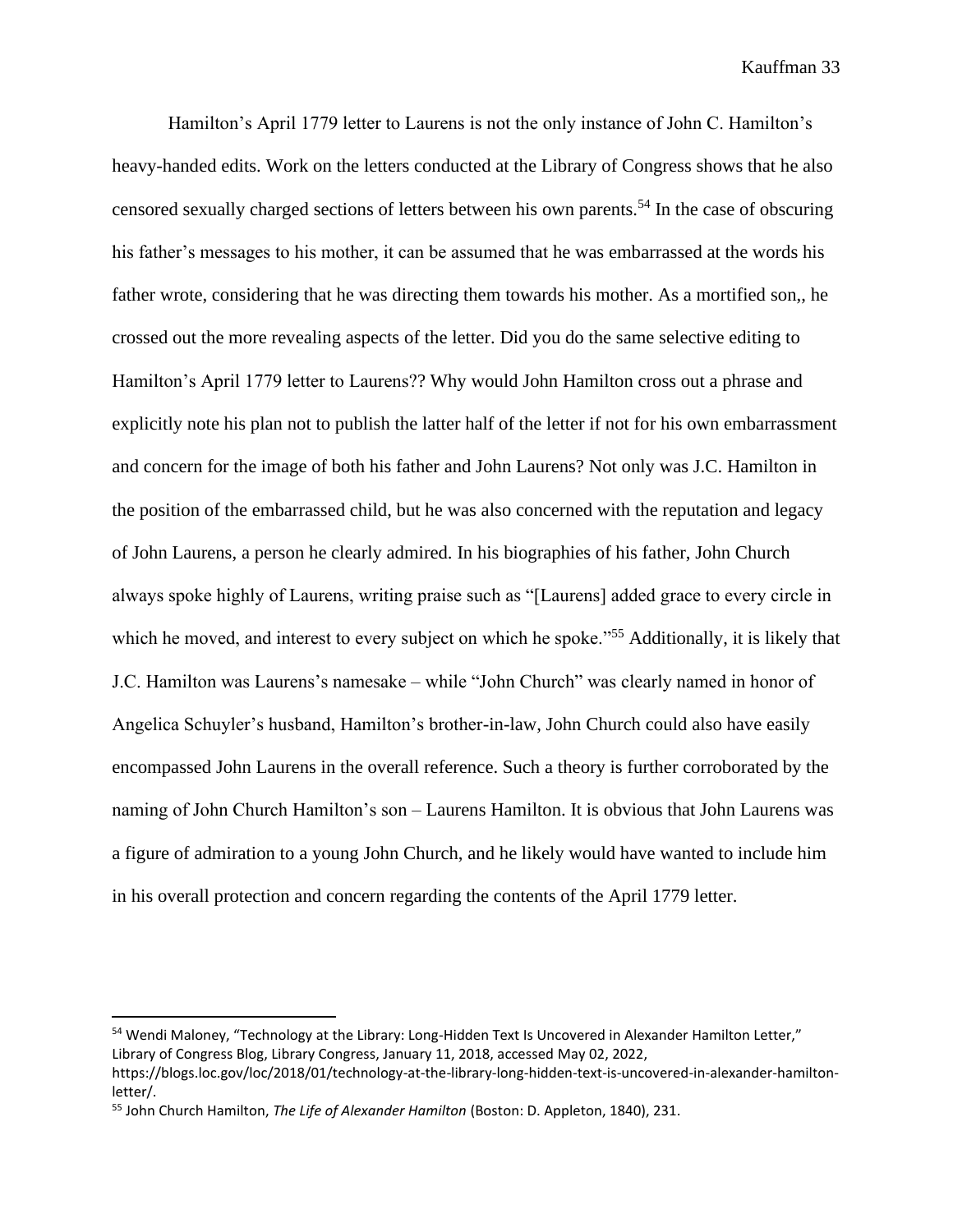Hamilton's April 1779 letter to Laurens is not the only instance of John C. Hamilton's heavy-handed edits. Work on the letters conducted at the Library of Congress shows that he also censored sexually charged sections of letters between his own parents.<sup>54</sup> In the case of obscuring his father's messages to his mother, it can be assumed that he was embarrassed at the words his father wrote, considering that he was directing them towards his mother. As a mortified son,, he crossed out the more revealing aspects of the letter. Did you do the same selective editing to Hamilton's April 1779 letter to Laurens?? Why would John Hamilton cross out a phrase and explicitly note his plan not to publish the latter half of the letter if not for his own embarrassment and concern for the image of both his father and John Laurens? Not only was J.C. Hamilton in the position of the embarrassed child, but he was also concerned with the reputation and legacy of John Laurens, a person he clearly admired. In his biographies of his father, John Church always spoke highly of Laurens, writing praise such as "[Laurens] added grace to every circle in which he moved, and interest to every subject on which he spoke."<sup>55</sup> Additionally, it is likely that J.C. Hamilton was Laurens's namesake – while "John Church" was clearly named in honor of Angelica Schuyler's husband, Hamilton's brother-in-law, John Church could also have easily encompassed John Laurens in the overall reference. Such a theory is further corroborated by the naming of John Church Hamilton's son – Laurens Hamilton. It is obvious that John Laurens was a figure of admiration to a young John Church, and he likely would have wanted to include him in his overall protection and concern regarding the contents of the April 1779 letter.

<sup>54</sup> Wendi Maloney, "Technology at the Library: Long-Hidden Text Is Uncovered in Alexander Hamilton Letter," Library of Congress Blog, Library Congress, January 11, 2018, accessed May 02, 2022,

https://blogs.loc.gov/loc/2018/01/technology-at-the-library-long-hidden-text-is-uncovered-in-alexander-hamiltonletter/.

<sup>55</sup> John Church Hamilton, *The Life of Alexander Hamilton* (Boston: D. Appleton, 1840), 231.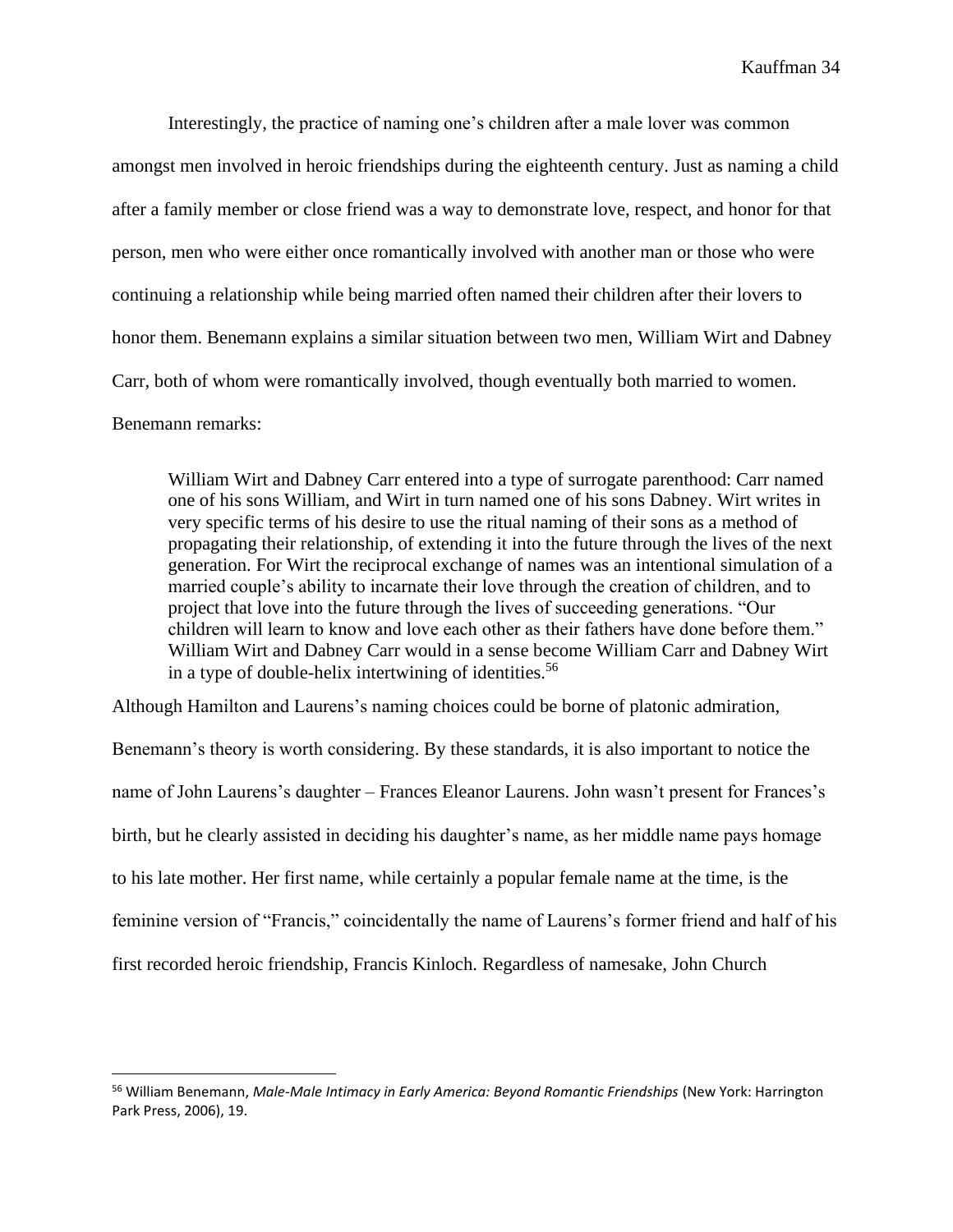Interestingly, the practice of naming one's children after a male lover was common amongst men involved in heroic friendships during the eighteenth century. Just as naming a child after a family member or close friend was a way to demonstrate love, respect, and honor for that person, men who were either once romantically involved with another man or those who were continuing a relationship while being married often named their children after their lovers to honor them. Benemann explains a similar situation between two men, William Wirt and Dabney Carr, both of whom were romantically involved, though eventually both married to women. Benemann remarks:

William Wirt and Dabney Carr entered into a type of surrogate parenthood: Carr named one of his sons William, and Wirt in turn named one of his sons Dabney. Wirt writes in very specific terms of his desire to use the ritual naming of their sons as a method of propagating their relationship, of extending it into the future through the lives of the next generation. For Wirt the reciprocal exchange of names was an intentional simulation of a married couple's ability to incarnate their love through the creation of children, and to project that love into the future through the lives of succeeding generations. "Our children will learn to know and love each other as their fathers have done before them." William Wirt and Dabney Carr would in a sense become William Carr and Dabney Wirt in a type of double-helix intertwining of identities.<sup>56</sup>

Although Hamilton and Laurens's naming choices could be borne of platonic admiration,

Benemann's theory is worth considering. By these standards, it is also important to notice the name of John Laurens's daughter – Frances Eleanor Laurens. John wasn't present for Frances's birth, but he clearly assisted in deciding his daughter's name, as her middle name pays homage to his late mother. Her first name, while certainly a popular female name at the time, is the feminine version of "Francis," coincidentally the name of Laurens's former friend and half of his first recorded heroic friendship, Francis Kinloch. Regardless of namesake, John Church

<sup>56</sup> William Benemann, *Male-Male Intimacy in Early America: Beyond Romantic Friendships* (New York: Harrington Park Press, 2006), 19.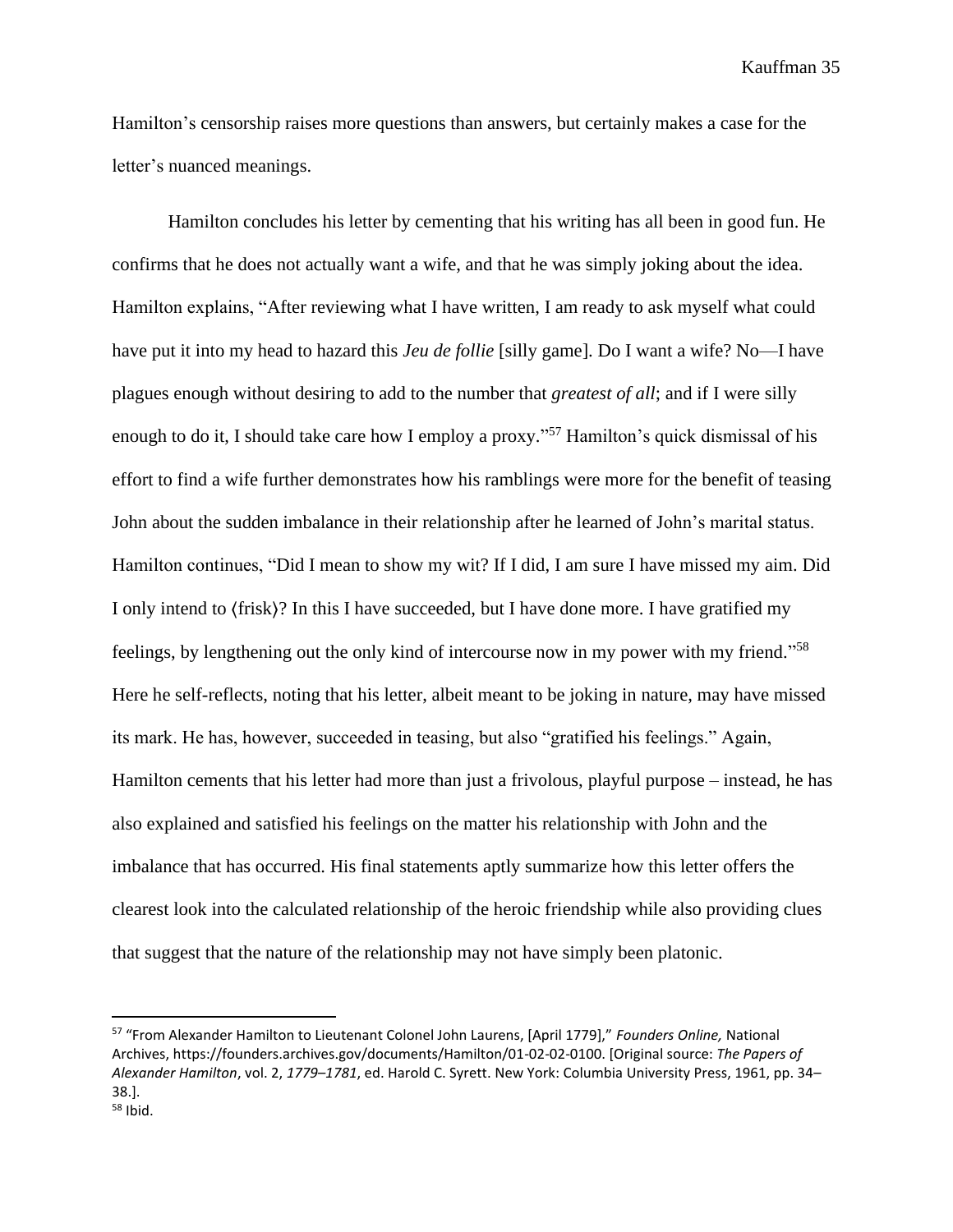Hamilton's censorship raises more questions than answers, but certainly makes a case for the letter's nuanced meanings.

Hamilton concludes his letter by cementing that his writing has all been in good fun. He confirms that he does not actually want a wife, and that he was simply joking about the idea. Hamilton explains, "After reviewing what I have written, I am ready to ask myself what could have put it into my head to hazard this *Jeu de follie* [silly game]. Do I want a wife? No—I have plagues enough without desiring to add to the number that *greatest of all*; and if I were silly enough to do it, I should take care how I employ a proxy."<sup>57</sup> Hamilton's quick dismissal of his effort to find a wife further demonstrates how his ramblings were more for the benefit of teasing John about the sudden imbalance in their relationship after he learned of John's marital status. Hamilton continues, "Did I mean to show my wit? If I did, I am sure I have missed my aim. Did I only intend to ⟨frisk⟩? In this I have succeeded, but I have done more. I have gratified my feelings, by lengthening out the only kind of intercourse now in my power with my friend."<sup>58</sup> Here he self-reflects, noting that his letter, albeit meant to be joking in nature, may have missed its mark. He has, however, succeeded in teasing, but also "gratified his feelings." Again, Hamilton cements that his letter had more than just a frivolous, playful purpose – instead, he has also explained and satisfied his feelings on the matter his relationship with John and the imbalance that has occurred. His final statements aptly summarize how this letter offers the clearest look into the calculated relationship of the heroic friendship while also providing clues that suggest that the nature of the relationship may not have simply been platonic.

<sup>57</sup> "From Alexander Hamilton to Lieutenant Colonel John Laurens, [April 1779]," *Founders Online,* National Archives, https://founders.archives.gov/documents/Hamilton/01-02-02-0100. [Original source: *The Papers of Alexander Hamilton*, vol. 2, *1779–1781*, ed. Harold C. Syrett. New York: Columbia University Press, 1961, pp. 34– 38.].

<sup>58</sup> Ibid.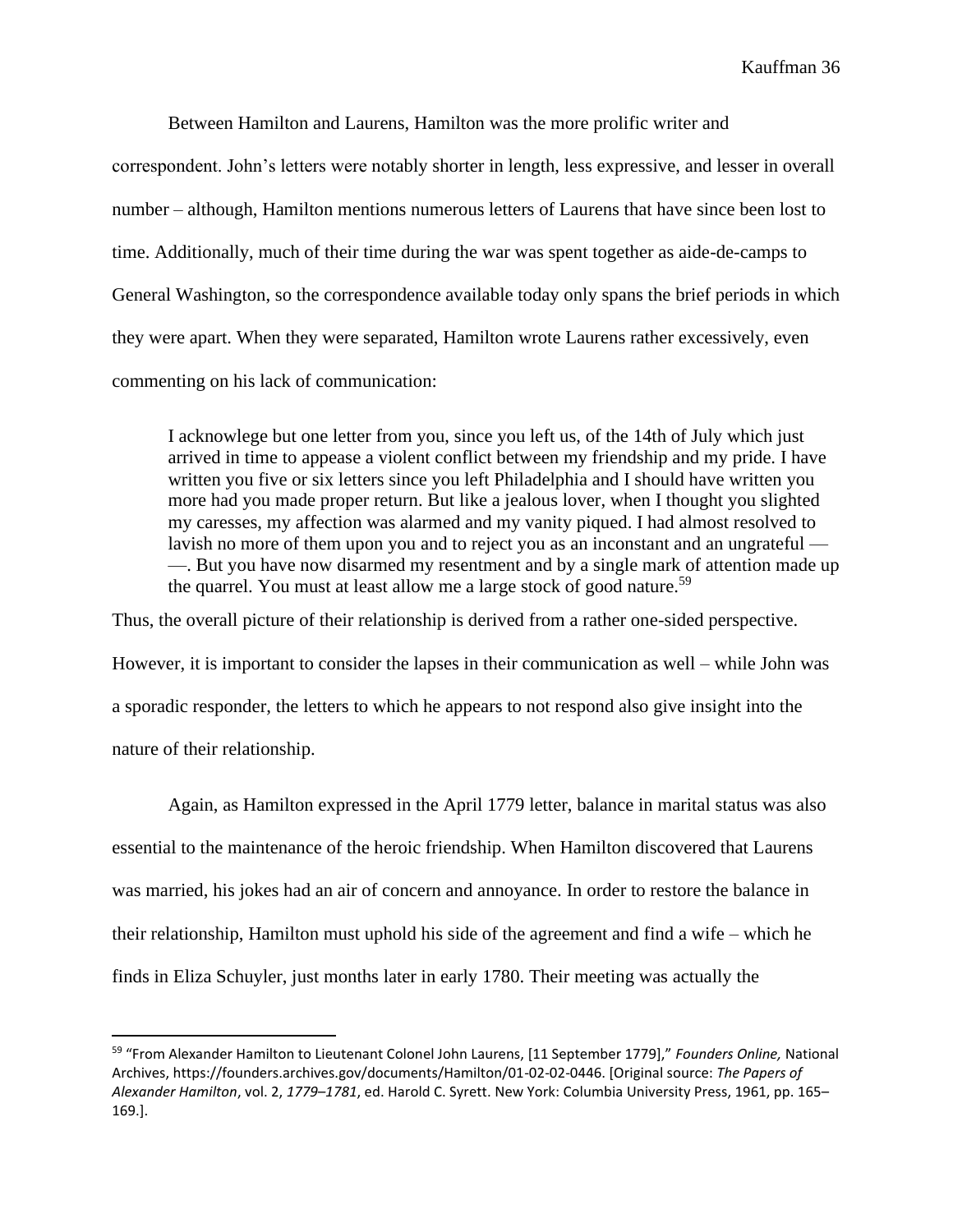Between Hamilton and Laurens, Hamilton was the more prolific writer and correspondent. John's letters were notably shorter in length, less expressive, and lesser in overall number – although, Hamilton mentions numerous letters of Laurens that have since been lost to time. Additionally, much of their time during the war was spent together as aide-de-camps to General Washington, so the correspondence available today only spans the brief periods in which they were apart. When they were separated, Hamilton wrote Laurens rather excessively, even commenting on his lack of communication:

I acknowlege but one letter from you, since you left us, of the 14th of July which just arrived in time to appease a violent conflict between my friendship and my pride. I have written you five or six letters since you left Philadelphia and I should have written you more had you made proper return. But like a jealous lover, when I thought you slighted my caresses, my affection was alarmed and my vanity piqued. I had almost resolved to lavish no more of them upon you and to reject you as an inconstant and an ungrateful — —. But you have now disarmed my resentment and by a single mark of attention made up the quarrel. You must at least allow me a large stock of good nature.<sup>59</sup>

Thus, the overall picture of their relationship is derived from a rather one-sided perspective. However, it is important to consider the lapses in their communication as well – while John was a sporadic responder, the letters to which he appears to not respond also give insight into the nature of their relationship.

Again, as Hamilton expressed in the April 1779 letter, balance in marital status was also essential to the maintenance of the heroic friendship. When Hamilton discovered that Laurens was married, his jokes had an air of concern and annoyance. In order to restore the balance in their relationship, Hamilton must uphold his side of the agreement and find a wife – which he finds in Eliza Schuyler, just months later in early 1780. Their meeting was actually the

<sup>59</sup> "From Alexander Hamilton to Lieutenant Colonel John Laurens, [11 September 1779]," *Founders Online,* National Archives, https://founders.archives.gov/documents/Hamilton/01-02-02-0446. [Original source: *The Papers of Alexander Hamilton*, vol. 2, *1779–1781*, ed. Harold C. Syrett. New York: Columbia University Press, 1961, pp. 165– 169.].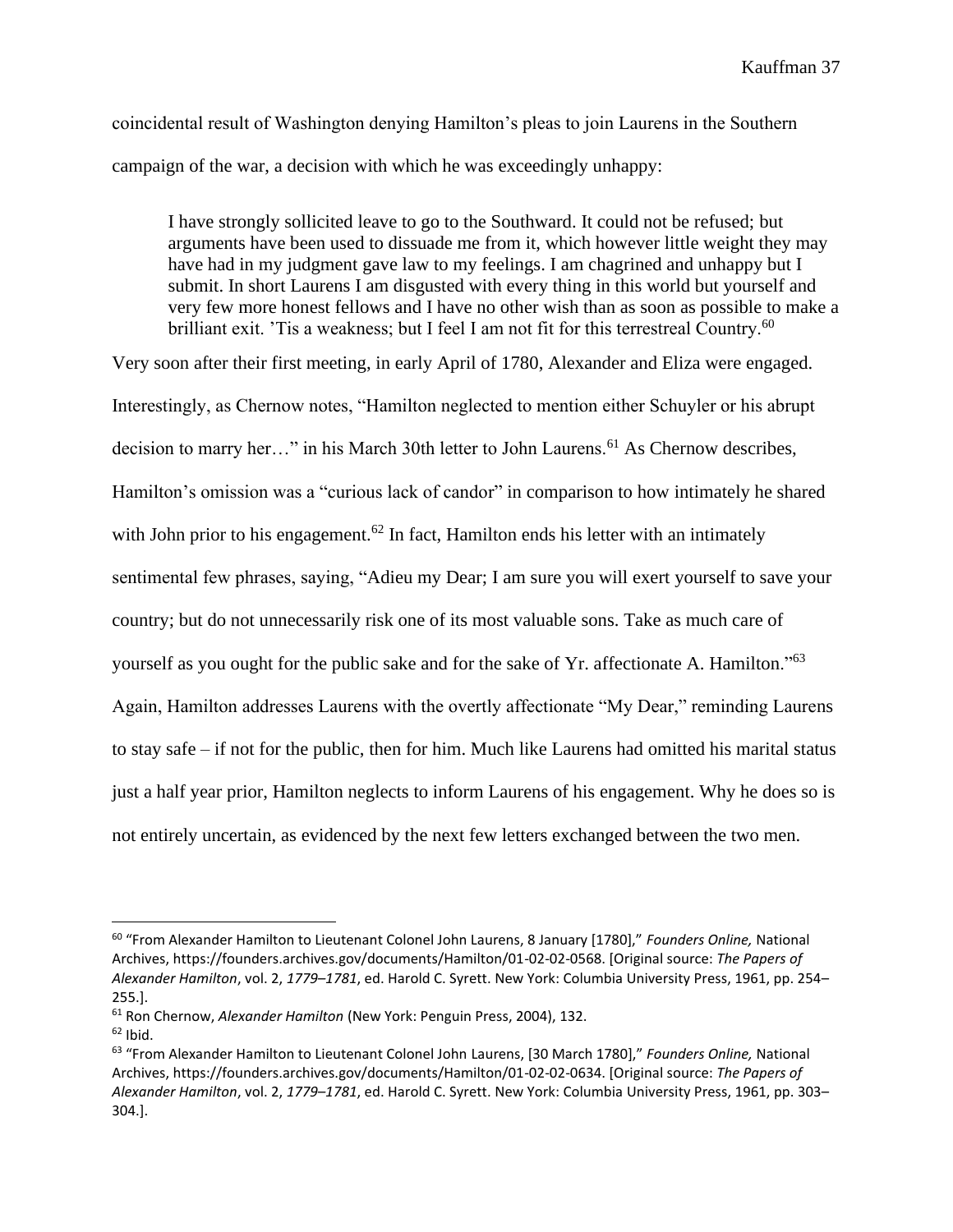coincidental result of Washington denying Hamilton's pleas to join Laurens in the Southern campaign of the war, a decision with which he was exceedingly unhappy:

I have strongly sollicited leave to go to the Southward. It could not be refused; but arguments have been used to dissuade me from it, which however little weight they may have had in my judgment gave law to my feelings. I am chagrined and unhappy but I submit. In short Laurens I am disgusted with every thing in this world but yourself and very few more honest fellows and I have no other wish than as soon as possible to make a brilliant exit. 'Tis a weakness; but I feel I am not fit for this terrestreal Country.<sup>60</sup>

Very soon after their first meeting, in early April of 1780, Alexander and Eliza were engaged. Interestingly, as Chernow notes, "Hamilton neglected to mention either Schuyler or his abrupt decision to marry her..." in his March 30th letter to John Laurens.<sup>61</sup> As Chernow describes, Hamilton's omission was a "curious lack of candor" in comparison to how intimately he shared with John prior to his engagement.<sup>62</sup> In fact, Hamilton ends his letter with an intimately sentimental few phrases, saying, "Adieu my Dear; I am sure you will exert yourself to save your country; but do not unnecessarily risk one of its most valuable sons. Take as much care of yourself as you ought for the public sake and for the sake of Yr. affectionate A. Hamilton."<sup>63</sup> Again, Hamilton addresses Laurens with the overtly affectionate "My Dear," reminding Laurens to stay safe – if not for the public, then for him. Much like Laurens had omitted his marital status just a half year prior, Hamilton neglects to inform Laurens of his engagement. Why he does so is not entirely uncertain, as evidenced by the next few letters exchanged between the two men.

<sup>60</sup> "From Alexander Hamilton to Lieutenant Colonel John Laurens, 8 January [1780]," *Founders Online,* National Archives, https://founders.archives.gov/documents/Hamilton/01-02-02-0568. [Original source: *The Papers of Alexander Hamilton*, vol. 2, *1779–1781*, ed. Harold C. Syrett. New York: Columbia University Press, 1961, pp. 254– 255.].

<sup>61</sup> Ron Chernow, *Alexander Hamilton* (New York: Penguin Press, 2004), 132.

 $62$  Ibid.

<sup>63</sup> "From Alexander Hamilton to Lieutenant Colonel John Laurens, [30 March 1780]," *Founders Online,* National Archives, https://founders.archives.gov/documents/Hamilton/01-02-02-0634. [Original source: *The Papers of Alexander Hamilton*, vol. 2, *1779–1781*, ed. Harold C. Syrett. New York: Columbia University Press, 1961, pp. 303– 304.].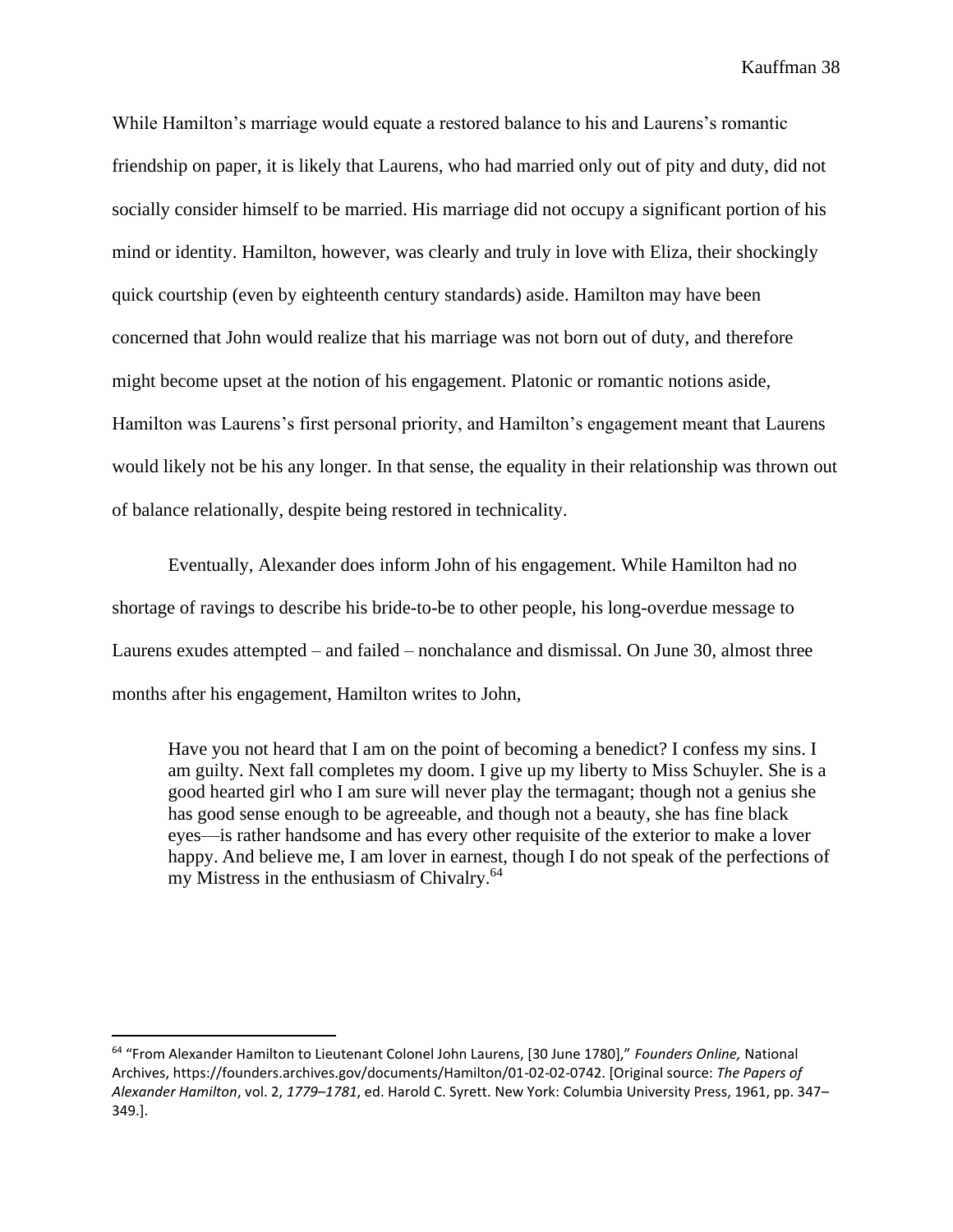While Hamilton's marriage would equate a restored balance to his and Laurens's romantic friendship on paper, it is likely that Laurens, who had married only out of pity and duty, did not socially consider himself to be married. His marriage did not occupy a significant portion of his mind or identity. Hamilton, however, was clearly and truly in love with Eliza, their shockingly quick courtship (even by eighteenth century standards) aside. Hamilton may have been concerned that John would realize that his marriage was not born out of duty, and therefore might become upset at the notion of his engagement. Platonic or romantic notions aside, Hamilton was Laurens's first personal priority, and Hamilton's engagement meant that Laurens would likely not be his any longer. In that sense, the equality in their relationship was thrown out of balance relationally, despite being restored in technicality.

Eventually, Alexander does inform John of his engagement. While Hamilton had no shortage of ravings to describe his bride-to-be to other people, his long-overdue message to Laurens exudes attempted – and failed – nonchalance and dismissal. On June 30, almost three months after his engagement, Hamilton writes to John,

Have you not heard that I am on the point of becoming a benedict? I confess my sins. I am guilty. Next fall completes my doom. I give up my liberty to Miss Schuyler. She is a good hearted girl who I am sure will never play the termagant; though not a genius she has good sense enough to be agreeable, and though not a beauty, she has fine black eyes—is rather handsome and has every other requisite of the exterior to make a lover happy. And believe me, I am lover in earnest, though I do not speak of the perfections of my Mistress in the enthusiasm of Chivalry.<sup>64</sup>

<sup>64</sup> "From Alexander Hamilton to Lieutenant Colonel John Laurens, [30 June 1780]," *Founders Online,* National Archives, https://founders.archives.gov/documents/Hamilton/01-02-02-0742. [Original source: *The Papers of Alexander Hamilton*, vol. 2, *1779–1781*, ed. Harold C. Syrett. New York: Columbia University Press, 1961, pp. 347– 349.].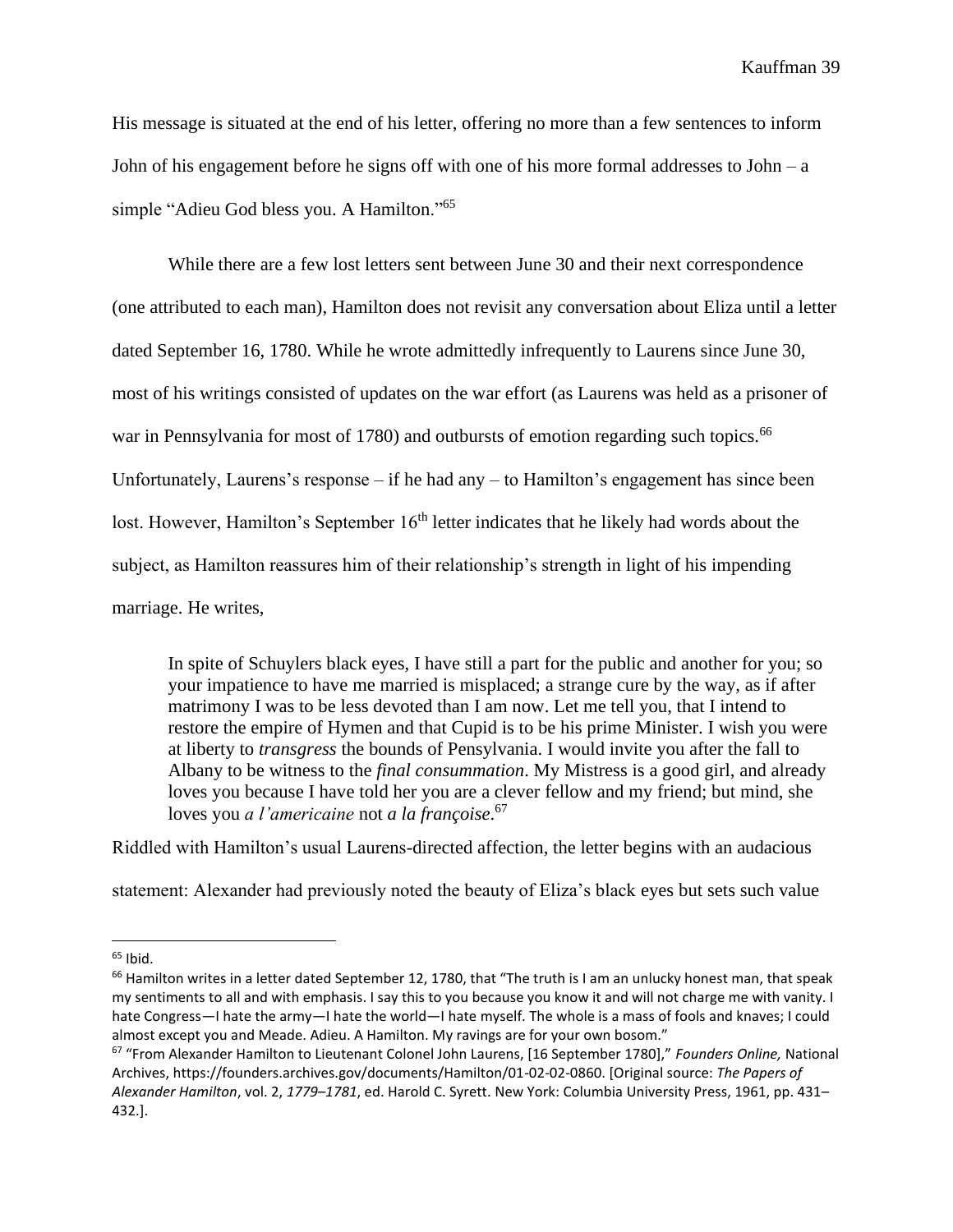His message is situated at the end of his letter, offering no more than a few sentences to inform John of his engagement before he signs off with one of his more formal addresses to John – a simple "Adieu God bless you. A Hamilton."<sup>65</sup>

While there are a few lost letters sent between June 30 and their next correspondence (one attributed to each man), Hamilton does not revisit any conversation about Eliza until a letter dated September 16, 1780. While he wrote admittedly infrequently to Laurens since June 30, most of his writings consisted of updates on the war effort (as Laurens was held as a prisoner of war in Pennsylvania for most of 1780) and outbursts of emotion regarding such topics.<sup>66</sup> Unfortunately, Laurens's response – if he had any – to Hamilton's engagement has since been lost. However, Hamilton's September 16<sup>th</sup> letter indicates that he likely had words about the subject, as Hamilton reassures him of their relationship's strength in light of his impending marriage. He writes,

In spite of Schuylers black eyes, I have still a part for the public and another for you; so your impatience to have me married is misplaced; a strange cure by the way, as if after matrimony I was to be less devoted than I am now. Let me tell you, that I intend to restore the empire of Hymen and that Cupid is to be his prime Minister. I wish you were at liberty to *transgress* the bounds of Pensylvania. I would invite you after the fall to Albany to be witness to the *final consummation*. My Mistress is a good girl, and already loves you because I have told her you are a clever fellow and my friend; but mind, she loves you *a l'americaine* not *a la françoise*. 67

Riddled with Hamilton's usual Laurens-directed affection, the letter begins with an audacious

statement: Alexander had previously noted the beauty of Eliza's black eyes but sets such value

 $65$  Ibid.

<sup>&</sup>lt;sup>66</sup> Hamilton writes in a letter dated September 12, 1780, that "The truth is I am an unlucky honest man, that speak my sentiments to all and with emphasis. I say this to you because you know it and will not charge me with vanity. I hate Congress—I hate the army—I hate the world—I hate myself. The whole is a mass of fools and knaves; I could almost except you and Meade. Adieu. A Hamilton. My ravings are for your own bosom."

<sup>67</sup> "From Alexander Hamilton to Lieutenant Colonel John Laurens, [16 September 1780]," *Founders Online,* National Archives, https://founders.archives.gov/documents/Hamilton/01-02-02-0860. [Original source: *The Papers of Alexander Hamilton*, vol. 2, *1779–1781*, ed. Harold C. Syrett. New York: Columbia University Press, 1961, pp. 431– 432.].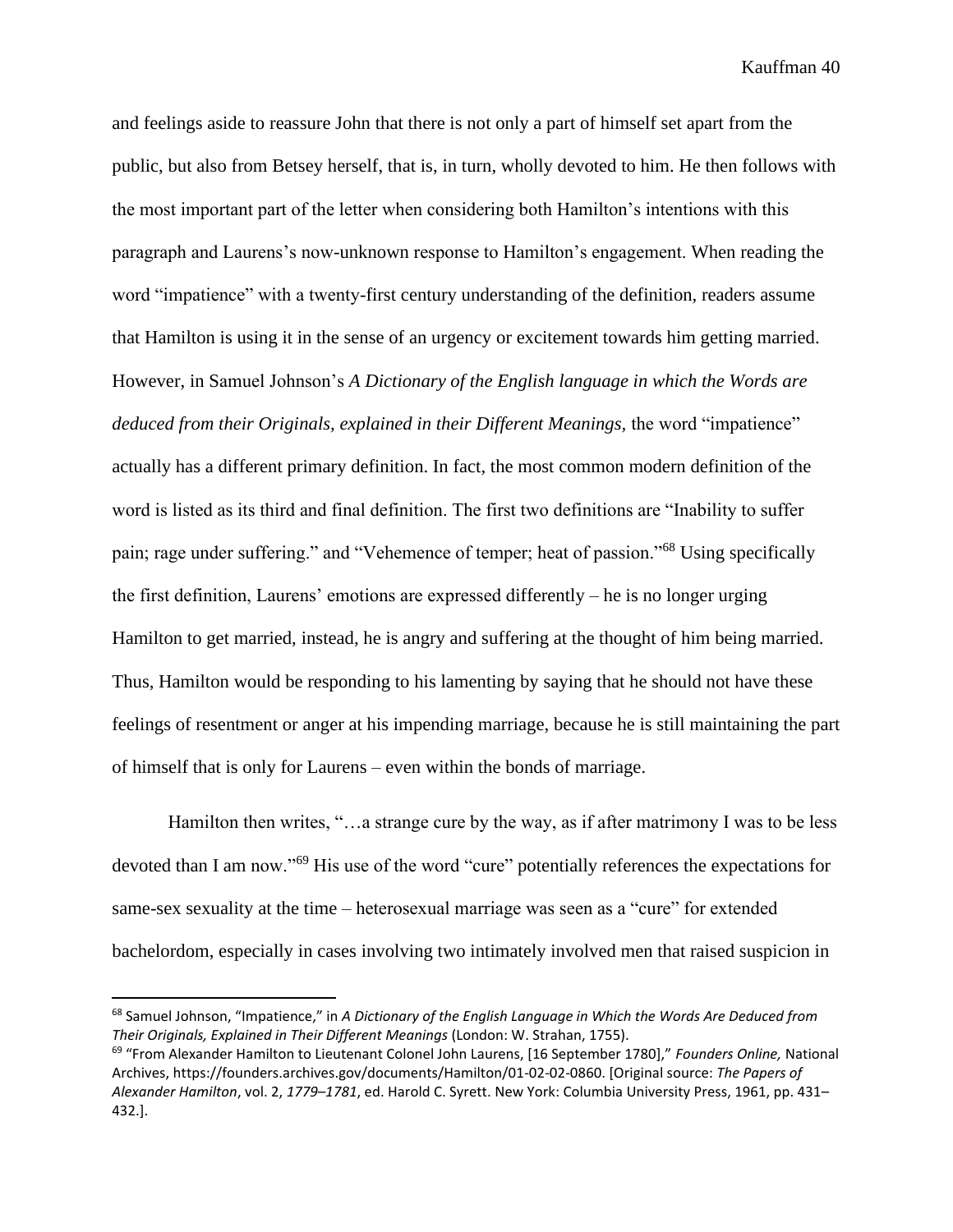and feelings aside to reassure John that there is not only a part of himself set apart from the public, but also from Betsey herself, that is, in turn, wholly devoted to him. He then follows with the most important part of the letter when considering both Hamilton's intentions with this paragraph and Laurens's now-unknown response to Hamilton's engagement. When reading the word "impatience" with a twenty-first century understanding of the definition, readers assume that Hamilton is using it in the sense of an urgency or excitement towards him getting married. However, in Samuel Johnson's *A Dictionary of the English language in which the Words are deduced from their Originals, explained in their Different Meanings, the word "impatience"* actually has a different primary definition. In fact, the most common modern definition of the word is listed as its third and final definition. The first two definitions are "Inability to suffer pain; rage under suffering." and "Vehemence of temper; heat of passion."<sup>68</sup> Using specifically the first definition, Laurens' emotions are expressed differently – he is no longer urging Hamilton to get married, instead, he is angry and suffering at the thought of him being married. Thus, Hamilton would be responding to his lamenting by saying that he should not have these feelings of resentment or anger at his impending marriage, because he is still maintaining the part of himself that is only for Laurens – even within the bonds of marriage.

Hamilton then writes, "…a strange cure by the way, as if after matrimony I was to be less devoted than I am now."<sup>69</sup> His use of the word "cure" potentially references the expectations for same-sex sexuality at the time – heterosexual marriage was seen as a "cure" for extended bachelordom, especially in cases involving two intimately involved men that raised suspicion in

<sup>68</sup> Samuel Johnson, "Impatience," in *A Dictionary of the English Language in Which the Words Are Deduced from Their Originals, Explained in Their Different Meanings* (London: W. Strahan, 1755).

<sup>69</sup> "From Alexander Hamilton to Lieutenant Colonel John Laurens, [16 September 1780]," *Founders Online,* National Archives, https://founders.archives.gov/documents/Hamilton/01-02-02-0860. [Original source: *The Papers of Alexander Hamilton*, vol. 2, *1779–1781*, ed. Harold C. Syrett. New York: Columbia University Press, 1961, pp. 431– 432.].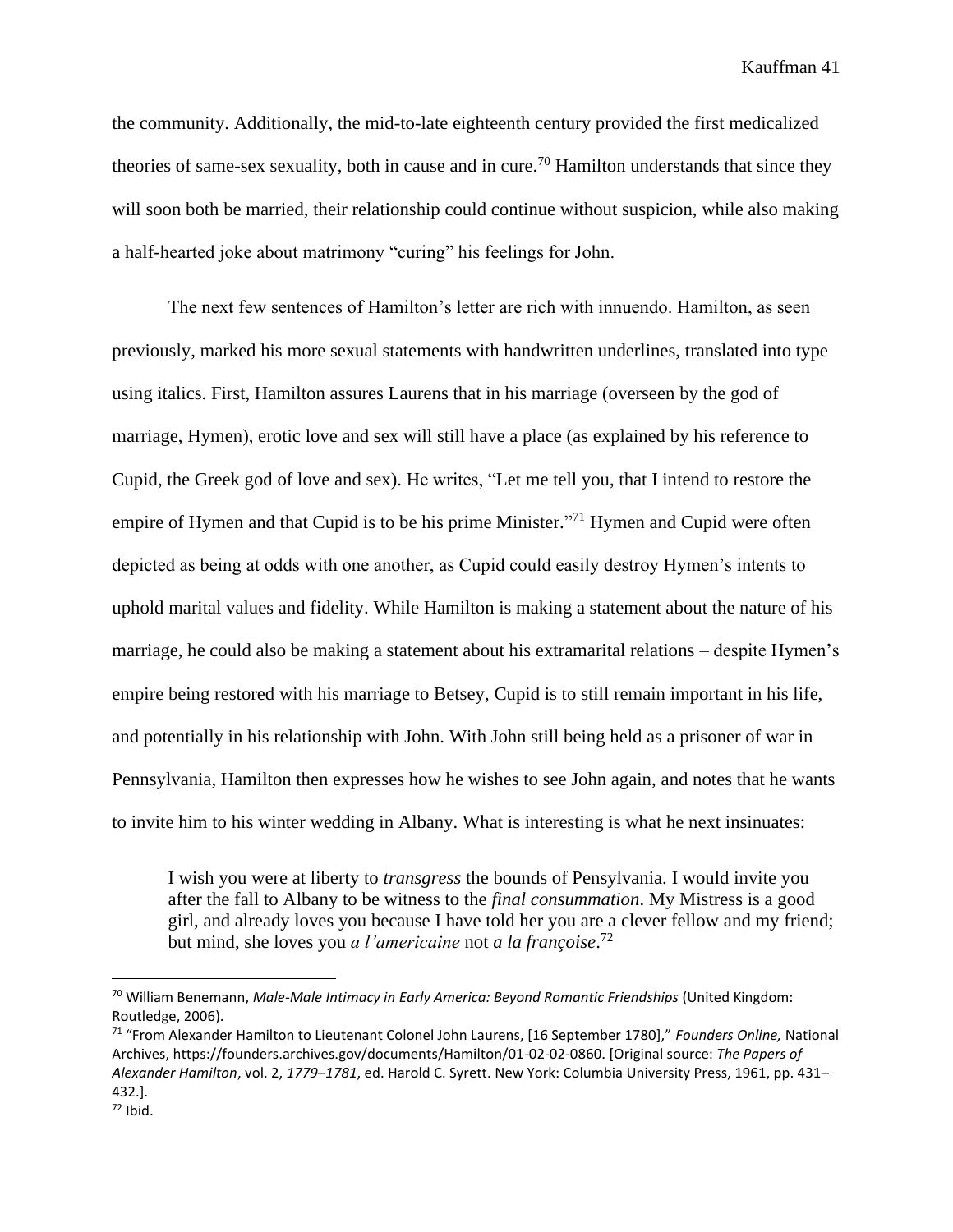the community. Additionally, the mid-to-late eighteenth century provided the first medicalized theories of same-sex sexuality, both in cause and in cure.<sup>70</sup> Hamilton understands that since they will soon both be married, their relationship could continue without suspicion, while also making a half-hearted joke about matrimony "curing" his feelings for John.

The next few sentences of Hamilton's letter are rich with innuendo. Hamilton, as seen previously, marked his more sexual statements with handwritten underlines, translated into type using italics. First, Hamilton assures Laurens that in his marriage (overseen by the god of marriage, Hymen), erotic love and sex will still have a place (as explained by his reference to Cupid, the Greek god of love and sex). He writes, "Let me tell you, that I intend to restore the empire of Hymen and that Cupid is to be his prime Minister."<sup>71</sup> Hymen and Cupid were often depicted as being at odds with one another, as Cupid could easily destroy Hymen's intents to uphold marital values and fidelity. While Hamilton is making a statement about the nature of his marriage, he could also be making a statement about his extramarital relations – despite Hymen's empire being restored with his marriage to Betsey, Cupid is to still remain important in his life, and potentially in his relationship with John. With John still being held as a prisoner of war in Pennsylvania, Hamilton then expresses how he wishes to see John again, and notes that he wants to invite him to his winter wedding in Albany. What is interesting is what he next insinuates:

I wish you were at liberty to *transgress* the bounds of Pensylvania. I would invite you after the fall to Albany to be witness to the *final consummation*. My Mistress is a good girl, and already loves you because I have told her you are a clever fellow and my friend; but mind, she loves you *a l'americaine* not *a la françoise*. 72

<sup>70</sup> William Benemann, *Male-Male Intimacy in Early America: Beyond Romantic Friendships* (United Kingdom: Routledge, 2006).

<sup>71</sup> "From Alexander Hamilton to Lieutenant Colonel John Laurens, [16 September 1780]," *Founders Online,* National Archives, https://founders.archives.gov/documents/Hamilton/01-02-02-0860. [Original source: *The Papers of Alexander Hamilton*, vol. 2, *1779–1781*, ed. Harold C. Syrett. New York: Columbia University Press, 1961, pp. 431– 432.].

 $72$  Ibid.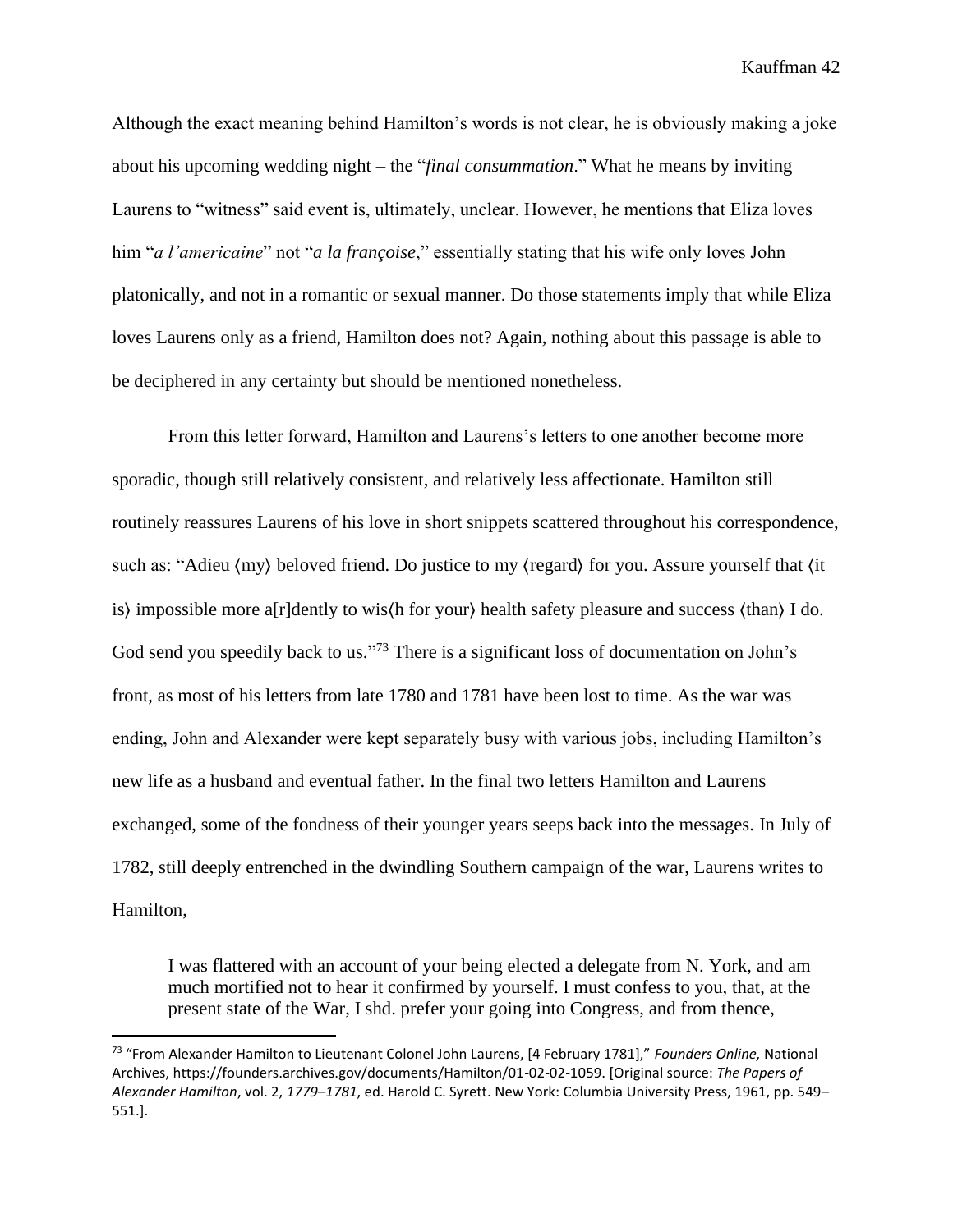Although the exact meaning behind Hamilton's words is not clear, he is obviously making a joke about his upcoming wedding night – the "*final consummation*." What he means by inviting Laurens to "witness" said event is, ultimately, unclear. However, he mentions that Eliza loves him "*a l'americaine*" not "*a la françoise*," essentially stating that his wife only loves John platonically, and not in a romantic or sexual manner. Do those statements imply that while Eliza loves Laurens only as a friend, Hamilton does not? Again, nothing about this passage is able to be deciphered in any certainty but should be mentioned nonetheless.

From this letter forward, Hamilton and Laurens's letters to one another become more sporadic, though still relatively consistent, and relatively less affectionate. Hamilton still routinely reassures Laurens of his love in short snippets scattered throughout his correspondence, such as: "Adieu ⟨my⟩ beloved friend. Do justice to my ⟨regard⟩ for you. Assure yourself that ⟨it is⟩ impossible more a[r]dently to wis⟨h for your⟩ health safety pleasure and success ⟨than⟩ I do. God send you speedily back to us."<sup>73</sup> There is a significant loss of documentation on John's front, as most of his letters from late 1780 and 1781 have been lost to time. As the war was ending, John and Alexander were kept separately busy with various jobs, including Hamilton's new life as a husband and eventual father. In the final two letters Hamilton and Laurens exchanged, some of the fondness of their younger years seeps back into the messages. In July of 1782, still deeply entrenched in the dwindling Southern campaign of the war, Laurens writes to Hamilton,

I was flattered with an account of your being elected a delegate from N. York, and am much mortified not to hear it confirmed by yourself. I must confess to you, that, at the present state of the War, I shd. prefer your going into Congress, and from thence,

<sup>73</sup> "From Alexander Hamilton to Lieutenant Colonel John Laurens, [4 February 1781]," *Founders Online,* National Archives, https://founders.archives.gov/documents/Hamilton/01-02-02-1059. [Original source: *The Papers of Alexander Hamilton*, vol. 2, *1779–1781*, ed. Harold C. Syrett. New York: Columbia University Press, 1961, pp. 549– 551.].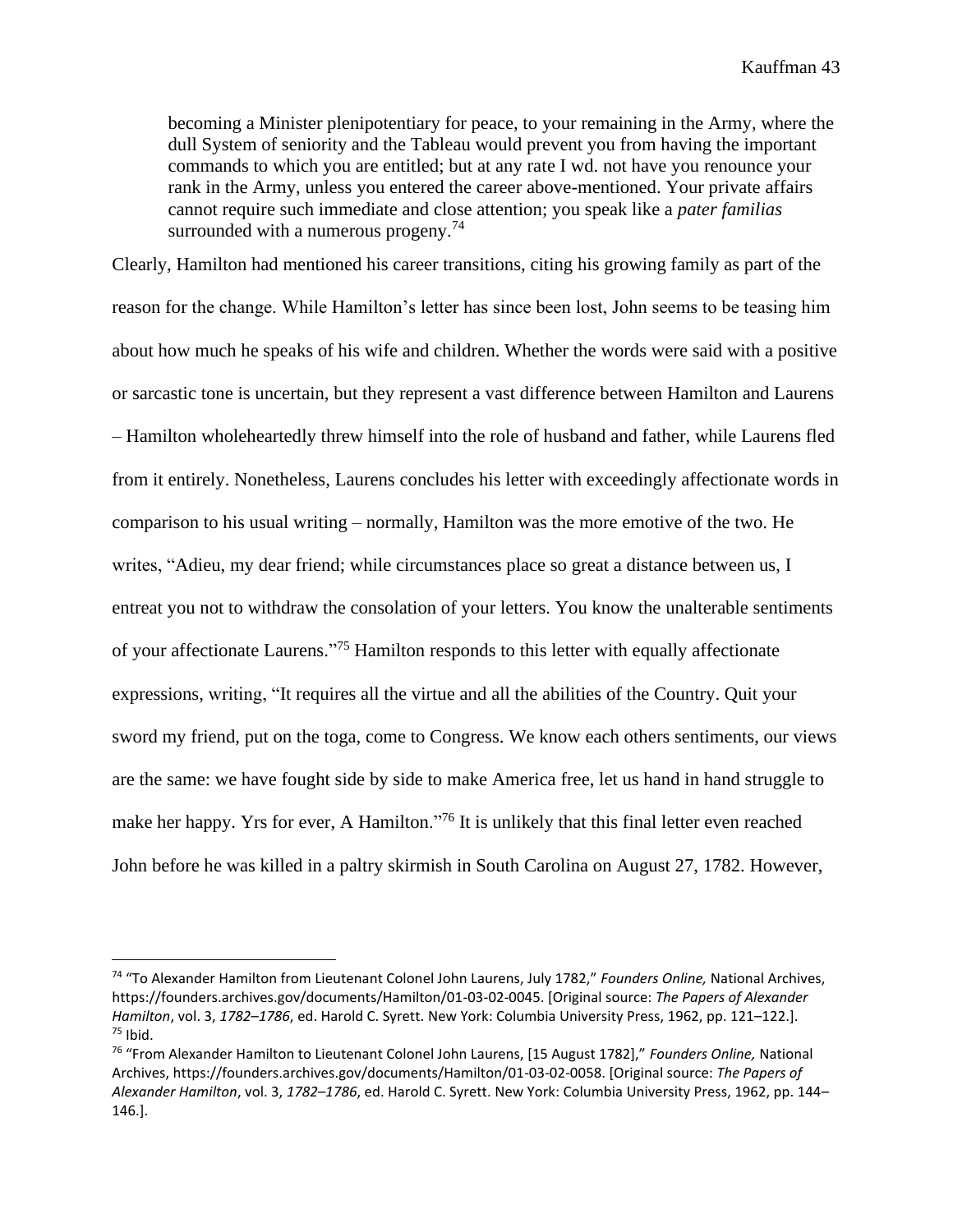becoming a Minister plenipotentiary for peace, to your remaining in the Army, where the dull System of seniority and the Tableau would prevent you from having the important commands to which you are entitled; but at any rate I wd. not have you renounce your rank in the Army, unless you entered the career above-mentioned. Your private affairs cannot require such immediate and close attention; you speak like a *pater familias* surrounded with a numerous progeny.<sup>74</sup>

Clearly, Hamilton had mentioned his career transitions, citing his growing family as part of the reason for the change. While Hamilton's letter has since been lost, John seems to be teasing him about how much he speaks of his wife and children. Whether the words were said with a positive or sarcastic tone is uncertain, but they represent a vast difference between Hamilton and Laurens – Hamilton wholeheartedly threw himself into the role of husband and father, while Laurens fled from it entirely. Nonetheless, Laurens concludes his letter with exceedingly affectionate words in comparison to his usual writing – normally, Hamilton was the more emotive of the two. He writes, "Adieu, my dear friend; while circumstances place so great a distance between us, I entreat you not to withdraw the consolation of your letters. You know the unalterable sentiments of your affectionate Laurens." <sup>75</sup> Hamilton responds to this letter with equally affectionate expressions, writing, "It requires all the virtue and all the abilities of the Country. Quit your sword my friend, put on the toga, come to Congress. We know each others sentiments, our views are the same: we have fought side by side to make America free, let us hand in hand struggle to make her happy. Yrs for ever, A Hamilton."<sup>76</sup> It is unlikely that this final letter even reached John before he was killed in a paltry skirmish in South Carolina on August 27, 1782. However,

<sup>74</sup> "To Alexander Hamilton from Lieutenant Colonel John Laurens, July 1782," *Founders Online,* National Archives, https://founders.archives.gov/documents/Hamilton/01-03-02-0045. [Original source: *The Papers of Alexander Hamilton*, vol. 3, *1782–1786*, ed. Harold C. Syrett. New York: Columbia University Press, 1962, pp. 121–122.].  $75$  Ibid.

<sup>76</sup> "From Alexander Hamilton to Lieutenant Colonel John Laurens, [15 August 1782]," *Founders Online,* National Archives, https://founders.archives.gov/documents/Hamilton/01-03-02-0058. [Original source: *The Papers of Alexander Hamilton*, vol. 3, *1782–1786*, ed. Harold C. Syrett. New York: Columbia University Press, 1962, pp. 144– 146.].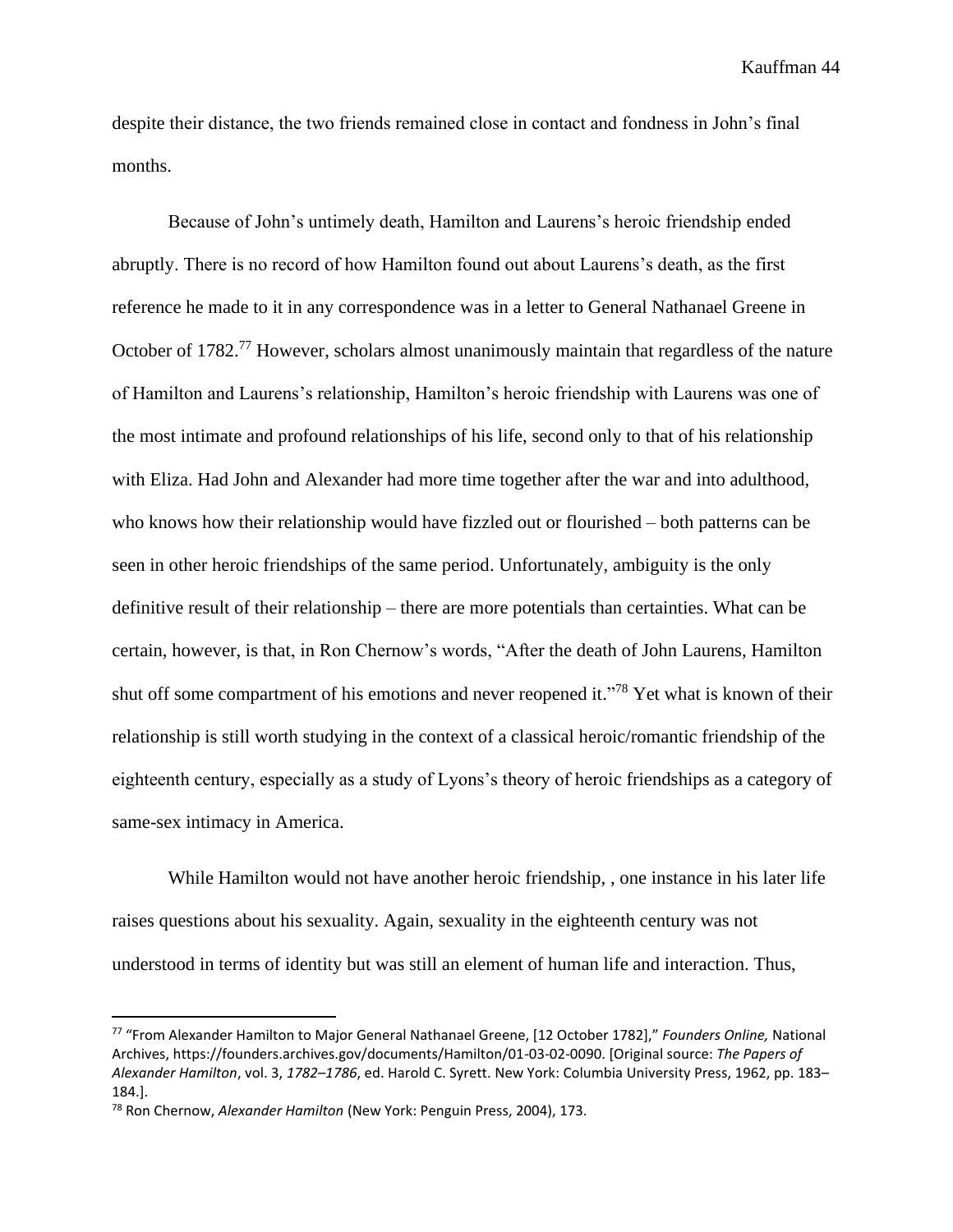despite their distance, the two friends remained close in contact and fondness in John's final months.

Because of John's untimely death, Hamilton and Laurens's heroic friendship ended abruptly. There is no record of how Hamilton found out about Laurens's death, as the first reference he made to it in any correspondence was in a letter to General Nathanael Greene in October of 1782.<sup>77</sup> However, scholars almost unanimously maintain that regardless of the nature of Hamilton and Laurens's relationship, Hamilton's heroic friendship with Laurens was one of the most intimate and profound relationships of his life, second only to that of his relationship with Eliza. Had John and Alexander had more time together after the war and into adulthood, who knows how their relationship would have fizzled out or flourished – both patterns can be seen in other heroic friendships of the same period. Unfortunately, ambiguity is the only definitive result of their relationship – there are more potentials than certainties. What can be certain, however, is that, in Ron Chernow's words, "After the death of John Laurens, Hamilton shut off some compartment of his emotions and never reopened it."<sup>78</sup> Yet what is known of their relationship is still worth studying in the context of a classical heroic/romantic friendship of the eighteenth century, especially as a study of Lyons's theory of heroic friendships as a category of same-sex intimacy in America.

While Hamilton would not have another heroic friendship, , one instance in his later life raises questions about his sexuality. Again, sexuality in the eighteenth century was not understood in terms of identity but was still an element of human life and interaction. Thus,

<sup>77</sup> "From Alexander Hamilton to Major General Nathanael Greene, [12 October 1782]," *Founders Online,* National Archives, https://founders.archives.gov/documents/Hamilton/01-03-02-0090. [Original source: *The Papers of Alexander Hamilton*, vol. 3, *1782–1786*, ed. Harold C. Syrett. New York: Columbia University Press, 1962, pp. 183– 184.].

<sup>78</sup> Ron Chernow, *Alexander Hamilton* (New York: Penguin Press, 2004), 173.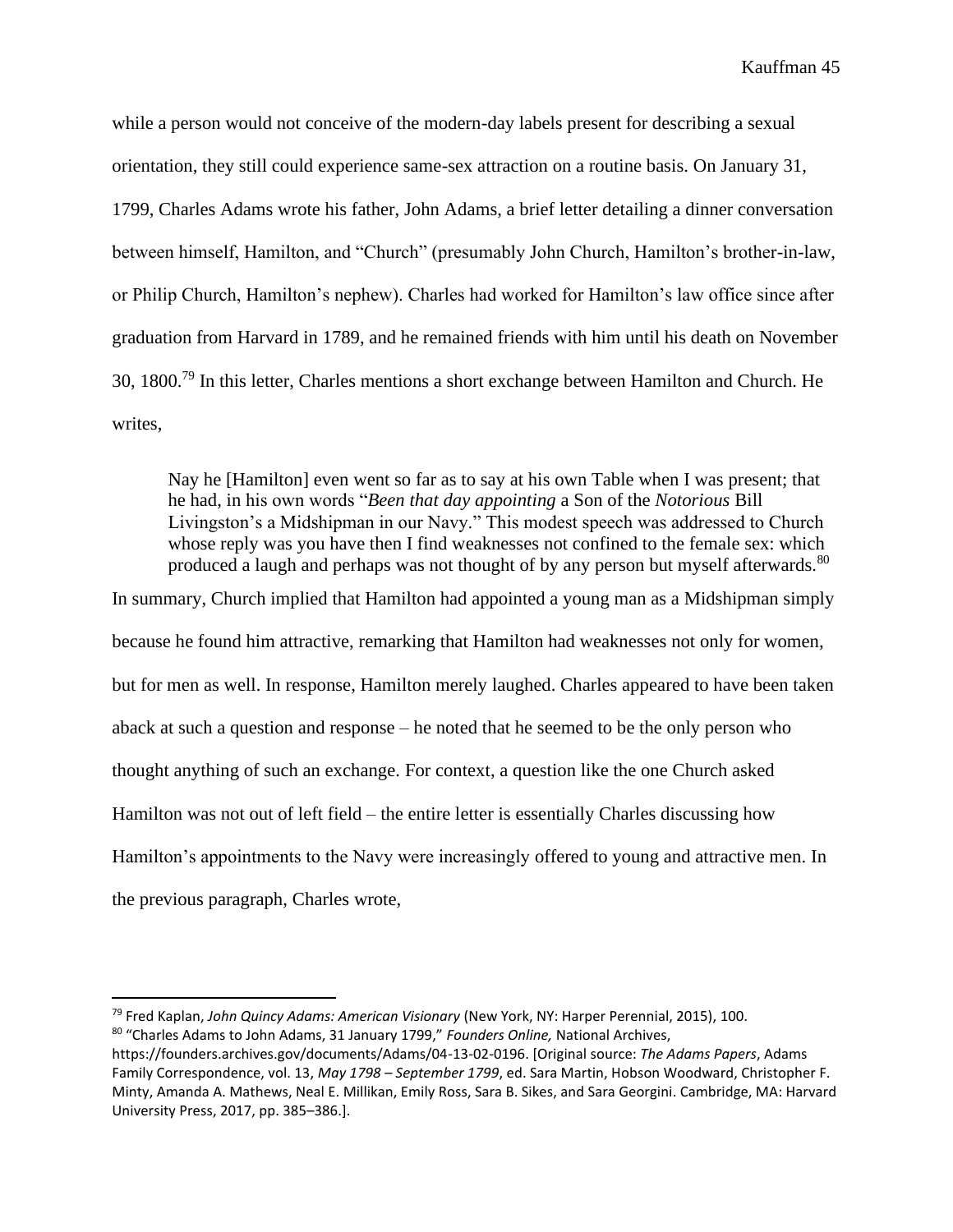while a person would not conceive of the modern-day labels present for describing a sexual orientation, they still could experience same-sex attraction on a routine basis. On January 31, 1799, Charles Adams wrote his father, John Adams, a brief letter detailing a dinner conversation between himself, Hamilton, and "Church" (presumably John Church, Hamilton's brother-in-law, or Philip Church, Hamilton's nephew). Charles had worked for Hamilton's law office since after graduation from Harvard in 1789, and he remained friends with him until his death on November 30, 1800.<sup>79</sup> In this letter, Charles mentions a short exchange between Hamilton and Church. He writes,

Nay he [Hamilton] even went so far as to say at his own Table when I was present; that he had, in his own words "*Been that day appointing* a Son of the *Notorious* Bill Livingston's a Midshipman in our Navy." This modest speech was addressed to Church whose reply was you have then I find weaknesses not confined to the female sex: which produced a laugh and perhaps was not thought of by any person but myself afterwards.<sup>80</sup>

In summary, Church implied that Hamilton had appointed a young man as a Midshipman simply because he found him attractive, remarking that Hamilton had weaknesses not only for women, but for men as well. In response, Hamilton merely laughed. Charles appeared to have been taken aback at such a question and response – he noted that he seemed to be the only person who thought anything of such an exchange. For context, a question like the one Church asked Hamilton was not out of left field – the entire letter is essentially Charles discussing how Hamilton's appointments to the Navy were increasingly offered to young and attractive men. In the previous paragraph, Charles wrote,

<sup>79</sup> Fred Kaplan, *John Quincy Adams: American Visionary* (New York, NY: Harper Perennial, 2015), 100.

<sup>80</sup> "Charles Adams to John Adams, 31 January 1799," *Founders Online,* National Archives,

https://founders.archives.gov/documents/Adams/04-13-02-0196. [Original source: *The Adams Papers*, Adams Family Correspondence, vol. 13, *May 1798 – September 1799*, ed. Sara Martin, Hobson Woodward, Christopher F. Minty, Amanda A. Mathews, Neal E. Millikan, Emily Ross, Sara B. Sikes, and Sara Georgini. Cambridge, MA: Harvard University Press, 2017, pp. 385–386.].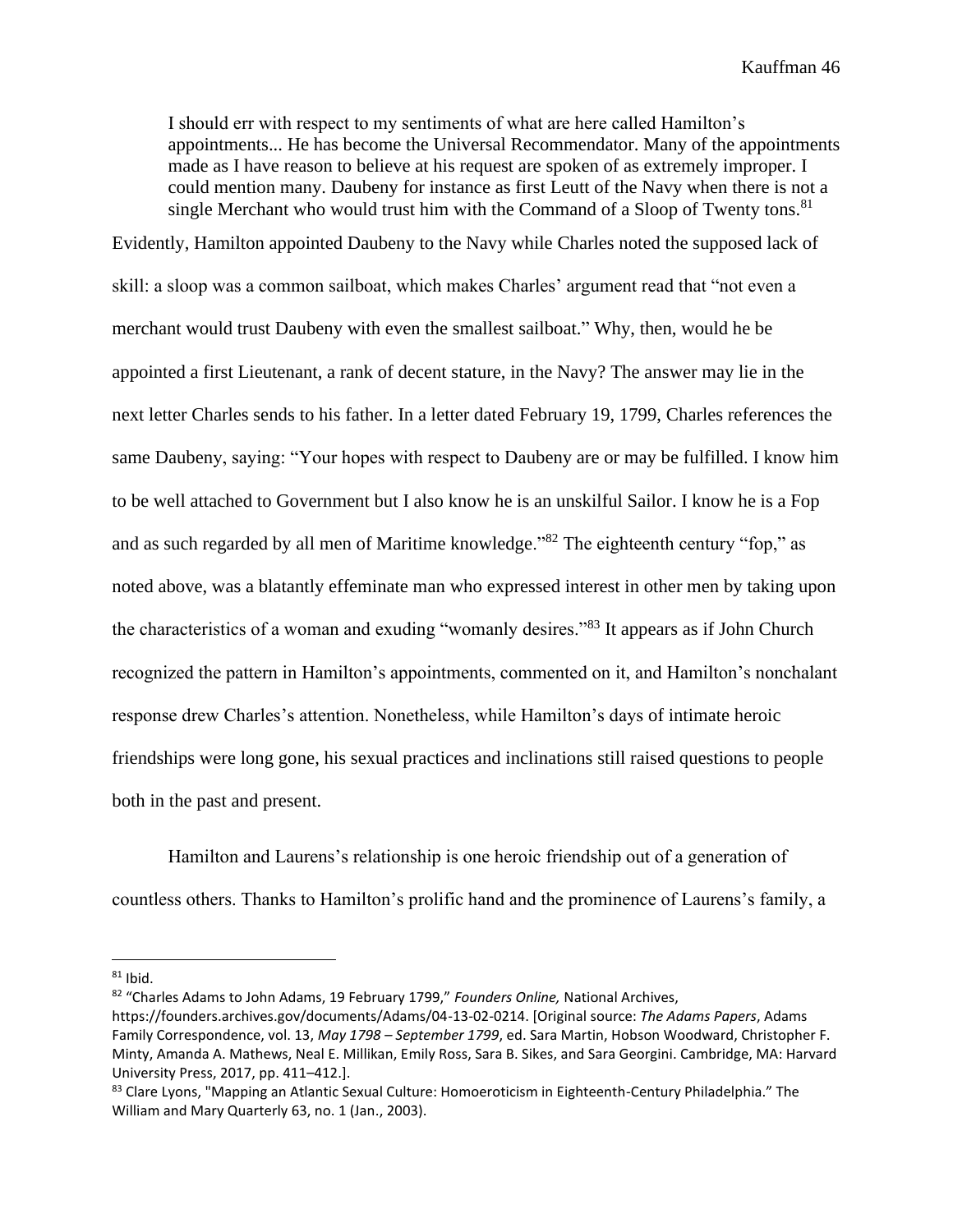I should err with respect to my sentiments of what are here called Hamilton's appointments... He has become the Universal Recommendator. Many of the appointments made as I have reason to believe at his request are spoken of as extremely improper. I could mention many. Daubeny for instance as first Leutt of the Navy when there is not a single Merchant who would trust him with the Command of a Sloop of Twenty tons.<sup>81</sup>

Evidently, Hamilton appointed Daubeny to the Navy while Charles noted the supposed lack of skill: a sloop was a common sailboat, which makes Charles' argument read that "not even a merchant would trust Daubeny with even the smallest sailboat." Why, then, would he be appointed a first Lieutenant, a rank of decent stature, in the Navy? The answer may lie in the next letter Charles sends to his father. In a letter dated February 19, 1799, Charles references the same Daubeny, saying: "Your hopes with respect to Daubeny are or may be fulfilled. I know him to be well attached to Government but I also know he is an unskilful Sailor. I know he is a Fop and as such regarded by all men of Maritime knowledge."<sup>82</sup> The eighteenth century "fop," as noted above, was a blatantly effeminate man who expressed interest in other men by taking upon the characteristics of a woman and exuding "womanly desires."<sup>83</sup> It appears as if John Church recognized the pattern in Hamilton's appointments, commented on it, and Hamilton's nonchalant response drew Charles's attention. Nonetheless, while Hamilton's days of intimate heroic friendships were long gone, his sexual practices and inclinations still raised questions to people both in the past and present.

Hamilton and Laurens's relationship is one heroic friendship out of a generation of countless others. Thanks to Hamilton's prolific hand and the prominence of Laurens's family, a

<sup>82</sup> "Charles Adams to John Adams, 19 February 1799," *Founders Online,* National Archives,

 $81$  Ibid.

https://founders.archives.gov/documents/Adams/04-13-02-0214. [Original source: *The Adams Papers*, Adams Family Correspondence, vol. 13, *May 1798 – September 1799*, ed. Sara Martin, Hobson Woodward, Christopher F. Minty, Amanda A. Mathews, Neal E. Millikan, Emily Ross, Sara B. Sikes, and Sara Georgini. Cambridge, MA: Harvard University Press, 2017, pp. 411–412.].

<sup>&</sup>lt;sup>83</sup> Clare Lyons, "Mapping an Atlantic Sexual Culture: Homoeroticism in Eighteenth-Century Philadelphia." The William and Mary Quarterly 63, no. 1 (Jan., 2003).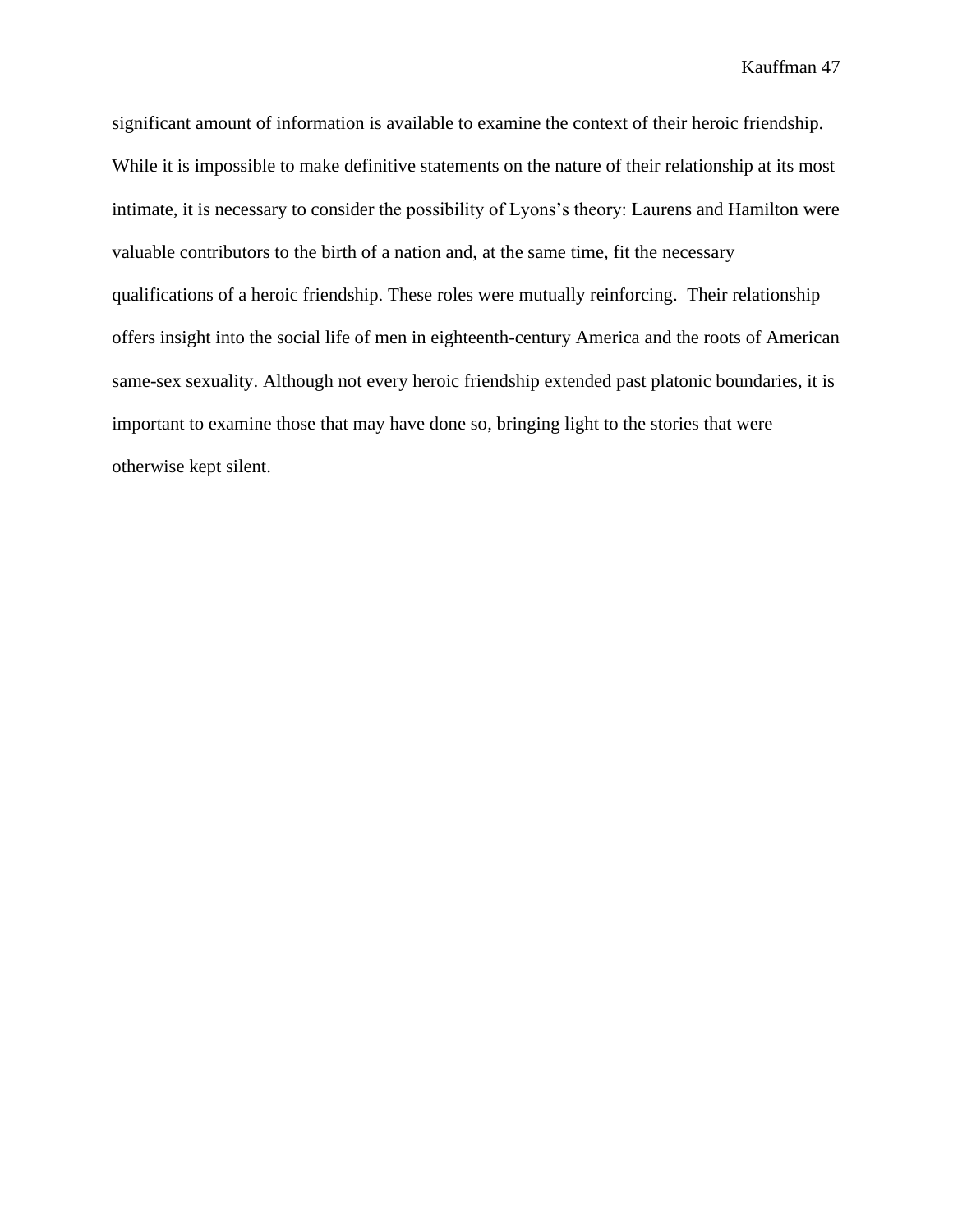significant amount of information is available to examine the context of their heroic friendship. While it is impossible to make definitive statements on the nature of their relationship at its most intimate, it is necessary to consider the possibility of Lyons's theory: Laurens and Hamilton were valuable contributors to the birth of a nation and, at the same time, fit the necessary qualifications of a heroic friendship. These roles were mutually reinforcing. Their relationship offers insight into the social life of men in eighteenth-century America and the roots of American same-sex sexuality. Although not every heroic friendship extended past platonic boundaries, it is important to examine those that may have done so, bringing light to the stories that were otherwise kept silent.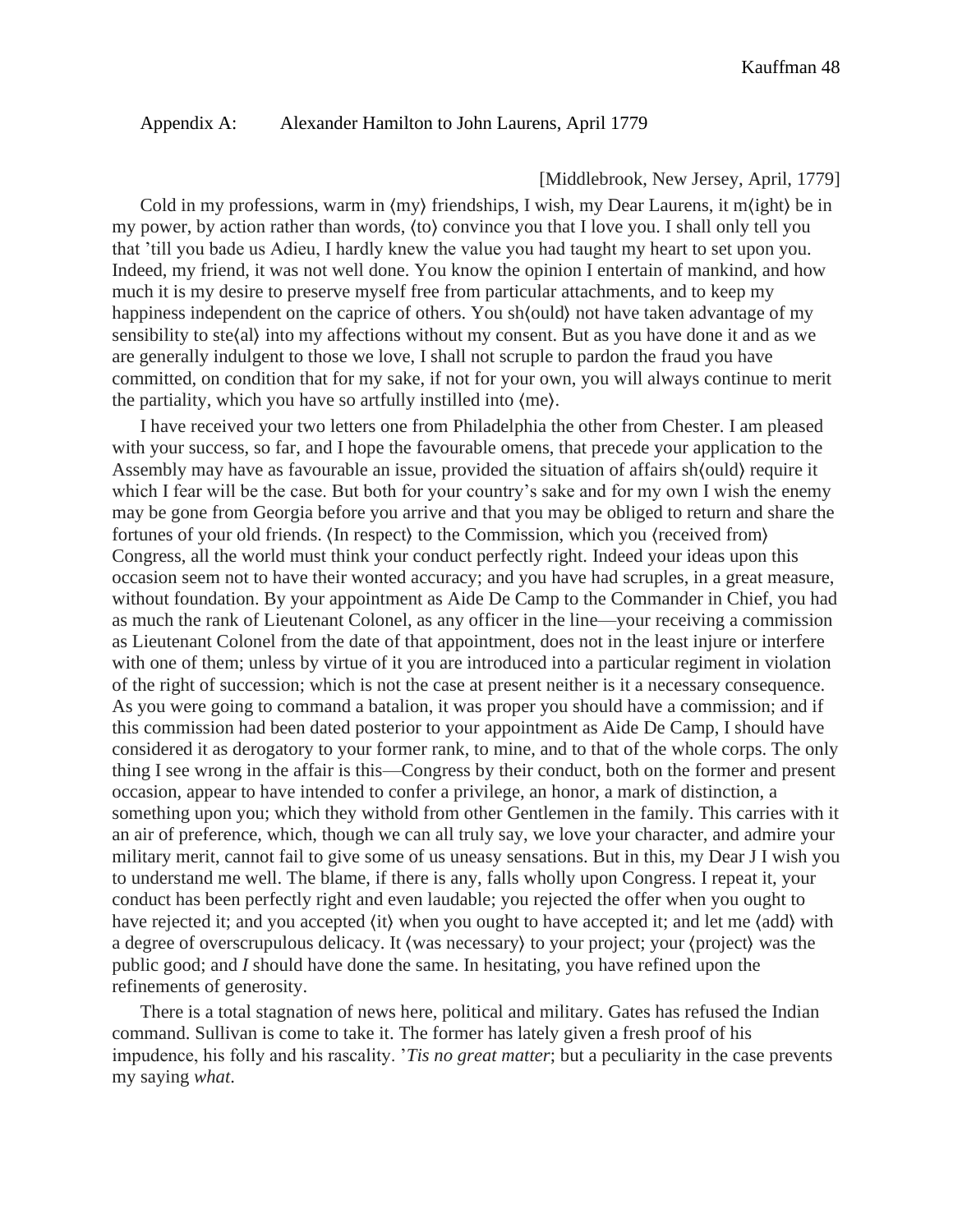#### Appendix A: Alexander Hamilton to John Laurens, April 1779

#### [Middlebrook, New Jersey, April, 1779]

Cold in my professions, warm in ⟨my⟩ friendships, I wish, my Dear Laurens, it m⟨ight⟩ be in my power, by action rather than words, ⟨to⟩ convince you that I love you. I shall only tell you that 'till you bade us Adieu, I hardly knew the value you had taught my heart to set upon you. Indeed, my friend, it was not well done. You know the opinion I entertain of mankind, and how much it is my desire to preserve myself free from particular attachments, and to keep my happiness independent on the caprice of others. You sh $\langle$ ould $\rangle$  not have taken advantage of my sensibility to ste⟨al⟩ into my affections without my consent. But as you have done it and as we are generally indulgent to those we love, I shall not scruple to pardon the fraud you have committed, on condition that for my sake, if not for your own, you will always continue to merit the partiality, which you have so artfully instilled into ⟨me⟩.

I have received your two letters one from Philadelphia the other from Chester. I am pleased with your success, so far, and I hope the favourable omens, that precede your application to the Assembly may have as favourable an issue, provided the situation of affairs sh⟨ould⟩ require it which I fear will be the case. But both for your country's sake and for my own I wish the enemy may be gone from Georgia before you arrive and that you may be obliged to return and share the fortunes of your old friends. ⟨In respect⟩ to the Commission, which you ⟨received from⟩ Congress, all the world must think your conduct perfectly right. Indeed your ideas upon this occasion seem not to have their wonted accuracy; and you have had scruples, in a great measure, without foundation. By your appointment as Aide De Camp to the Commander in Chief, you had as much the rank of Lieutenant Colonel, as any officer in the line—your receiving a commission as Lieutenant Colonel from the date of that appointment, does not in the least injure or interfere with one of them; unless by virtue of it you are introduced into a particular regiment in violation of the right of succession; which is not the case at present neither is it a necessary consequence. As you were going to command a batalion, it was proper you should have a commission; and if this commission had been dated posterior to your appointment as Aide De Camp, I should have considered it as derogatory to your former rank, to mine, and to that of the whole corps. The only thing I see wrong in the affair is this—Congress by their conduct, both on the former and present occasion, appear to have intended to confer a privilege, an honor, a mark of distinction, a something upon you; which they withold from other Gentlemen in the family. This carries with it an air of preference, which, though we can all truly say, we love your character, and admire your military merit, cannot fail to give some of us uneasy sensations. But in this, my Dear J I wish you to understand me well. The blame, if there is any, falls wholly upon Congress. I repeat it, your conduct has been perfectly right and even laudable; you rejected the offer when you ought to have rejected it; and you accepted  $\langle$ it $\rangle$  when you ought to have accepted it; and let me  $\langle$ add $\rangle$  with a degree of overscrupulous delicacy. It ⟨was necessary⟩ to your project; your ⟨project⟩ was the public good; and *I* should have done the same. In hesitating, you have refined upon the refinements of generosity.

There is a total stagnation of news here, political and military. Gates has refused the Indian command. Sullivan is come to take it. The former has lately given a fresh proof of his impudence, his folly and his rascality. '*Tis no great matter*; but a peculiarity in the case prevents my saying *what*.